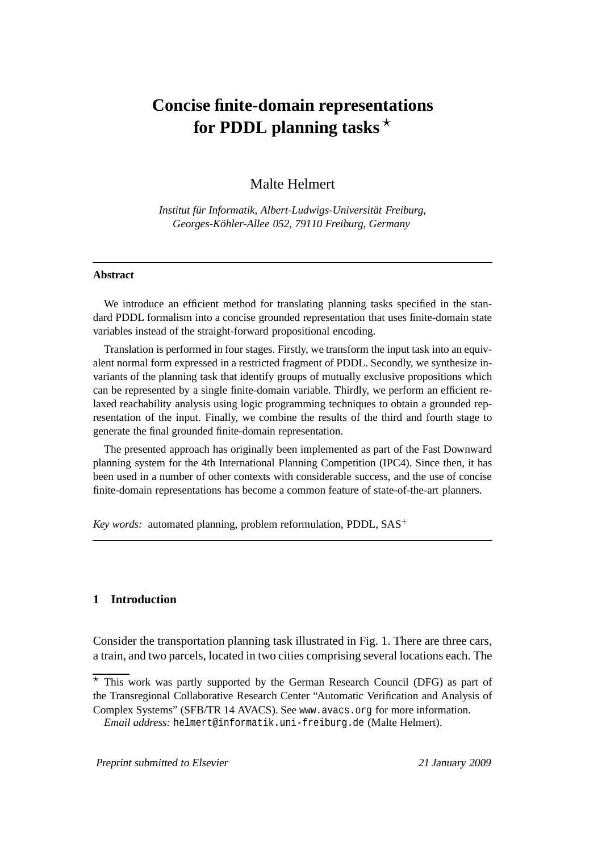# **Concise finite-domain representations** for PDDL planning tasks  $\star$

# Malte Helmert

*Institut für Informatik, Albert-Ludwigs-Universität Freiburg, Georges-Kohler-Allee 052, 79110 Freiburg, Germany ¨*

#### **Abstract**

We introduce an efficient method for translating planning tasks specified in the standard PDDL formalism into a concise grounded representation that uses finite-domain state variables instead of the straight-forward propositional encoding.

Translation is performed in four stages. Firstly, we transform the input task into an equivalent normal form expressed in a restricted fragment of PDDL. Secondly, we synthesize invariants of the planning task that identify groups of mutually exclusive propositions which can be represented by a single finite-domain variable. Thirdly, we perform an efficient relaxed reachability analysis using logic programming techniques to obtain a grounded representation of the input. Finally, we combine the results of the third and fourth stage to generate the final grounded finite-domain representation.

The presented approach has originally been implemented as part of the Fast Downward planning system for the 4th International Planning Competition (IPC4). Since then, it has been used in a number of other contexts with considerable success, and the use of concise finite-domain representations has become a common feature of state-of-the-art planners.

*Key words:* automated planning, problem reformulation, PDDL, SAS<sup>+</sup>

# **1 Introduction**

Consider the transportation planning task illustrated in Fig. 1. There are three cars, a train, and two parcels, located in two cities comprising several locations each. The

Preprint submitted to Elsevier 21 January 2009

 $*$  This work was partly supported by the German Research Council (DFG) as part of the Transregional Collaborative Research Center "Automatic Verification and Analysis of Complex Systems" (SFB/TR 14 AVACS). See www.avacs.org for more information.

*Email address:* helmert@informatik.uni-freiburg.de (Malte Helmert).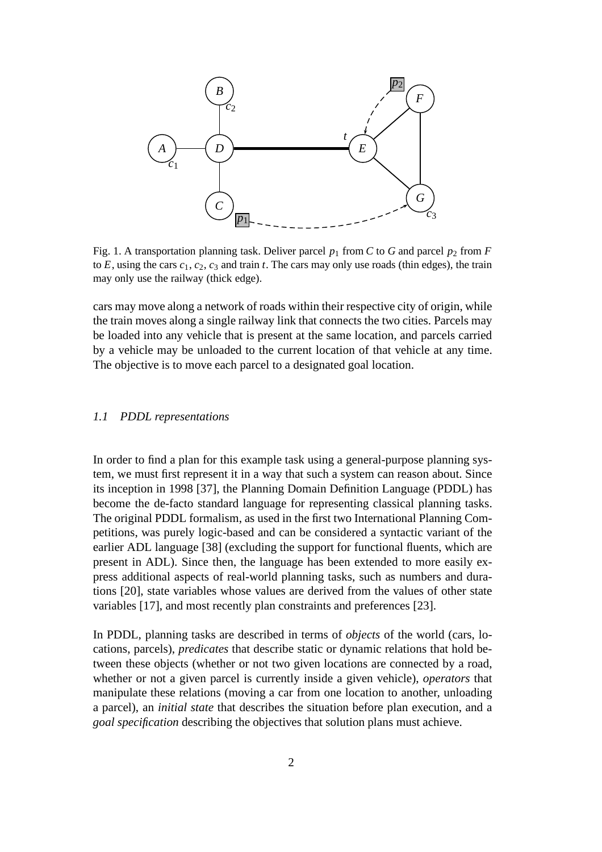

Fig. 1. A transportation planning task. Deliver parcel  $p_1$  from *C* to *G* and parcel  $p_2$  from *F* to  $E$ , using the cars  $c_1$ ,  $c_2$ ,  $c_3$  and train  $t$ . The cars may only use roads (thin edges), the train may only use the railway (thick edge).

cars may move along a network of roads within their respective city of origin, while the train moves along a single railway link that connects the two cities. Parcels may be loaded into any vehicle that is present at the same location, and parcels carried by a vehicle may be unloaded to the current location of that vehicle at any time. The objective is to move each parcel to a designated goal location.

#### *1.1 PDDL representations*

In order to find a plan for this example task using a general-purpose planning system, we must first represent it in a way that such a system can reason about. Since its inception in 1998 [37], the Planning Domain Definition Language (PDDL) has become the de-facto standard language for representing classical planning tasks. The original PDDL formalism, as used in the first two International Planning Competitions, was purely logic-based and can be considered a syntactic variant of the earlier ADL language [38] (excluding the support for functional fluents, which are present in ADL). Since then, the language has been extended to more easily express additional aspects of real-world planning tasks, such as numbers and durations [20], state variables whose values are derived from the values of other state variables [17], and most recently plan constraints and preferences [23].

In PDDL, planning tasks are described in terms of *objects* of the world (cars, locations, parcels), *predicates* that describe static or dynamic relations that hold between these objects (whether or not two given locations are connected by a road, whether or not a given parcel is currently inside a given vehicle), *operators* that manipulate these relations (moving a car from one location to another, unloading a parcel), an *initial state* that describes the situation before plan execution, and a *goal specification* describing the objectives that solution plans must achieve.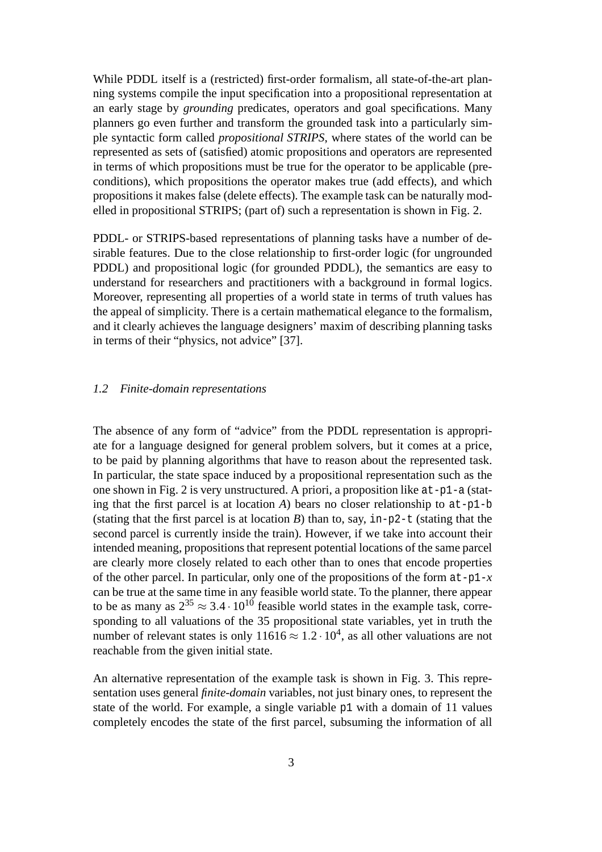While PDDL itself is a (restricted) first-order formalism, all state-of-the-art planning systems compile the input specification into a propositional representation at an early stage by *grounding* predicates, operators and goal specifications. Many planners go even further and transform the grounded task into a particularly simple syntactic form called *propositional STRIPS*, where states of the world can be represented as sets of (satisfied) atomic propositions and operators are represented in terms of which propositions must be true for the operator to be applicable (preconditions), which propositions the operator makes true (add effects), and which propositions it makes false (delete effects). The example task can be naturally modelled in propositional STRIPS; (part of) such a representation is shown in Fig. 2.

PDDL- or STRIPS-based representations of planning tasks have a number of desirable features. Due to the close relationship to first-order logic (for ungrounded PDDL) and propositional logic (for grounded PDDL), the semantics are easy to understand for researchers and practitioners with a background in formal logics. Moreover, representing all properties of a world state in terms of truth values has the appeal of simplicity. There is a certain mathematical elegance to the formalism, and it clearly achieves the language designers' maxim of describing planning tasks in terms of their "physics, not advice" [37].

#### *1.2 Finite-domain representations*

The absence of any form of "advice" from the PDDL representation is appropriate for a language designed for general problem solvers, but it comes at a price, to be paid by planning algorithms that have to reason about the represented task. In particular, the state space induced by a propositional representation such as the one shown in Fig. 2 is very unstructured. A priori, a proposition like at-p1-a (stating that the first parcel is at location *A*) bears no closer relationship to at-p1-b (stating that the first parcel is at location  $B$ ) than to, say, in-p2-t (stating that the second parcel is currently inside the train). However, if we take into account their intended meaning, propositions that represent potential locations of the same parcel are clearly more closely related to each other than to ones that encode properties of the other parcel. In particular, only one of the propositions of the form at-p1-*x* can be true at the same time in any feasible world state. To the planner, there appear to be as many as  $2^{35} \approx 3.4 \cdot 10^{10}$  feasible world states in the example task, corresponding to all valuations of the 35 propositional state variables, yet in truth the number of relevant states is only  $11616 \approx 1.2 \cdot 10^4$ , as all other valuations are not reachable from the given initial state.

An alternative representation of the example task is shown in Fig. 3. This representation uses general *finite-domain* variables, not just binary ones, to represent the state of the world. For example, a single variable p1 with a domain of 11 values completely encodes the state of the first parcel, subsuming the information of all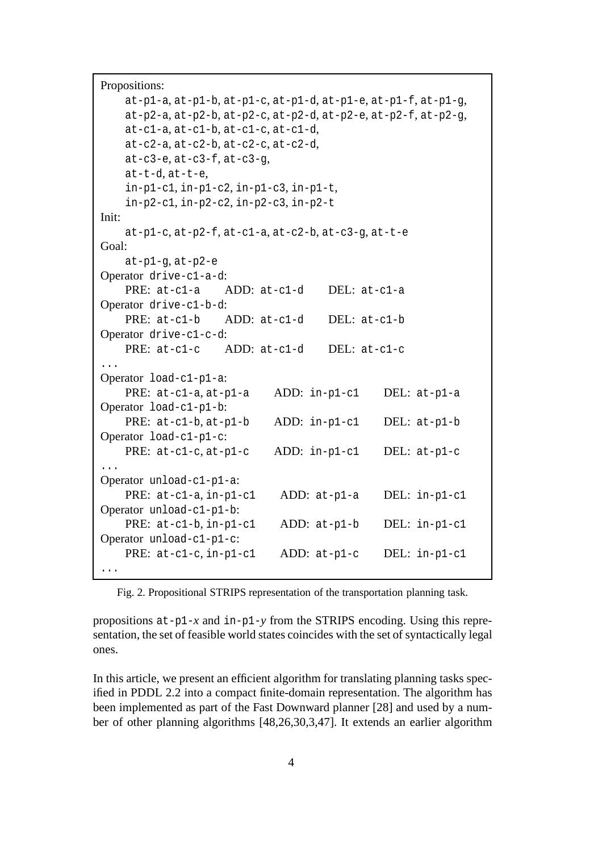```
Propositions:
    at-p1-a, at-p1-b, at-p1-c, at-p1-d, at-p1-e, at-p1-f, at-p1-g,
    at-p2-a, at-p2-b, at-p2-c, at-p2-d, at-p2-e, at-p2-f, at-p2-g,
    at-c1-a, at-c1-b, at-c1-c, at-c1-d,
    at-c2-a, at-c2-b, at-c2-c, at-c2-d,
    at-c3-e, at-c3-f, at-c3-q,at-t-d, at-t-e,
    in-p1-c1, in-p1-c2, in-p1-c3, in-p1-t,
    in-p2-c1, in-p2-c2, in-p2-c3, in-p2-t
Init:
    at-p1-c, at-p2-f, at-c1-a, at-c2-b, at-c3-g, at-t-e
Goal:
    at-p1-g, at-p2-e
Operator drive-c1-a-d:
    PRE: at-c1-a ADD: at-c1-d DEL: at-c1-a
Operator drive-c1-b-d:
    PRE: at-c1-b ADD: at-c1-d DEL: at-c1-b
Operator drive-c1-c-d:
    PRE: at-c1-c ADD: at-c1-d DEL: at-c1-c
...
Operator load-c1-p1-a:
    PRE: at-c1-a, at-p1-a ADD: in-p1-c1 DEL: at-p1-a
Operator load-c1-p1-b:
    PRE: at-c1-b, at-p1-b ADD: in-p1-c1 DEL: at-p1-b
Operator load-c1-p1-c:
    PRE: at-c1-c, at-p1-c ADD: in-p1-c1 DEL: at-p1-c
...
Operator unload-c1-p1-a:
    PRE: at-c1-a, in-p1-c1 ADD: at-p1-a DEL: in-p1-c1
Operator unload-c1-p1-b:
    PRE: at-c1-b, in-p1-c1 ADD: at-p1-b DEL: in-p1-c1
Operator unload-c1-p1-c:
    PRE: at-c1-c, in-p1-c1 ADD: at-p1-c DEL: in-p1-c1
...
```
Fig. 2. Propositional STRIPS representation of the transportation planning task.

propositions at-p1-*x* and in-p1-*y* from the STRIPS encoding. Using this representation, the set of feasible world states coincides with the set of syntactically legal ones.

In this article, we present an efficient algorithm for translating planning tasks specified in PDDL 2.2 into a compact finite-domain representation. The algorithm has been implemented as part of the Fast Downward planner [28] and used by a number of other planning algorithms [48,26,30,3,47]. It extends an earlier algorithm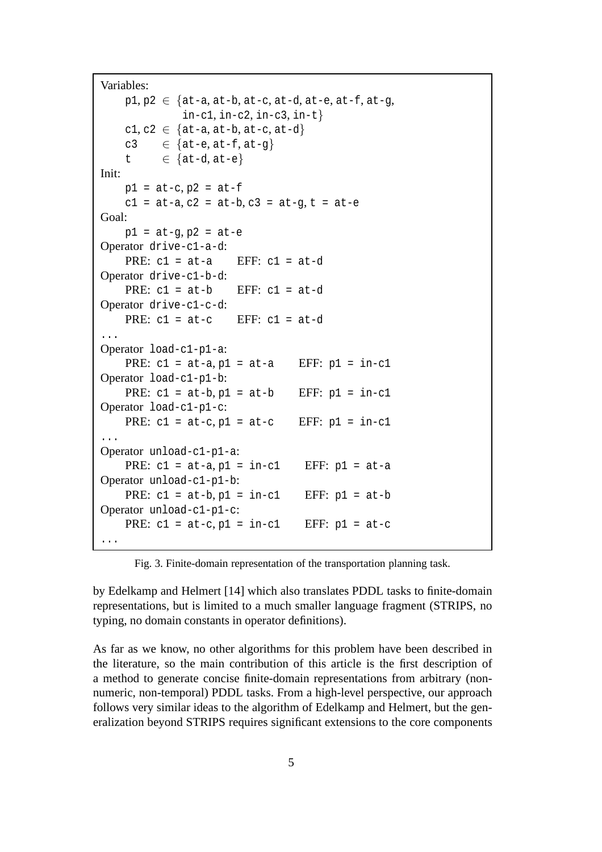```
Variables:
    p1, p2 \in \{at-a, at-b, at-c, at-d, at-e, at-f, at-q,
              in-c1, in-c2, in-c3, in-t}
    c1, c2 \in {at-a, at-b, at-c, at-d}
    c3 \in {at-e, at-f, at-g}
    t \in {at-d, at-e}
Init:
    p1 = at-c, p2 = at-fc1 = at-a, c2 = at-b, c3 = at-g, t = at-eGoal:
    p1 = at-g, p2 = at-eOperator drive-c1-a-d:
    PRE: c1 = at-a EFF: c1 = at-dOperator drive-c1-b-d:
    PRE: c1 = at-b EFF: c1 = at-dOperator drive-c1-c-d:
    PRE: c1 = at-c EFF: c1 = at-d...
Operator load-c1-p1-a:
    PRE: c1 = at-a, p1 = at-a EFF: p1 = in-c1Operator load-c1-p1-b:
    PRE: c1 = at-b, p1 = at-b EFF: p1 = in-c1Operator load-c1-p1-c:
    PRE: c1 = at-c, p1 = at-c EFF: p1 = in-c1...
Operator unload-c1-p1-a:
    PRE: c1 = at-a, p1 = in-c1 EFF: p1 = at-aOperator unload-c1-p1-b:
    PRE: c1 = at-b, p1 = in-c1 EFF: p1 = at-bOperator unload-c1-p1-c:
    PRE: c1 = at-c, p1 = in-c1 EFF: p1 = at-c...
```
Fig. 3. Finite-domain representation of the transportation planning task.

by Edelkamp and Helmert [14] which also translates PDDL tasks to finite-domain representations, but is limited to a much smaller language fragment (STRIPS, no typing, no domain constants in operator definitions).

As far as we know, no other algorithms for this problem have been described in the literature, so the main contribution of this article is the first description of a method to generate concise finite-domain representations from arbitrary (nonnumeric, non-temporal) PDDL tasks. From a high-level perspective, our approach follows very similar ideas to the algorithm of Edelkamp and Helmert, but the generalization beyond STRIPS requires significant extensions to the core components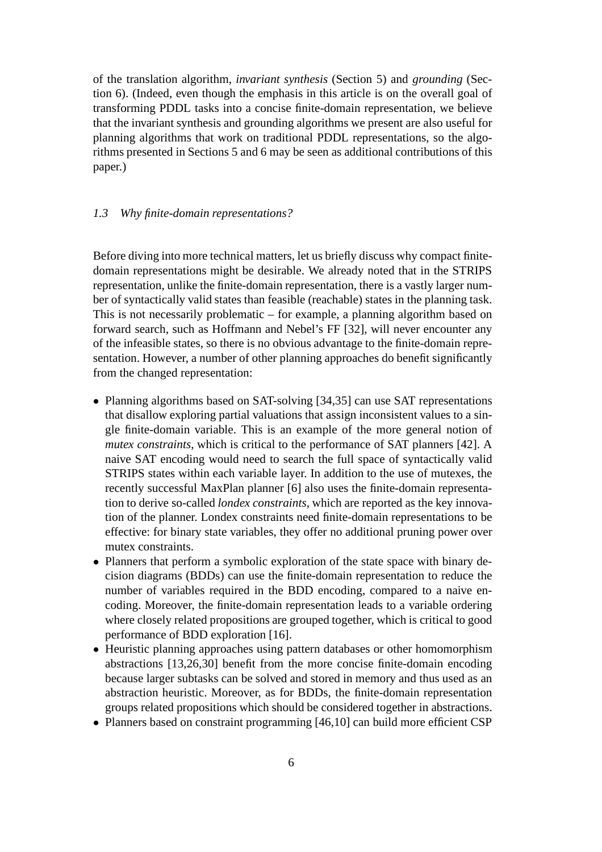of the translation algorithm, *invariant synthesis* (Section 5) and *grounding* (Section 6). (Indeed, even though the emphasis in this article is on the overall goal of transforming PDDL tasks into a concise finite-domain representation, we believe that the invariant synthesis and grounding algorithms we present are also useful for planning algorithms that work on traditional PDDL representations, so the algorithms presented in Sections 5 and 6 may be seen as additional contributions of this paper.)

## *1.3 Why finite-domain representations?*

Before diving into more technical matters, let us briefly discuss why compact finitedomain representations might be desirable. We already noted that in the STRIPS representation, unlike the finite-domain representation, there is a vastly larger number of syntactically valid states than feasible (reachable) states in the planning task. This is not necessarily problematic – for example, a planning algorithm based on forward search, such as Hoffmann and Nebel's FF [32], will never encounter any of the infeasible states, so there is no obvious advantage to the finite-domain representation. However, a number of other planning approaches do benefit significantly from the changed representation:

- Planning algorithms based on SAT-solving [34,35] can use SAT representations that disallow exploring partial valuations that assign inconsistent values to a single finite-domain variable. This is an example of the more general notion of *mutex constraints*, which is critical to the performance of SAT planners [42]. A naive SAT encoding would need to search the full space of syntactically valid STRIPS states within each variable layer. In addition to the use of mutexes, the recently successful MaxPlan planner [6] also uses the finite-domain representation to derive so-called *londex constraints*, which are reported as the key innovation of the planner. Londex constraints need finite-domain representations to be effective: for binary state variables, they offer no additional pruning power over mutex constraints.
- Planners that perform a symbolic exploration of the state space with binary decision diagrams (BDDs) can use the finite-domain representation to reduce the number of variables required in the BDD encoding, compared to a naive encoding. Moreover, the finite-domain representation leads to a variable ordering where closely related propositions are grouped together, which is critical to good performance of BDD exploration [16].
- Heuristic planning approaches using pattern databases or other homomorphism abstractions [13,26,30] benefit from the more concise finite-domain encoding because larger subtasks can be solved and stored in memory and thus used as an abstraction heuristic. Moreover, as for BDDs, the finite-domain representation groups related propositions which should be considered together in abstractions.
- Planners based on constraint programming [46,10] can build more efficient CSP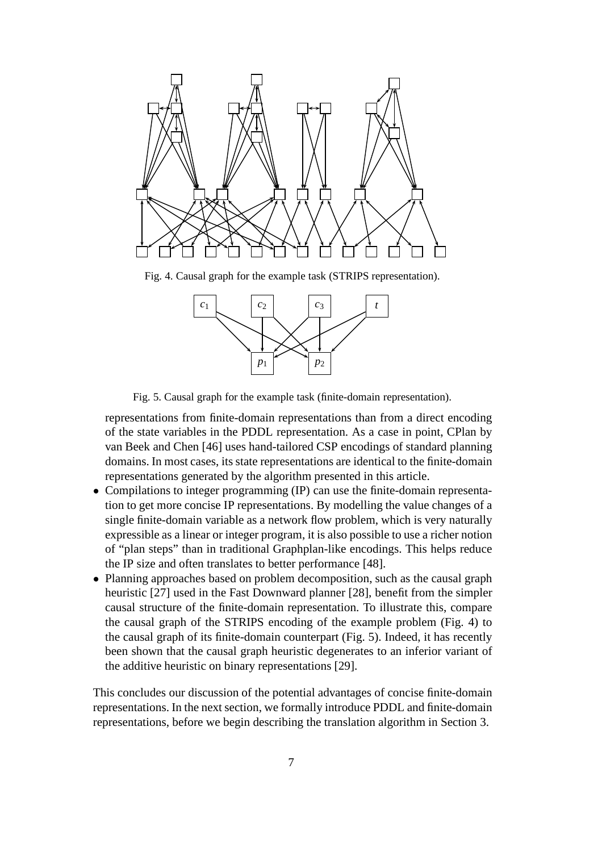

Fig. 4. Causal graph for the example task (STRIPS representation).



Fig. 5. Causal graph for the example task (finite-domain representation).

representations from finite-domain representations than from a direct encoding of the state variables in the PDDL representation. As a case in point, CPlan by van Beek and Chen [46] uses hand-tailored CSP encodings of standard planning domains. In most cases, its state representations are identical to the finite-domain representations generated by the algorithm presented in this article.

- Compilations to integer programming (IP) can use the finite-domain representation to get more concise IP representations. By modelling the value changes of a single finite-domain variable as a network flow problem, which is very naturally expressible as a linear or integer program, it is also possible to use a richer notion of "plan steps" than in traditional Graphplan-like encodings. This helps reduce the IP size and often translates to better performance [48].
- Planning approaches based on problem decomposition, such as the causal graph heuristic [27] used in the Fast Downward planner [28], benefit from the simpler causal structure of the finite-domain representation. To illustrate this, compare the causal graph of the STRIPS encoding of the example problem (Fig. 4) to the causal graph of its finite-domain counterpart (Fig. 5). Indeed, it has recently been shown that the causal graph heuristic degenerates to an inferior variant of the additive heuristic on binary representations [29].

This concludes our discussion of the potential advantages of concise finite-domain representations. In the next section, we formally introduce PDDL and finite-domain representations, before we begin describing the translation algorithm in Section 3.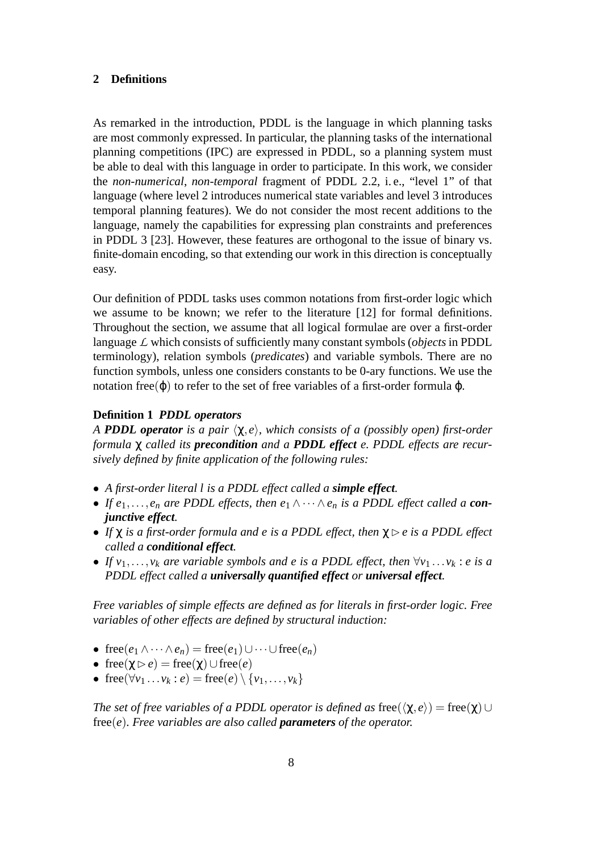#### **2 Definitions**

As remarked in the introduction, PDDL is the language in which planning tasks are most commonly expressed. In particular, the planning tasks of the international planning competitions (IPC) are expressed in PDDL, so a planning system must be able to deal with this language in order to participate. In this work, we consider the *non-numerical*, *non-temporal* fragment of PDDL 2.2, i. e., "level 1" of that language (where level 2 introduces numerical state variables and level 3 introduces temporal planning features). We do not consider the most recent additions to the language, namely the capabilities for expressing plan constraints and preferences in PDDL 3 [23]. However, these features are orthogonal to the issue of binary vs. finite-domain encoding, so that extending our work in this direction is conceptually easy.

Our definition of PDDL tasks uses common notations from first-order logic which we assume to be known; we refer to the literature [12] for formal definitions. Throughout the section, we assume that all logical formulae are over a first-order language *L* which consists of sufficiently many constant symbols (*objects* in PDDL terminology), relation symbols (*predicates*) and variable symbols. There are no function symbols, unless one considers constants to be 0-ary functions. We use the notation free( $\varphi$ ) to refer to the set of free variables of a first-order formula  $\varphi$ .

## **Definition 1** *PDDL operators*

*A PDDL operator is a pair*  $\langle \chi, e \rangle$ *, which consists of a (possibly open) first-order formula* χ *called its precondition and a PDDL effect e. PDDL effects are recursively defined by finite application of the following rules:*

- *A first-order literal l is a PDDL effect called a simple effect.*
- *If*  $e_1, \ldots, e_n$  *are PDDL effects, then*  $e_1 \wedge \cdots \wedge e_n$  *is a PDDL effect called a conjunctive effect.*
- *If*  $χ$  *is a first-order formula and e is a PDDL effect, then*  $χ$   $>$  *e is a PDDL effect called a conditional effect.*
- *If*  $v_1, \ldots, v_k$  *are variable symbols and e is a PDDL effect, then*  $\forall v_1 \ldots v_k : e$  *is a PDDL effect called a universally quantified effect or universal effect.*

*Free variables of simple effects are defined as for literals in first-order logic. Free variables of other effects are defined by structural induction:*

- free $(e_1 \wedge \cdots \wedge e_n)$  = free $(e_1) \cup \cdots \cup$  free $(e_n)$
- free( $\chi \triangleright e$ ) = free( $\chi$ ) ∪ free( $e$ )
- free( $\forall v_1 \dots v_k : e$ ) = free( $e$ ) \{ $v_1, \dots, v_k$  }

*The set of free variables of a PDDL operator is defined as free* $(\langle \chi, e \rangle)$  *= free* $(\chi) \cup$ free(*e*)*. Free variables are also called parameters of the operator.*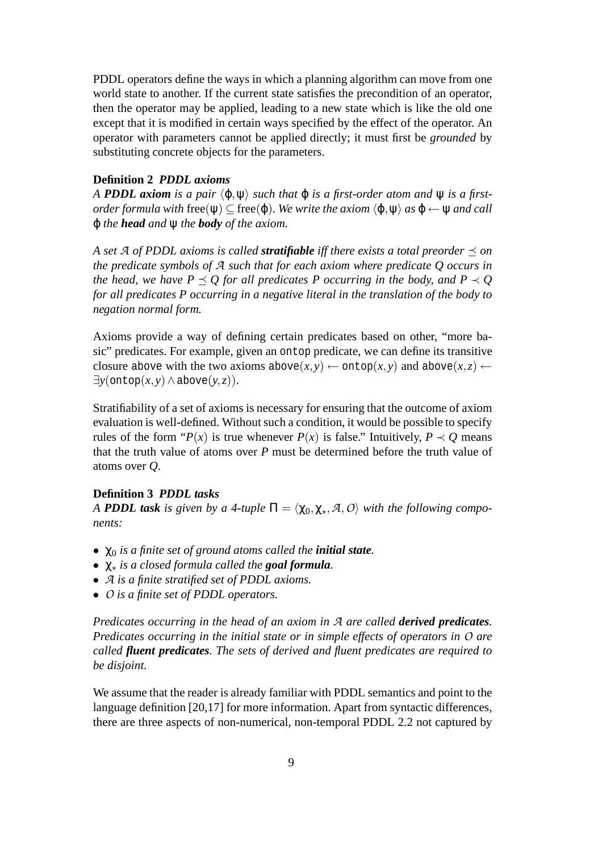PDDL operators define the ways in which a planning algorithm can move from one world state to another. If the current state satisfies the precondition of an operator, then the operator may be applied, leading to a new state which is like the old one except that it is modified in certain ways specified by the effect of the operator. An operator with parameters cannot be applied directly; it must first be *grounded* by substituting concrete objects for the parameters.

#### **Definition 2** *PDDL axioms*

*A PDDL* **axiom** is a pair  $\langle \varphi, \psi \rangle$  such that  $\varphi$  is a first-order atom and  $\psi$  is a first*order formula with* free( $\psi$ ) ⊂ free( $\phi$ ). We write the axiom  $\langle \phi, \psi \rangle$  as  $\phi \leftarrow \psi$  and call ϕ *the head and* ψ *the body of the axiom.*

*A set A of PDDL axioms is called <i>stratifiable* iff there exists a total preorder  $\prec$  *on the predicate symbols of A such that for each axiom where predicate Q occurs in the head, we have P*  $\prec$  *Q for all predicates P occurring in the body, and P*  $\prec$  *Q for all predicates P occurring in a negative literal in the translation of the body to negation normal form.*

Axioms provide a way of defining certain predicates based on other, "more basic" predicates. For example, given an ontop predicate, we can define its transitive closure above with the two axioms above $(x, y) \leftarrow$  ontop $(x, y)$  and above $(x, z) \leftarrow$  $\exists y$ (ontop $(x, y) \land above(y, z)$ ).

Stratifiability of a set of axioms is necessary for ensuring that the outcome of axiom evaluation is well-defined. Without such a condition, it would be possible to specify rules of the form " $P(x)$  is true whenever  $P(x)$  is false." Intuitively,  $P \prec Q$  means that the truth value of atoms over *P* must be determined before the truth value of atoms over *Q*.

## **Definition 3** *PDDL tasks*

*A PDDL task is given by a 4-tuple*  $\Pi = \langle \chi_0, \chi_\star, A, O \rangle$  *with the following components:*

- $χ<sub>0</sub>$  *is a finite set of ground atoms called the <i>initial state*.
- $\chi_{\star}$  *is a closed formula called the goal formula.*
- *A is a finite stratified set of PDDL axioms.*
- *O is a finite set of PDDL operators.*

*Predicates occurring in the head of an axiom in A are called derived predicates. Predicates occurring in the initial state or in simple effects of operators in O are called fluent predicates. The sets of derived and fluent predicates are required to be disjoint.*

We assume that the reader is already familiar with PDDL semantics and point to the language definition [20,17] for more information. Apart from syntactic differences, there are three aspects of non-numerical, non-temporal PDDL 2.2 not captured by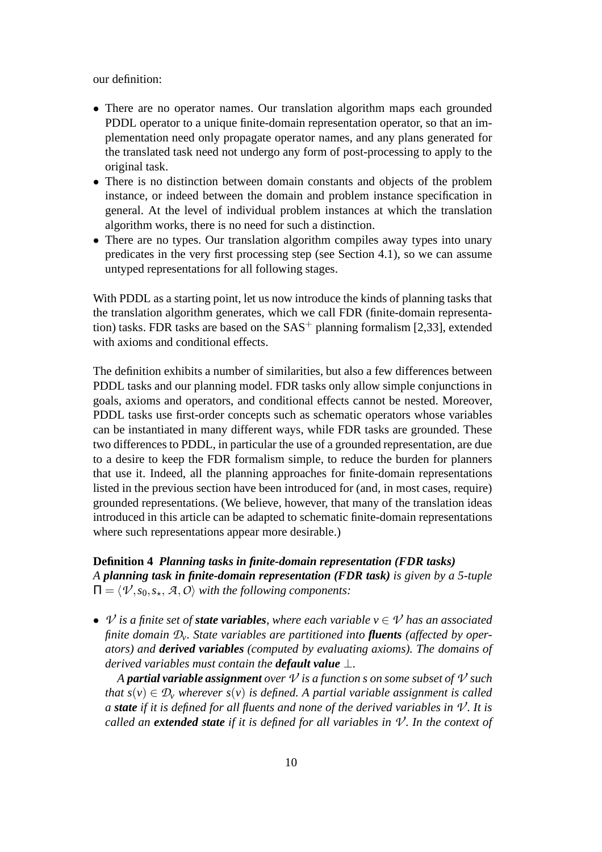our definition:

- There are no operator names. Our translation algorithm maps each grounded PDDL operator to a unique finite-domain representation operator, so that an implementation need only propagate operator names, and any plans generated for the translated task need not undergo any form of post-processing to apply to the original task.
- There is no distinction between domain constants and objects of the problem instance, or indeed between the domain and problem instance specification in general. At the level of individual problem instances at which the translation algorithm works, there is no need for such a distinction.
- There are no types. Our translation algorithm compiles away types into unary predicates in the very first processing step (see Section 4.1), so we can assume untyped representations for all following stages.

With PDDL as a starting point, let us now introduce the kinds of planning tasks that the translation algorithm generates, which we call FDR (finite-domain representation) tasks. FDR tasks are based on the  $SAS^+$  planning formalism [2,33], extended with axioms and conditional effects.

The definition exhibits a number of similarities, but also a few differences between PDDL tasks and our planning model. FDR tasks only allow simple conjunctions in goals, axioms and operators, and conditional effects cannot be nested. Moreover, PDDL tasks use first-order concepts such as schematic operators whose variables can be instantiated in many different ways, while FDR tasks are grounded. These two differences to PDDL, in particular the use of a grounded representation, are due to a desire to keep the FDR formalism simple, to reduce the burden for planners that use it. Indeed, all the planning approaches for finite-domain representations listed in the previous section have been introduced for (and, in most cases, require) grounded representations. (We believe, however, that many of the translation ideas introduced in this article can be adapted to schematic finite-domain representations where such representations appear more desirable.)

# **Definition 4** *Planning tasks in finite-domain representation (FDR tasks) A planning task in finite-domain representation (FDR task) is given by a 5-tuple*  $\Pi = \langle \mathcal{V}, s_0, s_\star, \mathcal{A}, O \rangle$  *with the following components:*

• *V* is a finite set of **state variables**, where each variable  $v \in V$  has an associated *finite domain Dv. State variables are partitioned into fluents (affected by operators) and derived variables (computed by evaluating axioms). The domains of derived variables must contain the default value* ⊥*.*

*A partial variable assignment over V is a function s on some subset of V such that*  $s(v) \in \mathcal{D}_v$  *wherever*  $s(v)$  *is defined. A partial variable assignment is called a state if it is defined for all fluents and none of the derived variables in V . It is called an extended state if it is defined for all variables in V . In the context of*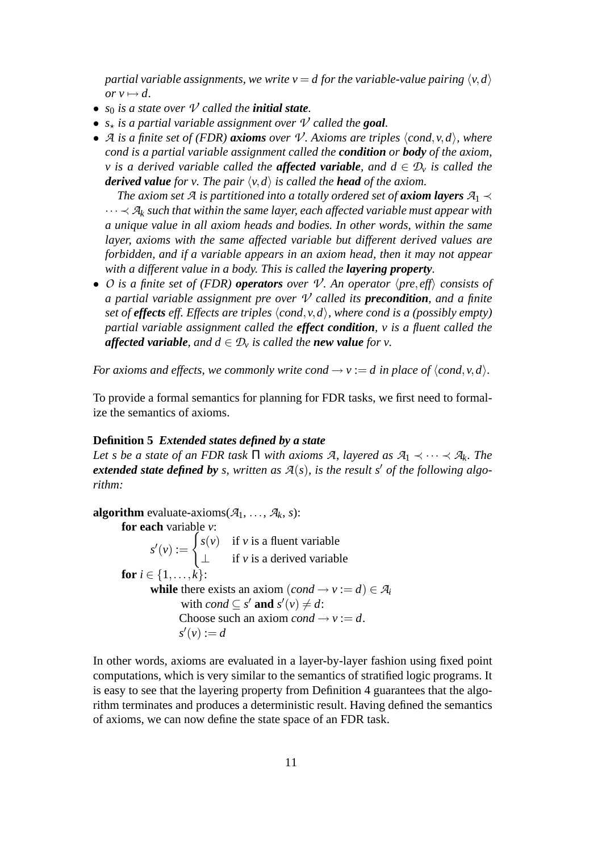*partial variable assignments, we write*  $v = d$  *for the variable-value pairing*  $\langle v, d \rangle$ *or*  $v \mapsto d$ .

- $s_0$  *is a state over*  $\nu$  *called the initial state.*
- $s_{\star}$  *is a partial variable assignment over*  $\mathcal{V}$  *called the goal.*
- *A* is a finite set of (FDR) **axioms** over V. Axioms are triples  $\langle cond, v, d \rangle$ , where *cond is a partial variable assignment called the condition or body of the axiom, v* is a derived variable called the **affected variable**, and  $d \in \mathcal{D}_v$  is called the *derived value for v. The pair*  $\langle v, d \rangle$  *is called the head of the axiom.*

*The axiom set A is partitioned into a totally ordered set of axiom layers*  $A_1 \nightharpoonup$  $\cdots \prec A_k$  *such that within the same layer, each affected variable must appear with a unique value in all axiom heads and bodies. In other words, within the same layer, axioms with the same affected variable but different derived values are forbidden, and if a variable appears in an axiom head, then it may not appear with a different value in a body. This is called the layering property.*

• *O* is a finite set of (FDR) **operators** over  $V$ . An operator  $\langle pre, eff \rangle$  consists of *a partial variable assignment pre over V called its precondition, and a finite set of effects eff. Effects are triples*  $\langle cond, v, d \rangle$ *, where cond is a (possibly empty) partial variable assignment called the effect condition, v is a fluent called the affected variable, and*  $d \in \mathcal{D}_v$  *is called the new value for v.* 

*For axioms and effects, we commonly write cond*  $\rightarrow$  *v* := *d in place of*  $\langle cond, v, d \rangle$ *.* 

To provide a formal semantics for planning for FDR tasks, we first need to formalize the semantics of axioms.

## **Definition 5** *Extended states defined by a state*

*Let s be a state of an FDR task*  $\Pi$  *with axioms A, layered as*  $A_1 \prec \cdots \prec A_k$ *. The extended state defined by s, written as*  $A(s)$ *, is the result s' of the following algorithm:*

**algorithm** evaluate-axioms( $A_1, \ldots, A_k, s$ ): **for each** variable *v*:  $s'(v) :=$  $\int s(v)$  if *v* is a fluent variable ⊥ if *v* is a derived variable **for**  $i \in \{1, ..., k\}$ : **while** there exists an axiom  $(cond \rightarrow v := d) \in \mathcal{A}_i$ with *cond*  $\subseteq$  *s'* **and**  $s'(v) \neq d$ : Choose such an axiom *cond*  $\rightarrow$  *v* := *d*.  $s'(v) := d$ 

In other words, axioms are evaluated in a layer-by-layer fashion using fixed point computations, which is very similar to the semantics of stratified logic programs. It is easy to see that the layering property from Definition 4 guarantees that the algorithm terminates and produces a deterministic result. Having defined the semantics of axioms, we can now define the state space of an FDR task.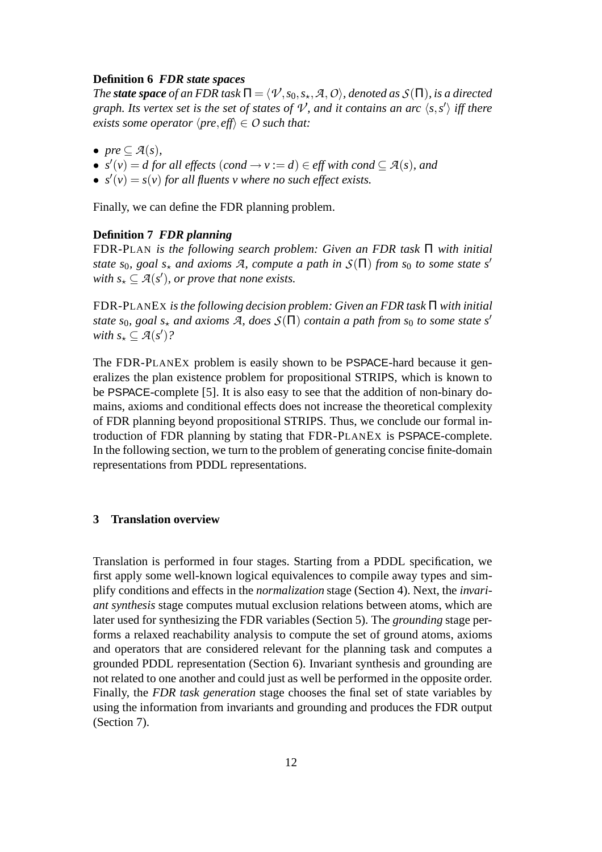#### **Definition 6** *FDR state spaces*

*The state space* of an FDR task  $\Pi = \langle V, s_0, s_*, A, O \rangle$ , denoted as  $S(\Pi)$ , is a directed *graph. Its vertex set is the set of states of*  $V$ *, and it contains an arc*  $\langle s, s' \rangle$  *iff there exists some operator*  $\langle pre, eff \rangle \in O$  *such that:* 

- *pre*  $\subset$   $\mathcal{A}(s)$ ,
- $s'(v) = d$  for all effects  $(cond \rightarrow v := d) \in eff$  with cond  $\subseteq A(s)$ , and
- $s'(v) = s(v)$  *for all fluents v where no such effect exists.*

Finally, we can define the FDR planning problem.

# **Definition 7** *FDR planning*

FDR-PLAN *is the following search problem: Given an FDR task* Π *with initial state*  $s_0$ , goal  $s_*$  and axioms A, compute a path in  $S(\Pi)$  from  $s_0$  to some state s' with  $s_\star \subseteq \mathcal{A}(s')$ , or prove that none exists.

FDR-PLANEX *is the following decision problem: Given an FDR task* Π *with initial state*  $s_0$ , goal  $s_{\star}$  *and axioms A, does*  $S(\Pi)$  *contain a path from*  $s_0$  *to some state* s' *with*  $s_\star \subseteq \mathcal{A}(s')$ ?

The FDR-PLANEX problem is easily shown to be PSPACE-hard because it generalizes the plan existence problem for propositional STRIPS, which is known to be PSPACE-complete [5]. It is also easy to see that the addition of non-binary domains, axioms and conditional effects does not increase the theoretical complexity of FDR planning beyond propositional STRIPS. Thus, we conclude our formal introduction of FDR planning by stating that FDR-PLANEX is PSPACE-complete. In the following section, we turn to the problem of generating concise finite-domain representations from PDDL representations.

#### **3 Translation overview**

Translation is performed in four stages. Starting from a PDDL specification, we first apply some well-known logical equivalences to compile away types and simplify conditions and effects in the *normalization* stage (Section 4). Next, the *invariant synthesis* stage computes mutual exclusion relations between atoms, which are later used for synthesizing the FDR variables (Section 5). The *grounding* stage performs a relaxed reachability analysis to compute the set of ground atoms, axioms and operators that are considered relevant for the planning task and computes a grounded PDDL representation (Section 6). Invariant synthesis and grounding are not related to one another and could just as well be performed in the opposite order. Finally, the *FDR task generation* stage chooses the final set of state variables by using the information from invariants and grounding and produces the FDR output (Section 7).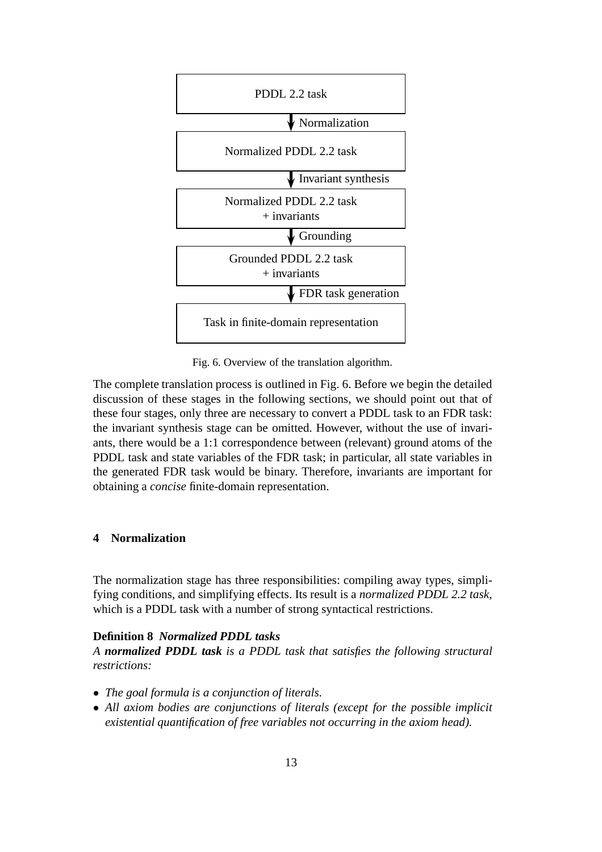

Fig. 6. Overview of the translation algorithm.

The complete translation process is outlined in Fig. 6. Before we begin the detailed discussion of these stages in the following sections, we should point out that of these four stages, only three are necessary to convert a PDDL task to an FDR task: the invariant synthesis stage can be omitted. However, without the use of invariants, there would be a 1:1 correspondence between (relevant) ground atoms of the PDDL task and state variables of the FDR task; in particular, all state variables in the generated FDR task would be binary. Therefore, invariants are important for obtaining a *concise* finite-domain representation.

# **4 Normalization**

The normalization stage has three responsibilities: compiling away types, simplifying conditions, and simplifying effects. Its result is a *normalized PDDL 2.2 task*, which is a PDDL task with a number of strong syntactical restrictions.

## **Definition 8** *Normalized PDDL tasks*

*A normalized PDDL task is a PDDL task that satisfies the following structural restrictions:*

- *The goal formula is a conjunction of literals.*
- *All axiom bodies are conjunctions of literals (except for the possible implicit existential quantification of free variables not occurring in the axiom head).*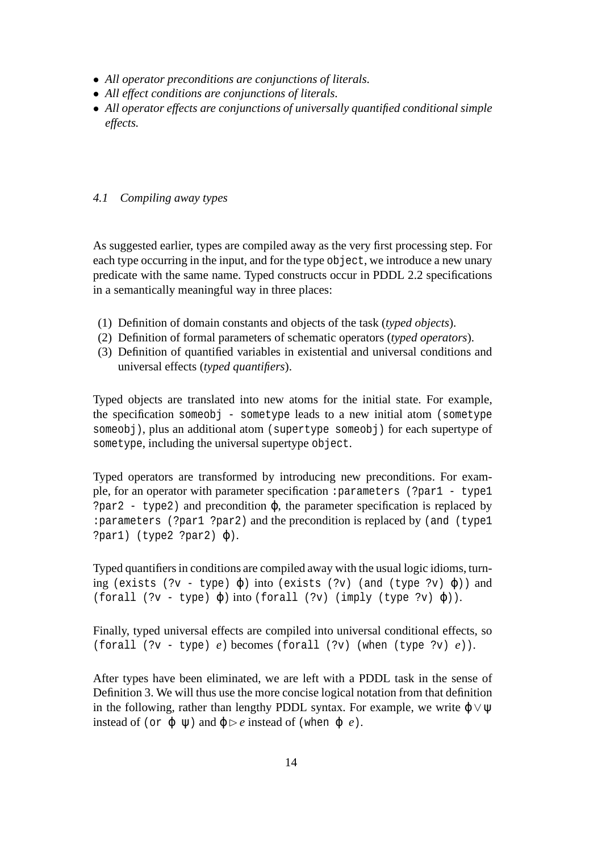- *All operator preconditions are conjunctions of literals.*
- *All effect conditions are conjunctions of literals.*
- *All operator effects are conjunctions of universally quantified conditional simple effects.*

# *4.1 Compiling away types*

As suggested earlier, types are compiled away as the very first processing step. For each type occurring in the input, and for the type object, we introduce a new unary predicate with the same name. Typed constructs occur in PDDL 2.2 specifications in a semantically meaningful way in three places:

- (1) Definition of domain constants and objects of the task (*typed objects*).
- (2) Definition of formal parameters of schematic operators (*typed operators*).
- (3) Definition of quantified variables in existential and universal conditions and universal effects (*typed quantifiers*).

Typed objects are translated into new atoms for the initial state. For example, the specification someobj - sometype leads to a new initial atom (sometype someobj), plus an additional atom (supertype someobj) for each supertype of sometype, including the universal supertype object.

Typed operators are transformed by introducing new preconditions. For example, for an operator with parameter specification :parameters (?par1 - type1 ?par2 - type2) and precondition ϕ, the parameter specification is replaced by :parameters (?par1 ?par2) and the precondition is replaced by (and (type1 ?par1) (type2 ?par2)  $\varphi$ ).

Typed quantifiers in conditions are compiled away with the usual logic idioms, turning (exists (?v - type)  $\varphi$ ) into (exists (?v) (and (type ?v)  $\varphi$ )) and (forall (?v - type)  $\phi$ ) into (forall (?v) (imply (type ?v)  $\phi$ )).

Finally, typed universal effects are compiled into universal conditional effects, so (forall (?v - type) *e*) becomes (forall (?v) (when (type ?v) *e*)).

After types have been eliminated, we are left with a PDDL task in the sense of Definition 3. We will thus use the more concise logical notation from that definition in the following, rather than lengthy PDDL syntax. For example, we write  $\varphi \lor \psi$ instead of (or  $\varphi \psi$ ) and  $\varphi \triangleright e$  instead of (when  $\varphi e$ ).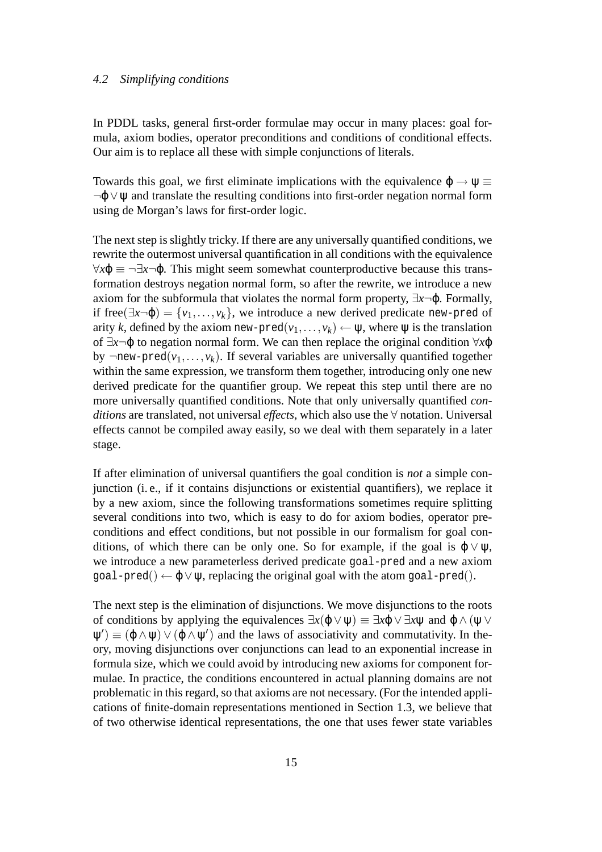#### *4.2 Simplifying conditions*

In PDDL tasks, general first-order formulae may occur in many places: goal formula, axiom bodies, operator preconditions and conditions of conditional effects. Our aim is to replace all these with simple conjunctions of literals.

Towards this goal, we first eliminate implications with the equivalence  $\varphi \to \psi \equiv$ ¬ϕ∨ψ and translate the resulting conditions into first-order negation normal form using de Morgan's laws for first-order logic.

The next step is slightly tricky. If there are any universally quantified conditions, we rewrite the outermost universal quantification in all conditions with the equivalence  $\forall x \phi \equiv \neg \exists x \neg \phi$ . This might seem somewhat counterproductive because this transformation destroys negation normal form, so after the rewrite, we introduce a new axiom for the subformula that violates the normal form property, ∃*x*¬ϕ. Formally, if free( $\exists x \neg \phi$ ) = { $v_1, \ldots, v_k$ }, we introduce a new derived predicate new-pred of arity *k*, defined by the axiom new-pred $(v_1, \ldots, v_k) \leftarrow \Psi$ , where  $\Psi$  is the translation of ∃*x*¬ϕ to negation normal form. We can then replace the original condition ∀*x*ϕ by  $\neg$ new-pred( $v_1, \ldots, v_k$ ). If several variables are universally quantified together within the same expression, we transform them together, introducing only one new derived predicate for the quantifier group. We repeat this step until there are no more universally quantified conditions. Note that only universally quantified *conditions* are translated, not universal *effects*, which also use the ∀ notation. Universal effects cannot be compiled away easily, so we deal with them separately in a later stage.

If after elimination of universal quantifiers the goal condition is *not* a simple conjunction (i. e., if it contains disjunctions or existential quantifiers), we replace it by a new axiom, since the following transformations sometimes require splitting several conditions into two, which is easy to do for axiom bodies, operator preconditions and effect conditions, but not possible in our formalism for goal conditions, of which there can be only one. So for example, if the goal is  $\varphi \vee \psi$ , we introduce a new parameterless derived predicate goal-pred and a new axiom  $\text{goal-pred}() \leftarrow \phi \vee \psi$ , replacing the original goal with the atom goal-pred().

The next step is the elimination of disjunctions. We move disjunctions to the roots of conditions by applying the equivalences  $\exists x(\varphi \vee \psi) \equiv \exists x \varphi \vee \exists x \psi$  and  $\varphi \wedge (\psi \vee \psi)$  $\Psi'$ )  $\equiv (\phi \wedge \psi) \vee (\phi \wedge \psi')$  and the laws of associativity and commutativity. In theory, moving disjunctions over conjunctions can lead to an exponential increase in formula size, which we could avoid by introducing new axioms for component formulae. In practice, the conditions encountered in actual planning domains are not problematic in this regard, so that axioms are not necessary. (For the intended applications of finite-domain representations mentioned in Section 1.3, we believe that of two otherwise identical representations, the one that uses fewer state variables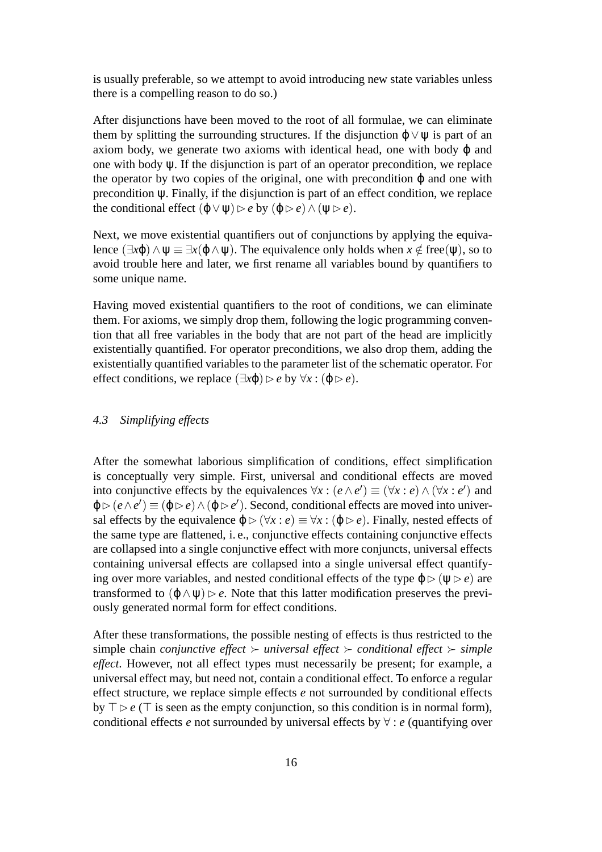is usually preferable, so we attempt to avoid introducing new state variables unless there is a compelling reason to do so.)

After disjunctions have been moved to the root of all formulae, we can eliminate them by splitting the surrounding structures. If the disjunction  $\varphi \lor \psi$  is part of an axiom body, we generate two axioms with identical head, one with body  $\varphi$  and one with body ψ. If the disjunction is part of an operator precondition, we replace the operator by two copies of the original, one with precondition  $\varphi$  and one with precondition ψ. Finally, if the disjunction is part of an effect condition, we replace the conditional effect  $(\phi \lor \psi) \triangleright e$  by  $(\phi \triangleright e) \land (\psi \triangleright e)$ .

Next, we move existential quantifiers out of conjunctions by applying the equivalence  $(\exists x \varphi) \wedge \psi \equiv \exists x (\varphi \wedge \psi)$ . The equivalence only holds when  $x \notin \text{free}(\psi)$ , so to avoid trouble here and later, we first rename all variables bound by quantifiers to some unique name.

Having moved existential quantifiers to the root of conditions, we can eliminate them. For axioms, we simply drop them, following the logic programming convention that all free variables in the body that are not part of the head are implicitly existentially quantified. For operator preconditions, we also drop them, adding the existentially quantified variables to the parameter list of the schematic operator. For effect conditions, we replace  $(\exists x \varphi) \triangleright e$  by  $\forall x : (\varphi \triangleright e)$ .

# *4.3 Simplifying effects*

After the somewhat laborious simplification of conditions, effect simplification is conceptually very simple. First, universal and conditional effects are moved into conjunctive effects by the equivalences  $\forall x : (e \land e') \equiv (\forall x : e) \land (\forall x : e')$  and  $\varphi \triangleright (e \wedge e') \equiv (\varphi \triangleright e) \wedge (\varphi \triangleright e')$ . Second, conditional effects are moved into universal effects by the equivalence  $\varphi \triangleright (\forall x : e) \equiv \forall x : (\varphi \triangleright e)$ . Finally, nested effects of the same type are flattened, i. e., conjunctive effects containing conjunctive effects are collapsed into a single conjunctive effect with more conjuncts, universal effects containing universal effects are collapsed into a single universal effect quantifying over more variables, and nested conditional effects of the type  $\varphi \triangleright (\psi \triangleright e)$  are transformed to  $(\phi \land \psi) \triangleright e$ . Note that this latter modification preserves the previously generated normal form for effect conditions.

After these transformations, the possible nesting of effects is thus restricted to the simple chain *conjunctive effect* ≻ *universal effect* ≻ *conditional effect* ≻ *simple effect*. However, not all effect types must necessarily be present; for example, a universal effect may, but need not, contain a conditional effect. To enforce a regular effect structure, we replace simple effects *e* not surrounded by conditional effects by ⊤✄*e* (⊤ is seen as the empty conjunction, so this condition is in normal form), conditional effects *e* not surrounded by universal effects by ∀ : *e* (quantifying over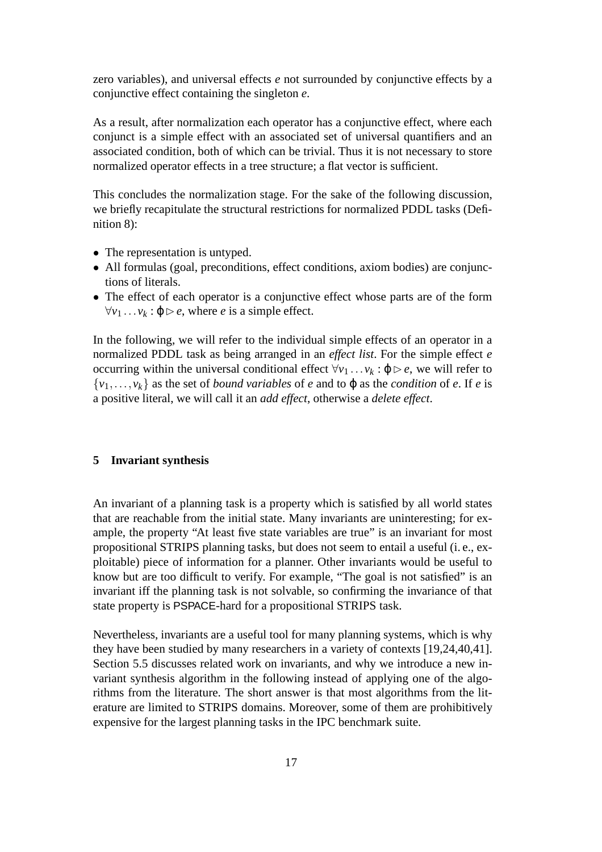zero variables), and universal effects *e* not surrounded by conjunctive effects by a conjunctive effect containing the singleton *e*.

As a result, after normalization each operator has a conjunctive effect, where each conjunct is a simple effect with an associated set of universal quantifiers and an associated condition, both of which can be trivial. Thus it is not necessary to store normalized operator effects in a tree structure; a flat vector is sufficient.

This concludes the normalization stage. For the sake of the following discussion, we briefly recapitulate the structural restrictions for normalized PDDL tasks (Definition 8):

- The representation is untyped.
- All formulas (goal, preconditions, effect conditions, axiom bodies) are conjunctions of literals.
- The effect of each operator is a conjunctive effect whose parts are of the form  $\forall v_1 \dots v_k : \varphi \triangleright e$ , where *e* is a simple effect.

In the following, we will refer to the individual simple effects of an operator in a normalized PDDL task as being arranged in an *effect list*. For the simple effect *e* occurring within the universal conditional effect  $\forall v_1 \dots v_k : \phi \triangleright e$ , we will refer to  $\{v_1, \ldots, v_k\}$  as the set of *bound variables* of *e* and to  $\varphi$  as the *condition* of *e*. If *e* is a positive literal, we will call it an *add effect*, otherwise a *delete effect*.

## **5 Invariant synthesis**

An invariant of a planning task is a property which is satisfied by all world states that are reachable from the initial state. Many invariants are uninteresting; for example, the property "At least five state variables are true" is an invariant for most propositional STRIPS planning tasks, but does not seem to entail a useful (i. e., exploitable) piece of information for a planner. Other invariants would be useful to know but are too difficult to verify. For example, "The goal is not satisfied" is an invariant iff the planning task is not solvable, so confirming the invariance of that state property is PSPACE-hard for a propositional STRIPS task.

Nevertheless, invariants are a useful tool for many planning systems, which is why they have been studied by many researchers in a variety of contexts [19,24,40,41]. Section 5.5 discusses related work on invariants, and why we introduce a new invariant synthesis algorithm in the following instead of applying one of the algorithms from the literature. The short answer is that most algorithms from the literature are limited to STRIPS domains. Moreover, some of them are prohibitively expensive for the largest planning tasks in the IPC benchmark suite.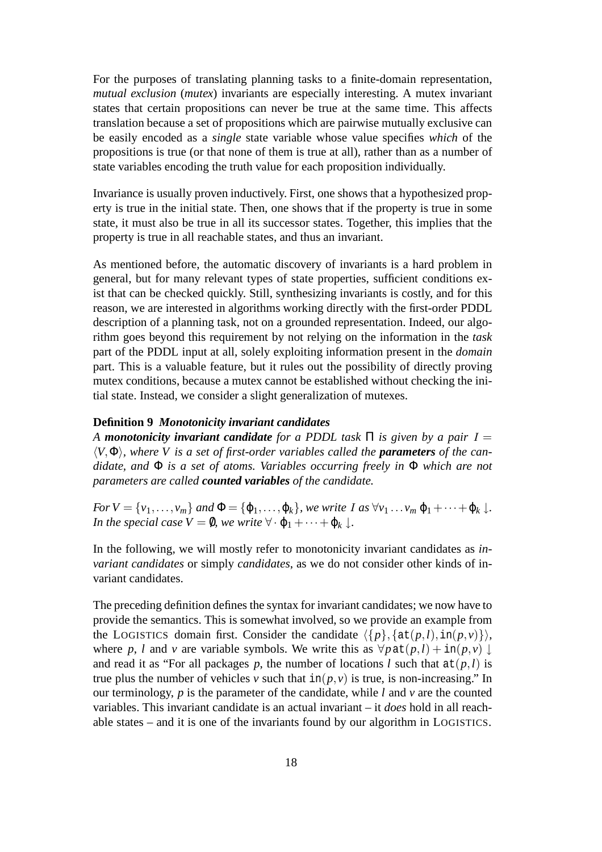For the purposes of translating planning tasks to a finite-domain representation, *mutual exclusion* (*mutex*) invariants are especially interesting. A mutex invariant states that certain propositions can never be true at the same time. This affects translation because a set of propositions which are pairwise mutually exclusive can be easily encoded as a *single* state variable whose value specifies *which* of the propositions is true (or that none of them is true at all), rather than as a number of state variables encoding the truth value for each proposition individually.

Invariance is usually proven inductively. First, one shows that a hypothesized property is true in the initial state. Then, one shows that if the property is true in some state, it must also be true in all its successor states. Together, this implies that the property is true in all reachable states, and thus an invariant.

As mentioned before, the automatic discovery of invariants is a hard problem in general, but for many relevant types of state properties, sufficient conditions exist that can be checked quickly. Still, synthesizing invariants is costly, and for this reason, we are interested in algorithms working directly with the first-order PDDL description of a planning task, not on a grounded representation. Indeed, our algorithm goes beyond this requirement by not relying on the information in the *task* part of the PDDL input at all, solely exploiting information present in the *domain* part. This is a valuable feature, but it rules out the possibility of directly proving mutex conditions, because a mutex cannot be established without checking the initial state. Instead, we consider a slight generalization of mutexes.

#### **Definition 9** *Monotonicity invariant candidates*

*A monotonicity invariant candidate for a PDDL task* Π *is given by a pair I* =  $\langle V, \Phi \rangle$ , where V is a set of first-order variables called the **parameters** of the can*didate, and* Φ *is a set of atoms. Variables occurring freely in* Φ *which are not parameters are called counted variables of the candidate.*

*For*  $V = \{v_1, \ldots, v_m\}$  *and*  $\Phi = \{\phi_1, \ldots, \phi_k\}$ *, we write I as*  $\forall v_1 \ldots v_m \phi_1 + \cdots + \phi_k \downarrow$ *. In the special case*  $V = \emptyset$ *, we write*  $\forall \cdot \varphi_1 + \cdots + \varphi_k \downarrow$ *.* 

In the following, we will mostly refer to monotonicity invariant candidates as *invariant candidates* or simply *candidates*, as we do not consider other kinds of invariant candidates.

The preceding definition defines the syntax for invariant candidates; we now have to provide the semantics. This is somewhat involved, so we provide an example from the LOGISTICS domain first. Consider the candidate  $\langle \{p\}, \{at(p, l), in(p, v)\}\rangle$ , where *p*, *l* and *v* are variable symbols. We write this as  $\forall p \text{at}(p, l) + \text{in}(p, v) \downarrow$ and read it as "For all packages p, the number of locations l such that  $at(p, l)$  is true plus the number of vehicles  $\nu$  such that  $\text{in}(p, \nu)$  is true, is non-increasing." In our terminology, *p* is the parameter of the candidate, while *l* and *v* are the counted variables. This invariant candidate is an actual invariant – it *does* hold in all reachable states – and it is one of the invariants found by our algorithm in LOGISTICS.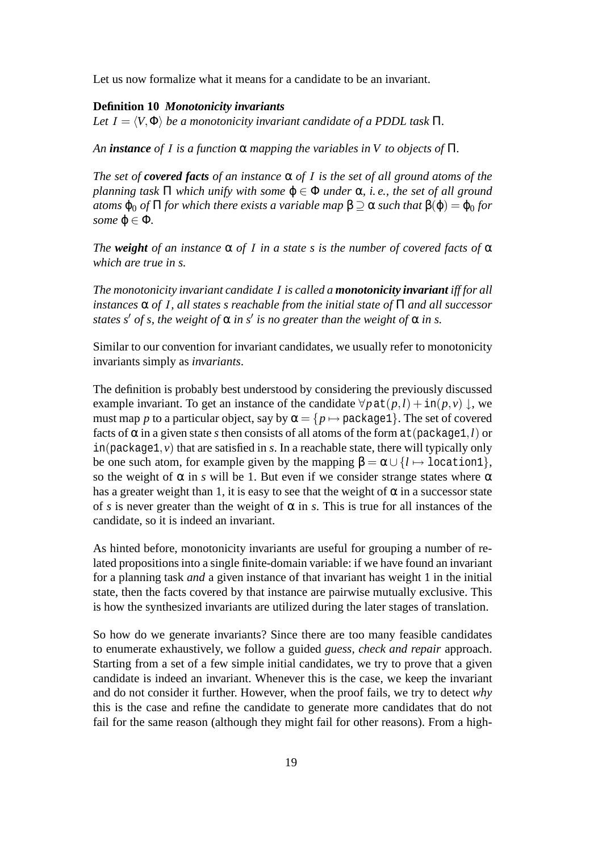Let us now formalize what it means for a candidate to be an invariant.

#### **Definition 10** *Monotonicity invariants*

*Let*  $I = \langle V, \Phi \rangle$  *be a monotonicity invariant candidate of a PDDL task*  $\Pi$ *.* 

*An instance* of *I* is a function  $\alpha$  *mapping the variables in V to objects of*  $\Pi$ *.* 

*The set of covered facts of an instance* α *of I is the set of all ground atoms of the planning task*  $\Pi$  *which unify with some*  $\varphi \in \Phi$  *under*  $\alpha$ *, i.e., the set of all ground atoms*  $φ_0$  *of*  $\Pi$  *for which there exists a variable map*  $β ⊇ α$  *such that*  $β(φ) = φ_0$  *for some*  $\varphi \in \Phi$ *.* 

*The weight of an instance*  $\alpha$  *of I in a state s is the number of covered facts of*  $\alpha$ *which are true in s.*

*The monotonicity invariant candidate I is called a monotonicity invariant iff for all instances* α *of I, all states s reachable from the initial state of* Π *and all successor states s' of s, the weight of*  $\alpha$  *in s' is no greater than the weight of*  $\alpha$  *in s.* 

Similar to our convention for invariant candidates, we usually refer to monotonicity invariants simply as *invariants*.

The definition is probably best understood by considering the previously discussed example invariant. To get an instance of the candidate  $\forall p \, \text{at}(p, l) + \text{in}(p, v) \downarrow$ , we must map *p* to a particular object, say by  $\alpha = \{p \mapsto$  package 1}. The set of covered facts of  $\alpha$  in a given state *s* then consists of all atoms of the form  $at(package1, l)$  or in(package1, *v*) that are satisfied in *s*. In a reachable state, there will typically only be one such atom, for example given by the mapping  $\beta = \alpha \cup \{l \mapsto$  location1}, so the weight of  $\alpha$  in *s* will be 1. But even if we consider strange states where  $\alpha$ has a greater weight than 1, it is easy to see that the weight of  $\alpha$  in a successor state of *s* is never greater than the weight of  $\alpha$  in *s*. This is true for all instances of the candidate, so it is indeed an invariant.

As hinted before, monotonicity invariants are useful for grouping a number of related propositions into a single finite-domain variable: if we have found an invariant for a planning task *and* a given instance of that invariant has weight 1 in the initial state, then the facts covered by that instance are pairwise mutually exclusive. This is how the synthesized invariants are utilized during the later stages of translation.

So how do we generate invariants? Since there are too many feasible candidates to enumerate exhaustively, we follow a guided *guess, check and repair* approach. Starting from a set of a few simple initial candidates, we try to prove that a given candidate is indeed an invariant. Whenever this is the case, we keep the invariant and do not consider it further. However, when the proof fails, we try to detect *why* this is the case and refine the candidate to generate more candidates that do not fail for the same reason (although they might fail for other reasons). From a high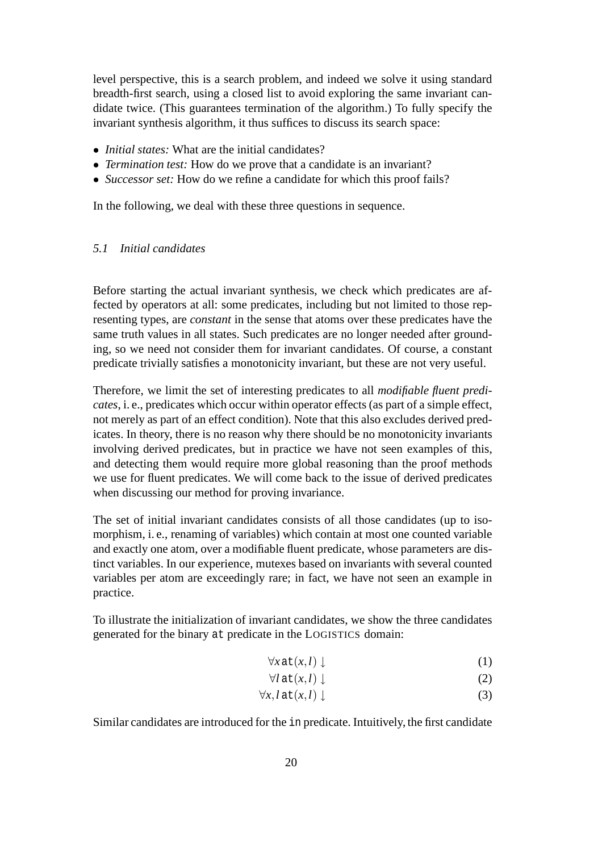level perspective, this is a search problem, and indeed we solve it using standard breadth-first search, using a closed list to avoid exploring the same invariant candidate twice. (This guarantees termination of the algorithm.) To fully specify the invariant synthesis algorithm, it thus suffices to discuss its search space:

- *Initial states:* What are the initial candidates?
- *Termination test:* How do we prove that a candidate is an invariant?
- *Successor set:* How do we refine a candidate for which this proof fails?

In the following, we deal with these three questions in sequence.

# *5.1 Initial candidates*

Before starting the actual invariant synthesis, we check which predicates are affected by operators at all: some predicates, including but not limited to those representing types, are *constant* in the sense that atoms over these predicates have the same truth values in all states. Such predicates are no longer needed after grounding, so we need not consider them for invariant candidates. Of course, a constant predicate trivially satisfies a monotonicity invariant, but these are not very useful.

Therefore, we limit the set of interesting predicates to all *modifiable fluent predicates*, i. e., predicates which occur within operator effects (as part of a simple effect, not merely as part of an effect condition). Note that this also excludes derived predicates. In theory, there is no reason why there should be no monotonicity invariants involving derived predicates, but in practice we have not seen examples of this, and detecting them would require more global reasoning than the proof methods we use for fluent predicates. We will come back to the issue of derived predicates when discussing our method for proving invariance.

The set of initial invariant candidates consists of all those candidates (up to isomorphism, i. e., renaming of variables) which contain at most one counted variable and exactly one atom, over a modifiable fluent predicate, whose parameters are distinct variables. In our experience, mutexes based on invariants with several counted variables per atom are exceedingly rare; in fact, we have not seen an example in practice.

To illustrate the initialization of invariant candidates, we show the three candidates generated for the binary at predicate in the LOGISTICS domain:

$$
\forall x \mathtt{at}(x,l) \downarrow \tag{1}
$$

$$
\forall l \operatorname{at}(x,l) \downarrow \tag{2}
$$

$$
\forall x, l \operatorname{at}(x, l) \downarrow \tag{3}
$$

Similar candidates are introduced for the in predicate. Intuitively, the first candidate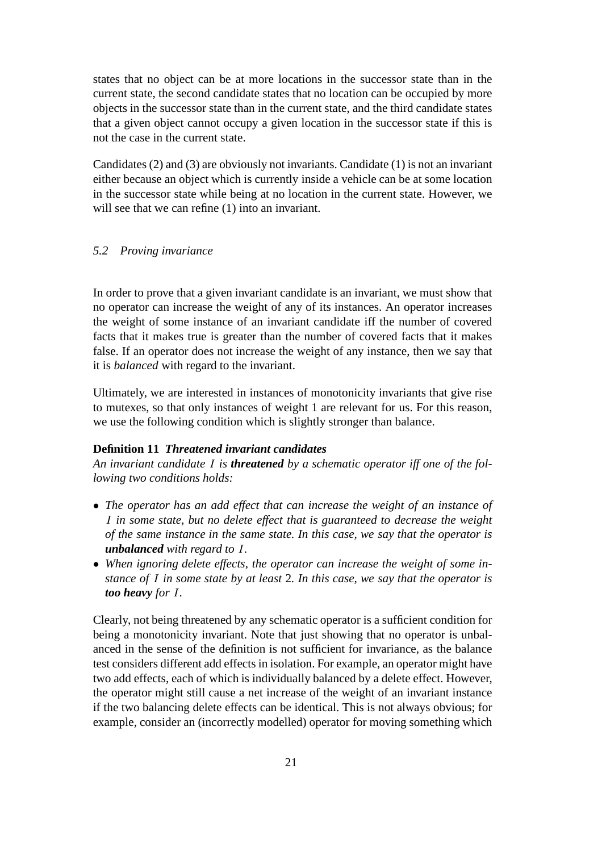states that no object can be at more locations in the successor state than in the current state, the second candidate states that no location can be occupied by more objects in the successor state than in the current state, and the third candidate states that a given object cannot occupy a given location in the successor state if this is not the case in the current state.

Candidates (2) and (3) are obviously not invariants. Candidate (1) is not an invariant either because an object which is currently inside a vehicle can be at some location in the successor state while being at no location in the current state. However, we will see that we can refine (1) into an invariant.

## *5.2 Proving invariance*

In order to prove that a given invariant candidate is an invariant, we must show that no operator can increase the weight of any of its instances. An operator increases the weight of some instance of an invariant candidate iff the number of covered facts that it makes true is greater than the number of covered facts that it makes false. If an operator does not increase the weight of any instance, then we say that it is *balanced* with regard to the invariant.

Ultimately, we are interested in instances of monotonicity invariants that give rise to mutexes, so that only instances of weight 1 are relevant for us. For this reason, we use the following condition which is slightly stronger than balance.

#### **Definition 11** *Threatened invariant candidates*

*An invariant candidate I is threatened by a schematic operator iff one of the following two conditions holds:*

- *The operator has an add effect that can increase the weight of an instance of I in some state, but no delete effect that is guaranteed to decrease the weight of the same instance in the same state. In this case, we say that the operator is unbalanced with regard to I.*
- When ignoring delete effects, the operator can increase the weight of some in*stance of I in some state by at least* 2*. In this case, we say that the operator is too heavy for I.*

Clearly, not being threatened by any schematic operator is a sufficient condition for being a monotonicity invariant. Note that just showing that no operator is unbalanced in the sense of the definition is not sufficient for invariance, as the balance test considers different add effects in isolation. For example, an operator might have two add effects, each of which is individually balanced by a delete effect. However, the operator might still cause a net increase of the weight of an invariant instance if the two balancing delete effects can be identical. This is not always obvious; for example, consider an (incorrectly modelled) operator for moving something which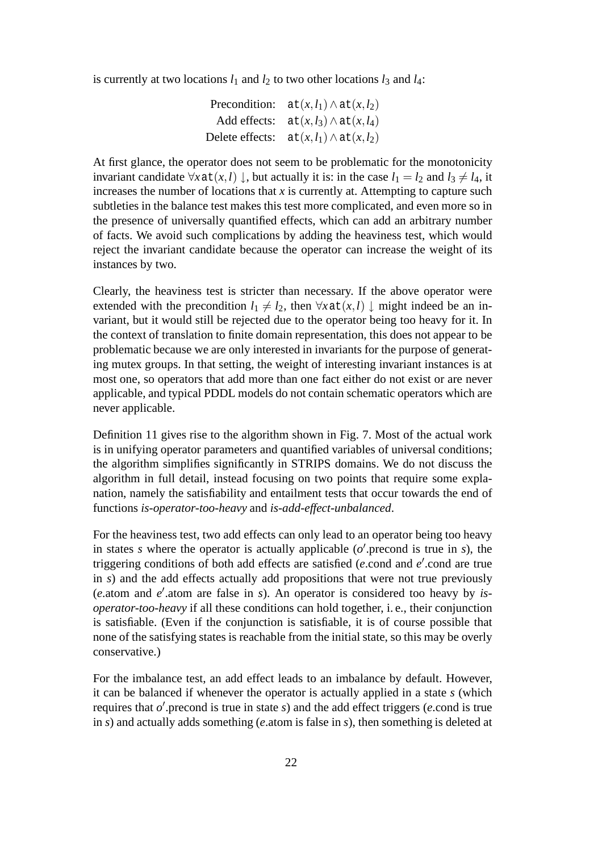is currently at two locations  $l_1$  and  $l_2$  to two other locations  $l_3$  and  $l_4$ :

| Precondition:   | $at(x, l_1) \wedge at(x, l_2)$ |
|-----------------|--------------------------------|
| Add effects:    | $at(x, l_3) \wedge at(x, l_4)$ |
| Delete effects: | $at(x, l_1) \wedge at(x, l_2)$ |

At first glance, the operator does not seem to be problematic for the monotonicity invariant candidate  $\forall x \in \mathcal{X}(x, l) \downarrow$ , but actually it is: in the case  $l_1 = l_2$  and  $l_3 \neq l_4$ , it increases the number of locations that  $x$  is currently at. Attempting to capture such subtleties in the balance test makes this test more complicated, and even more so in the presence of universally quantified effects, which can add an arbitrary number of facts. We avoid such complications by adding the heaviness test, which would reject the invariant candidate because the operator can increase the weight of its instances by two.

Clearly, the heaviness test is stricter than necessary. If the above operator were extended with the precondition  $l_1 \neq l_2$ , then  $\forall x \in (x, l) \downarrow$  might indeed be an invariant, but it would still be rejected due to the operator being too heavy for it. In the context of translation to finite domain representation, this does not appear to be problematic because we are only interested in invariants for the purpose of generating mutex groups. In that setting, the weight of interesting invariant instances is at most one, so operators that add more than one fact either do not exist or are never applicable, and typical PDDL models do not contain schematic operators which are never applicable.

Definition 11 gives rise to the algorithm shown in Fig. 7. Most of the actual work is in unifying operator parameters and quantified variables of universal conditions; the algorithm simplifies significantly in STRIPS domains. We do not discuss the algorithm in full detail, instead focusing on two points that require some explanation, namely the satisfiability and entailment tests that occur towards the end of functions *is-operator-too-heavy* and *is-add-effect-unbalanced*.

For the heaviness test, two add effects can only lead to an operator being too heavy in states *s* where the operator is actually applicable  $(o'$ -precond is true in *s*), the triggering conditions of both add effects are satisfied (*e*.cond and *e* ′ .cond are true in *s*) and the add effects actually add propositions that were not true previously (*e*.atom and *e* ′ .atom are false in *s*). An operator is considered too heavy by *isoperator-too-heavy* if all these conditions can hold together, i. e., their conjunction is satisfiable. (Even if the conjunction is satisfiable, it is of course possible that none of the satisfying states is reachable from the initial state, so this may be overly conservative.)

For the imbalance test, an add effect leads to an imbalance by default. However, it can be balanced if whenever the operator is actually applied in a state *s* (which requires that *o* ′ .precond is true in state *s*) and the add effect triggers (*e*.cond is true in *s*) and actually adds something (*e*.atom is false in *s*), then something is deleted at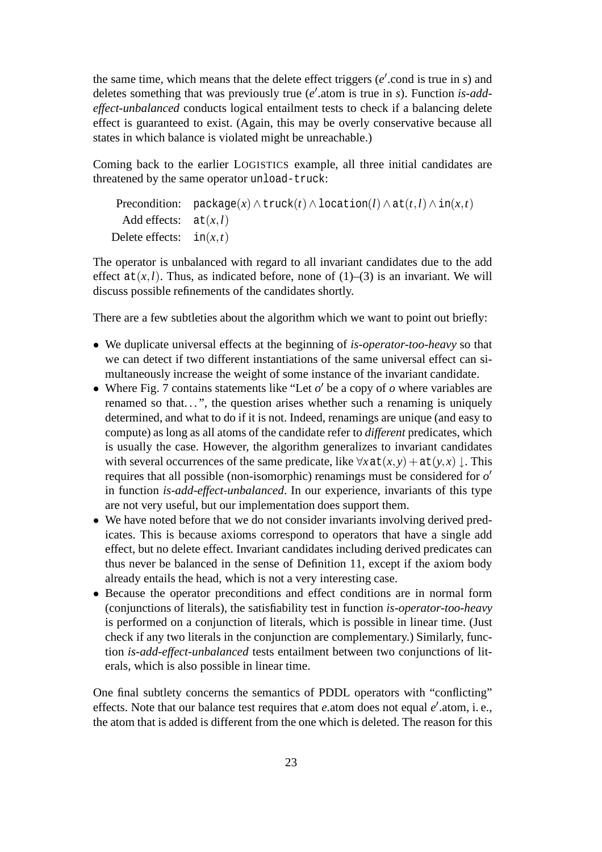the same time, which means that the delete effect triggers (*e* ′ .cond is true in *s*) and deletes something that was previously true (*e* ′ .atom is true in *s*). Function *is-addeffect-unbalanced* conducts logical entailment tests to check if a balancing delete effect is guaranteed to exist. (Again, this may be overly conservative because all states in which balance is violated might be unreachable.)

Coming back to the earlier LOGISTICS example, all three initial candidates are threatened by the same operator unload-truck:

```
Precondition: \text{package}(x) \wedge \text{truek}(t) \wedge \text{location}(l) \wedge \text{at}(t, l) \wedge \text{in}(x, t)Add effects: at(x, l)Delete effects: in(x,t)
```
The operator is unbalanced with regard to all invariant candidates due to the add effect  $at(x, l)$ . Thus, as indicated before, none of (1)–(3) is an invariant. We will discuss possible refinements of the candidates shortly.

There are a few subtleties about the algorithm which we want to point out briefly:

- We duplicate universal effects at the beginning of *is-operator-too-heavy* so that we can detect if two different instantiations of the same universal effect can simultaneously increase the weight of some instance of the invariant candidate.
- Where Fig. 7 contains statements like "Let  $o'$  be a copy of  $o$  where variables are renamed so that...", the question arises whether such a renaming is uniquely determined, and what to do if it is not. Indeed, renamings are unique (and easy to compute) as long as all atoms of the candidate refer to *different* predicates, which is usually the case. However, the algorithm generalizes to invariant candidates with several occurrences of the same predicate, like  $\forall x \in (x, y) + \text{at}(y, x) \downarrow$ . This requires that all possible (non-isomorphic) renamings must be considered for *o* ′ in function *is-add-effect-unbalanced*. In our experience, invariants of this type are not very useful, but our implementation does support them.
- We have noted before that we do not consider invariants involving derived predicates. This is because axioms correspond to operators that have a single add effect, but no delete effect. Invariant candidates including derived predicates can thus never be balanced in the sense of Definition 11, except if the axiom body already entails the head, which is not a very interesting case.
- Because the operator preconditions and effect conditions are in normal form (conjunctions of literals), the satisfiability test in function *is-operator-too-heavy* is performed on a conjunction of literals, which is possible in linear time. (Just check if any two literals in the conjunction are complementary.) Similarly, function *is-add-effect-unbalanced* tests entailment between two conjunctions of literals, which is also possible in linear time.

One final subtlety concerns the semantics of PDDL operators with "conflicting" effects. Note that our balance test requires that *e* atom does not equal *e'* atom, i. e., the atom that is added is different from the one which is deleted. The reason for this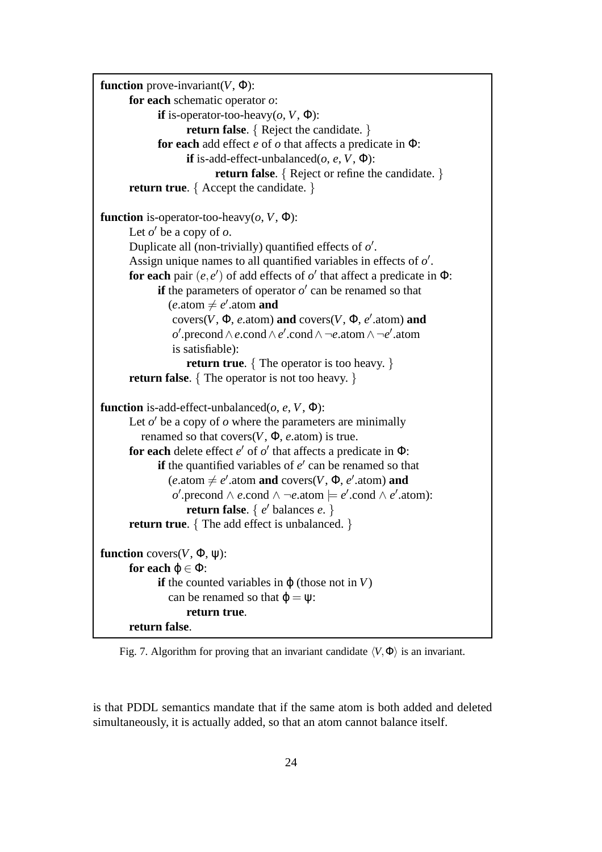```
function prove-invariant(V, Φ):
      for each schematic operator o:
            if is-operator-too-heavy(o, V, \Phi):
                   return false. { Reject the candidate. }
            for each add effect e of o that affects a predicate in Φ:
                   if is-add-effect-unbalanced(o, e, V, \Phi):
                         return false. { Reject or refine the candidate. }
      return true. { Accept the candidate. }
function is-operator-too-heavy(o, V, \Phi):
      Let o' be a copy of o.
      Duplicate all (non-trivially) quantified effects of o'.
      Assign unique names to all quantified variables in effects of o'.
      for each pair (e, e') of add effects of o' that affect a predicate in \Phi:
             if the parameters of operator o' can be renamed so that
               (e.atom \neq e'.atom and
                \text{covers}(V, \Phi, e \text{.atom}) and \text{covers}(V, \Phi, e' \text{.atom}) and
                o'.precond∧e.cond∧e'.cond∧ ¬e.atom∧ ¬e'.atom
                is satisfiable):
                   return true. { The operator is too heavy. }
      return false. { The operator is not too heavy. }
function is-add-effect-unbalanced(o, e, V, \Phi):
      Let o' be a copy of o where the parameters are minimally
         renamed so that covers(V, \Phi, e.atom) is true.
      for each delete effect e
′ of o
′
that affects a predicate in Φ:
             if the quantified variables of e' can be renamed so that
               (e.atom \neq e'.atom and covers(V, \Phi, e'.atom) and
                o'.precond ∧ e.cond ∧ ¬e.atom \models e'.cond ∧ e'.atom):
                   return false. { e
′ balances e. }
      return true. { The add effect is unbalanced. }
function covers(V, \Phi, \Psi):
      for each \varphi \in \Phi:
            if the counted variables in \varphi (those not in V)
               can be renamed so that \varphi = \psi:
                   return true.
      return false.
```
Fig. 7. Algorithm for proving that an invariant candidate  $\langle V, \Phi \rangle$  is an invariant.

is that PDDL semantics mandate that if the same atom is both added and deleted simultaneously, it is actually added, so that an atom cannot balance itself.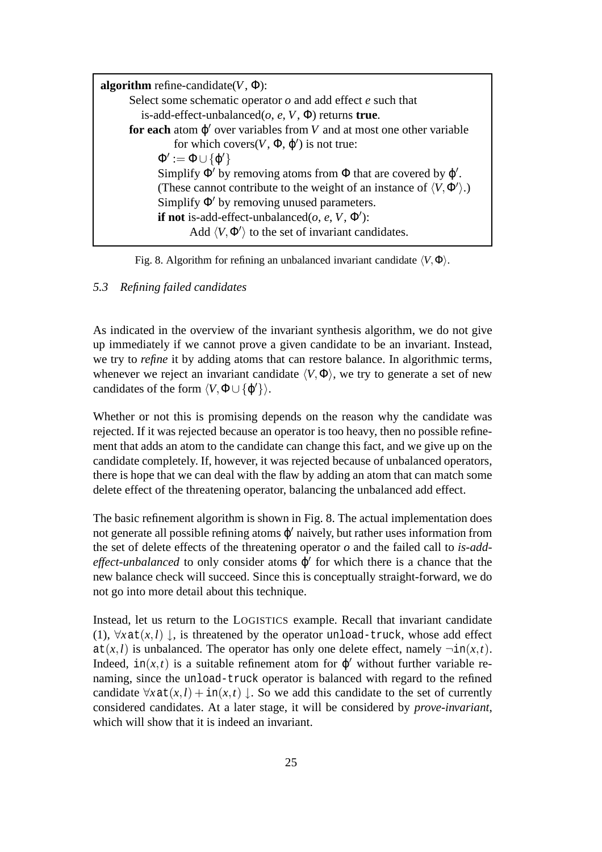| <b>algorithm</b> refine-candidate( $V$ , $\Phi$ ):                                     |
|----------------------------------------------------------------------------------------|
| Select some schematic operator $o$ and add effect $e$ such that                        |
| is-add-effect-unbalanced $(o, e, V, \Phi)$ returns <b>true</b> .                       |
| for each atom $\varphi'$ over variables from V and at most one other variable          |
| for which covers(V, $\Phi$ , $\phi'$ ) is not true:                                    |
| $\Phi' := \Phi \cup \{\phi'\}$                                                         |
| Simplify $\Phi'$ by removing atoms from $\Phi$ that are covered by $\phi'$ .           |
| (These cannot contribute to the weight of an instance of $\langle V, \Phi' \rangle$ .) |
| Simplify $\Phi'$ by removing unused parameters.                                        |
| <b>if not</b> is-add-effect-unbalanced( $o$ , $e$ , $V$ , $\Phi'$ ):                   |
| Add $\langle V, \Phi' \rangle$ to the set of invariant candidates.                     |
|                                                                                        |

Fig. 8. Algorithm for refining an unbalanced invariant candidate  $\langle V, \Phi \rangle$ .

# *5.3 Refining failed candidates*

As indicated in the overview of the invariant synthesis algorithm, we do not give up immediately if we cannot prove a given candidate to be an invariant. Instead, we try to *refine* it by adding atoms that can restore balance. In algorithmic terms, whenever we reject an invariant candidate  $\langle V, \Phi \rangle$ , we try to generate a set of new candidates of the form  $\langle V, \Phi \cup {\phi'} \rangle$ .

Whether or not this is promising depends on the reason why the candidate was rejected. If it was rejected because an operator is too heavy, then no possible refinement that adds an atom to the candidate can change this fact, and we give up on the candidate completely. If, however, it was rejected because of unbalanced operators, there is hope that we can deal with the flaw by adding an atom that can match some delete effect of the threatening operator, balancing the unbalanced add effect.

The basic refinement algorithm is shown in Fig. 8. The actual implementation does not generate all possible refining atoms ϕ ′ naively, but rather uses information from the set of delete effects of the threatening operator *o* and the failed call to *is-addeffect-unbalanced* to only consider atoms  $\varphi'$  for which there is a chance that the new balance check will succeed. Since this is conceptually straight-forward, we do not go into more detail about this technique.

Instead, let us return to the LOGISTICS example. Recall that invariant candidate (1),  $\forall x \, \text{at}(x, l) \downarrow$ , is threatened by the operator unload-truck, whose add effect  $at(x, l)$  is unbalanced. The operator has only one delete effect, namely  $\neg in(x, t)$ . Indeed,  $in(x,t)$  is a suitable refinement atom for  $\varphi'$  without further variable renaming, since the unload-truck operator is balanced with regard to the refined candidate  $\forall x \text{at}(x, l) + \text{in}(x, t) \downarrow$ . So we add this candidate to the set of currently considered candidates. At a later stage, it will be considered by *prove-invariant*, which will show that it is indeed an invariant.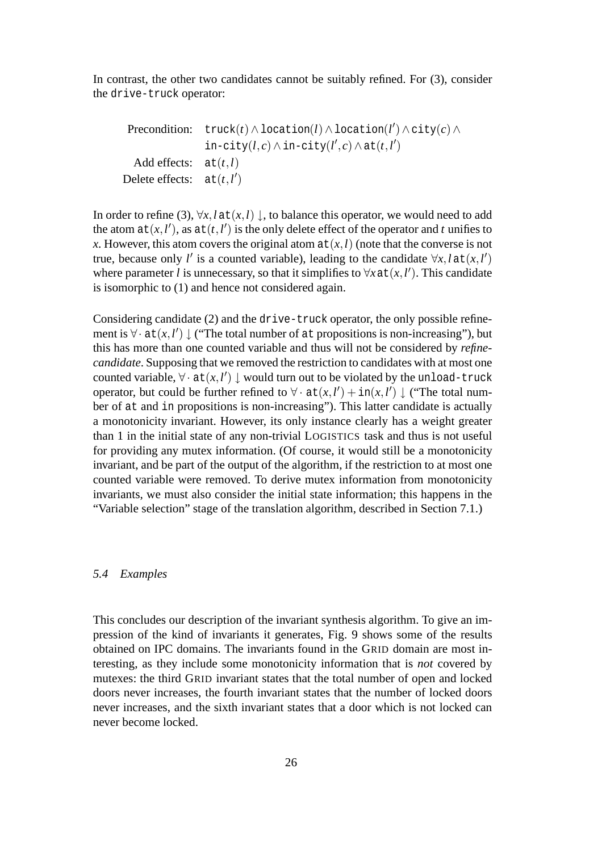In contrast, the other two candidates cannot be suitably refined. For (3), consider the drive-truck operator:

```
Precondition: truck(t)∧location(l)∧location(l
′
)∧city(c)∧
                   \text{int-city}(l, c) \wedge \text{int-city}(l', c) \wedge \text{at}(t, l')Add effects: at(t, l)Delete effects: at(t, l')
```
In order to refine (3),  $\forall x, l \in \mathcal{X}(x, l) \downarrow$ , to balance this operator, we would need to add the atom  $at(x, l')$ , as  $at(t, l')$  is the only delete effect of the operator and *t* unifies to *x*. However, this atom covers the original atom  $at(x, l)$  (note that the converse is not true, because only *l'* is a counted variable), leading to the candidate  $\forall x, l \notin \mathcal{L}(x, l')$ where parameter *l* is unnecessary, so that it simplifies to  $\forall x \in (x, l')$ . This candidate is isomorphic to (1) and hence not considered again.

Considering candidate (2) and the drive-truck operator, the only possible refinement is  $\forall \cdot \texttt{at}(x, l') \downarrow$  ("The total number of at propositions is non-increasing"), but this has more than one counted variable and thus will not be considered by *refinecandidate*. Supposing that we removed the restriction to candidates with at most one counted variable,  $\forall \cdot$  at $(x, l') \downarrow$  would turn out to be violated by the unload-truck operator, but could be further refined to  $\forall \cdot \text{at}(x, l') + \text{in}(x, l') \downarrow$  ("The total number of at and in propositions is non-increasing"). This latter candidate is actually a monotonicity invariant. However, its only instance clearly has a weight greater than 1 in the initial state of any non-trivial LOGISTICS task and thus is not useful for providing any mutex information. (Of course, it would still be a monotonicity invariant, and be part of the output of the algorithm, if the restriction to at most one counted variable were removed. To derive mutex information from monotonicity invariants, we must also consider the initial state information; this happens in the "Variable selection" stage of the translation algorithm, described in Section 7.1.)

## *5.4 Examples*

This concludes our description of the invariant synthesis algorithm. To give an impression of the kind of invariants it generates, Fig. 9 shows some of the results obtained on IPC domains. The invariants found in the GRID domain are most interesting, as they include some monotonicity information that is *not* covered by mutexes: the third GRID invariant states that the total number of open and locked doors never increases, the fourth invariant states that the number of locked doors never increases, and the sixth invariant states that a door which is not locked can never become locked.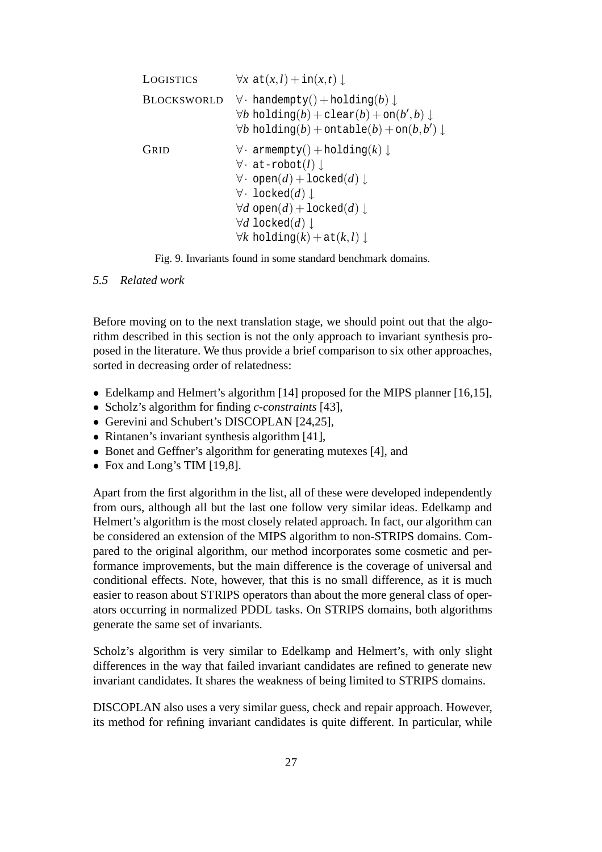```
LOGISTICS \forall x \text{ at}(x,l) + \text{in}(x,t) \downarrowBLOCKSWORLD \forall handempty() + holding(b) \downarrow\forall b \text{ holding}(b) + \text{clear}(b) + \text{on}(b', b) \downarrow\forall b \text{ holding}(b) + \text{ontable}(b) + \text{on}(b, b') \downarrowGRID \forall \cdot \text{armempty}() + \text{holding}(k) \downarrow\forall· at-robot(l) \bot\forall \cdot \text{ open}(d) + \text{locked}(d) \downarrow∀· locked(d) ↓
                              \forall d \text{ open}(d) + \text{locked}(d) \downarrow\forall d \text{ locked}(d) \perp\forall k \text{ holding}(k) + \text{at}(k, l) \downarrow
```
Fig. 9. Invariants found in some standard benchmark domains.

## *5.5 Related work*

Before moving on to the next translation stage, we should point out that the algorithm described in this section is not the only approach to invariant synthesis proposed in the literature. We thus provide a brief comparison to six other approaches, sorted in decreasing order of relatedness:

- Edelkamp and Helmert's algorithm [14] proposed for the MIPS planner [16,15],
- Scholz's algorithm for finding *c-constraints* [43],
- Gerevini and Schubert's DISCOPLAN [24,25],
- Rintanen's invariant synthesis algorithm [41],
- Bonet and Geffner's algorithm for generating mutexes [4], and
- Fox and Long's TIM [19,8].

Apart from the first algorithm in the list, all of these were developed independently from ours, although all but the last one follow very similar ideas. Edelkamp and Helmert's algorithm is the most closely related approach. In fact, our algorithm can be considered an extension of the MIPS algorithm to non-STRIPS domains. Compared to the original algorithm, our method incorporates some cosmetic and performance improvements, but the main difference is the coverage of universal and conditional effects. Note, however, that this is no small difference, as it is much easier to reason about STRIPS operators than about the more general class of operators occurring in normalized PDDL tasks. On STRIPS domains, both algorithms generate the same set of invariants.

Scholz's algorithm is very similar to Edelkamp and Helmert's, with only slight differences in the way that failed invariant candidates are refined to generate new invariant candidates. It shares the weakness of being limited to STRIPS domains.

DISCOPLAN also uses a very similar guess, check and repair approach. However, its method for refining invariant candidates is quite different. In particular, while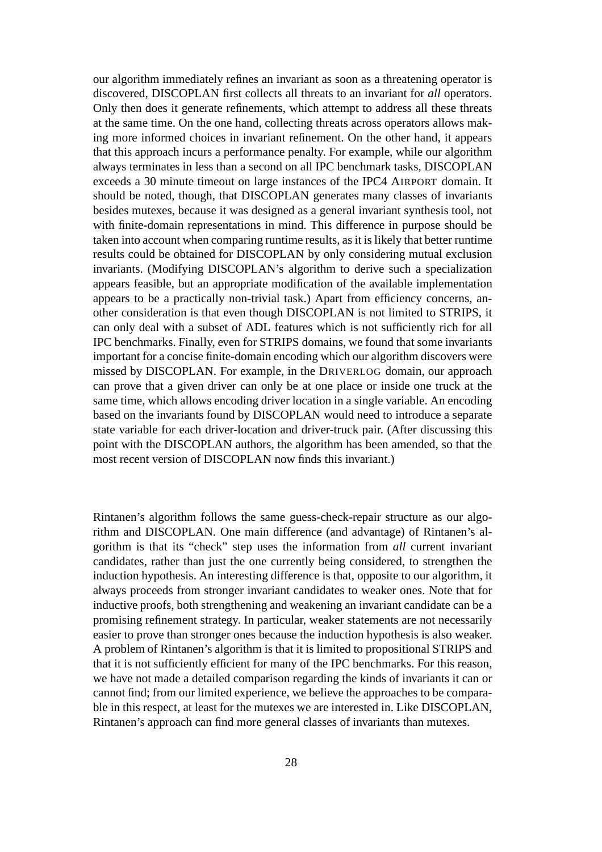our algorithm immediately refines an invariant as soon as a threatening operator is discovered, DISCOPLAN first collects all threats to an invariant for *all* operators. Only then does it generate refinements, which attempt to address all these threats at the same time. On the one hand, collecting threats across operators allows making more informed choices in invariant refinement. On the other hand, it appears that this approach incurs a performance penalty. For example, while our algorithm always terminates in less than a second on all IPC benchmark tasks, DISCOPLAN exceeds a 30 minute timeout on large instances of the IPC4 AIRPORT domain. It should be noted, though, that DISCOPLAN generates many classes of invariants besides mutexes, because it was designed as a general invariant synthesis tool, not with finite-domain representations in mind. This difference in purpose should be taken into account when comparing runtime results, as it is likely that better runtime results could be obtained for DISCOPLAN by only considering mutual exclusion invariants. (Modifying DISCOPLAN's algorithm to derive such a specialization appears feasible, but an appropriate modification of the available implementation appears to be a practically non-trivial task.) Apart from efficiency concerns, another consideration is that even though DISCOPLAN is not limited to STRIPS, it can only deal with a subset of ADL features which is not sufficiently rich for all IPC benchmarks. Finally, even for STRIPS domains, we found that some invariants important for a concise finite-domain encoding which our algorithm discovers were missed by DISCOPLAN. For example, in the DRIVERLOG domain, our approach can prove that a given driver can only be at one place or inside one truck at the same time, which allows encoding driver location in a single variable. An encoding based on the invariants found by DISCOPLAN would need to introduce a separate state variable for each driver-location and driver-truck pair. (After discussing this point with the DISCOPLAN authors, the algorithm has been amended, so that the most recent version of DISCOPLAN now finds this invariant.)

Rintanen's algorithm follows the same guess-check-repair structure as our algorithm and DISCOPLAN. One main difference (and advantage) of Rintanen's algorithm is that its "check" step uses the information from *all* current invariant candidates, rather than just the one currently being considered, to strengthen the induction hypothesis. An interesting difference is that, opposite to our algorithm, it always proceeds from stronger invariant candidates to weaker ones. Note that for inductive proofs, both strengthening and weakening an invariant candidate can be a promising refinement strategy. In particular, weaker statements are not necessarily easier to prove than stronger ones because the induction hypothesis is also weaker. A problem of Rintanen's algorithm is that it is limited to propositional STRIPS and that it is not sufficiently efficient for many of the IPC benchmarks. For this reason, we have not made a detailed comparison regarding the kinds of invariants it can or cannot find; from our limited experience, we believe the approaches to be comparable in this respect, at least for the mutexes we are interested in. Like DISCOPLAN, Rintanen's approach can find more general classes of invariants than mutexes.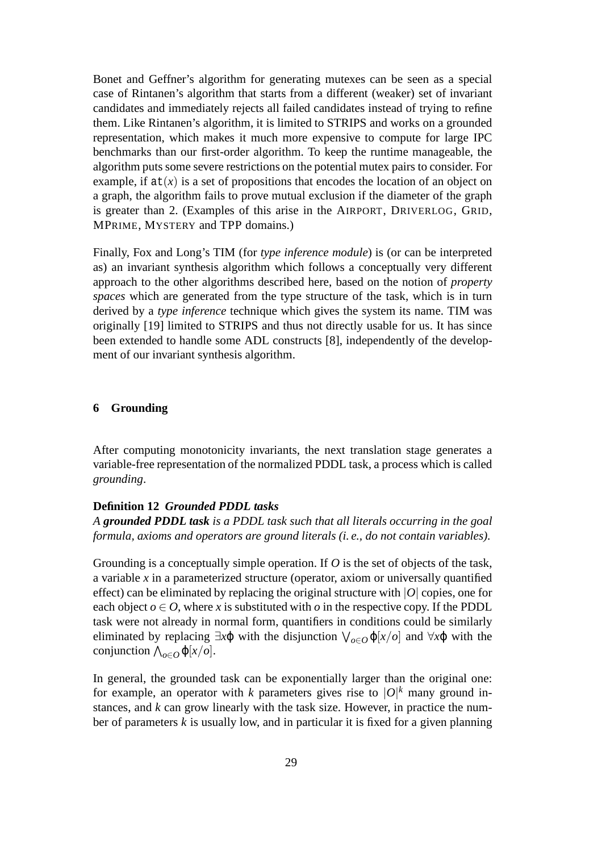Bonet and Geffner's algorithm for generating mutexes can be seen as a special case of Rintanen's algorithm that starts from a different (weaker) set of invariant candidates and immediately rejects all failed candidates instead of trying to refine them. Like Rintanen's algorithm, it is limited to STRIPS and works on a grounded representation, which makes it much more expensive to compute for large IPC benchmarks than our first-order algorithm. To keep the runtime manageable, the algorithm puts some severe restrictions on the potential mutex pairs to consider. For example, if  $at(x)$  is a set of propositions that encodes the location of an object on a graph, the algorithm fails to prove mutual exclusion if the diameter of the graph is greater than 2. (Examples of this arise in the AIRPORT, DRIVERLOG, GRID, MPRIME, MYSTERY and TPP domains.)

Finally, Fox and Long's TIM (for *type inference module*) is (or can be interpreted as) an invariant synthesis algorithm which follows a conceptually very different approach to the other algorithms described here, based on the notion of *property spaces* which are generated from the type structure of the task, which is in turn derived by a *type inference* technique which gives the system its name. TIM was originally [19] limited to STRIPS and thus not directly usable for us. It has since been extended to handle some ADL constructs [8], independently of the development of our invariant synthesis algorithm.

## **6 Grounding**

After computing monotonicity invariants, the next translation stage generates a variable-free representation of the normalized PDDL task, a process which is called *grounding*.

## **Definition 12** *Grounded PDDL tasks*

*A grounded PDDL task is a PDDL task such that all literals occurring in the goal formula, axioms and operators are ground literals (i. e., do not contain variables).*

Grounding is a conceptually simple operation. If *O* is the set of objects of the task, a variable *x* in a parameterized structure (operator, axiom or universally quantified effect) can be eliminated by replacing the original structure with |*O*| copies, one for each object  $o \in O$ , where *x* is substituted with *o* in the respective copy. If the PDDL task were not already in normal form, quantifiers in conditions could be similarly eliminated by replacing ∃*x*ϕ with the disjunction W *<sup>o</sup>*∈*<sup>O</sup>* ϕ[*x*/*o*] and ∀*x*ϕ with the conjunction  $\bigwedge_{o \in O} \varphi[x/o].$ 

In general, the grounded task can be exponentially larger than the original one: for example, an operator with *k* parameters gives rise to  $|O|^k$  many ground instances, and *k* can grow linearly with the task size. However, in practice the number of parameters *k* is usually low, and in particular it is fixed for a given planning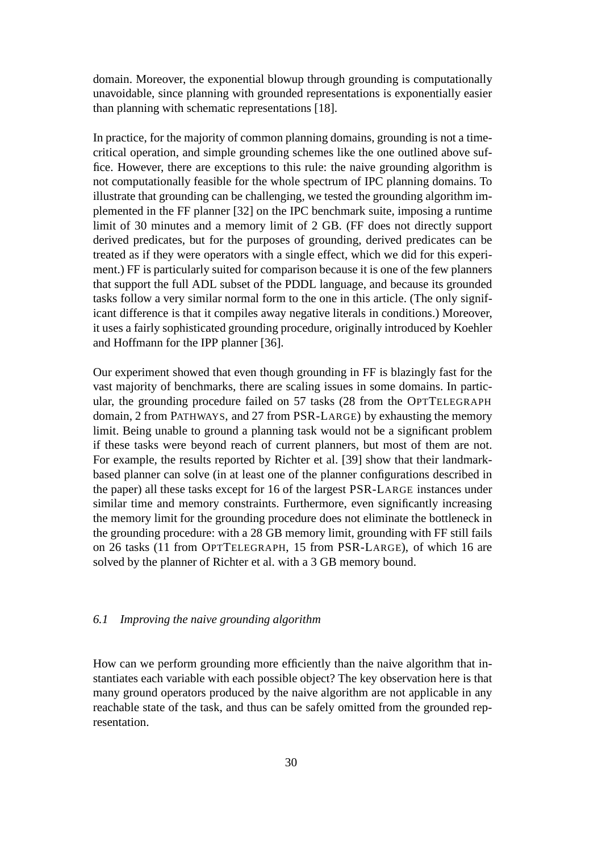domain. Moreover, the exponential blowup through grounding is computationally unavoidable, since planning with grounded representations is exponentially easier than planning with schematic representations [18].

In practice, for the majority of common planning domains, grounding is not a timecritical operation, and simple grounding schemes like the one outlined above suffice. However, there are exceptions to this rule: the naive grounding algorithm is not computationally feasible for the whole spectrum of IPC planning domains. To illustrate that grounding can be challenging, we tested the grounding algorithm implemented in the FF planner [32] on the IPC benchmark suite, imposing a runtime limit of 30 minutes and a memory limit of 2 GB. (FF does not directly support derived predicates, but for the purposes of grounding, derived predicates can be treated as if they were operators with a single effect, which we did for this experiment.) FF is particularly suited for comparison because it is one of the few planners that support the full ADL subset of the PDDL language, and because its grounded tasks follow a very similar normal form to the one in this article. (The only significant difference is that it compiles away negative literals in conditions.) Moreover, it uses a fairly sophisticated grounding procedure, originally introduced by Koehler and Hoffmann for the IPP planner [36].

Our experiment showed that even though grounding in FF is blazingly fast for the vast majority of benchmarks, there are scaling issues in some domains. In particular, the grounding procedure failed on 57 tasks (28 from the OPTTELEGRAPH domain, 2 from PATHWAYS, and 27 from PSR-LARGE) by exhausting the memory limit. Being unable to ground a planning task would not be a significant problem if these tasks were beyond reach of current planners, but most of them are not. For example, the results reported by Richter et al. [39] show that their landmarkbased planner can solve (in at least one of the planner configurations described in the paper) all these tasks except for 16 of the largest PSR-LARGE instances under similar time and memory constraints. Furthermore, even significantly increasing the memory limit for the grounding procedure does not eliminate the bottleneck in the grounding procedure: with a 28 GB memory limit, grounding with FF still fails on 26 tasks (11 from OPTTELEGRAPH, 15 from PSR-LARGE), of which 16 are solved by the planner of Richter et al. with a 3 GB memory bound.

## *6.1 Improving the naive grounding algorithm*

How can we perform grounding more efficiently than the naive algorithm that instantiates each variable with each possible object? The key observation here is that many ground operators produced by the naive algorithm are not applicable in any reachable state of the task, and thus can be safely omitted from the grounded representation.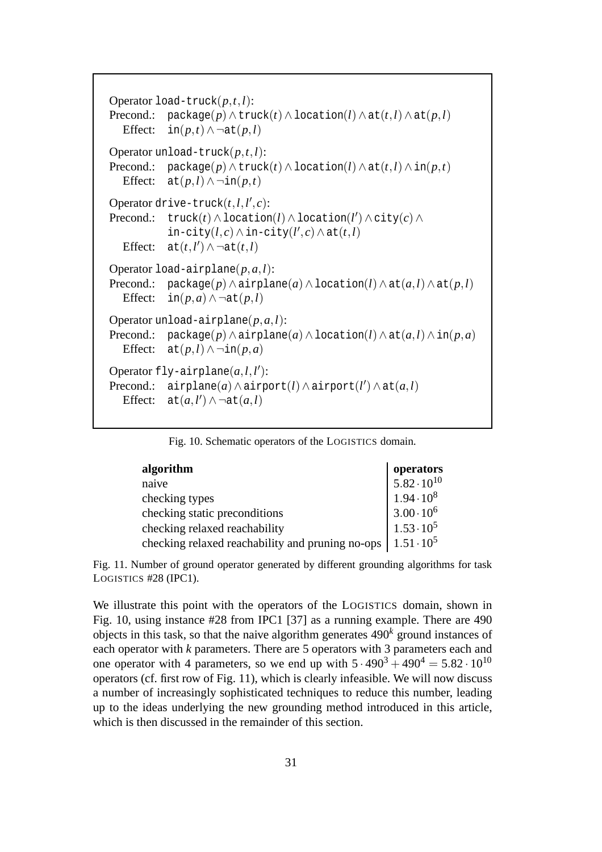```
Operator load-truck(p,t,l):
Precond.: \text{package}(p) \wedge \text{truek}(t) \wedge \text{location}(l) \wedge \text{at}(t, l) \wedge \text{at}(p, l)Effect: in(p,t) \land \neg at(p,l)Operator unload-truck(p,t,l):
Precond.: \text{package}(p) \wedge \text{truek}(t) \wedge \text{location}(l) \wedge \text{at}(t, l) \wedge \text{in}(p, t)Effect: at(p,l) \wedge \neg in(p,t)Operator drive-truck(t, l, l', c):
Precond.: truck(t) \wedgelocation(l) \wedgelocation(l') \wedgecity(c) \wedge\text{in-city}(l, c) \wedge \text{in-city}(l', c) \wedge \text{at}(t, l)Effect: at(t, l') \wedge \neg at(t, l)Operator load-airplane(p,a,l):
Precond: package(p)\landairplane(a)\landlocation(l)\landat(a,l)\landat(p,l)
   Effect: in(p,a) \land \neg at(p,l)Operator unload-airplane(p,a,l):
Precond: package(p)∧airplane(a)∧location(l)∧at(a,l)∧in(p,a)
   Effect: at(p,l) \wedge \neg in(p,a)Operator fly\text{-airplane}(a, l, l'):
Precond.: airplane(a)∧airport(l)∧airport(l
′
)∧at(a,l)
   Effect: at(a, l') \wedge \neg at(a, l)
```
Fig. 10. Schematic operators of the LOGISTICS domain.

| algorithm                                        | operators<br>$5.82 \cdot 10^{10}$      |
|--------------------------------------------------|----------------------------------------|
| naive                                            |                                        |
| checking types                                   | $1.94 \cdot 10^{8}$                    |
| checking static preconditions                    | $3.00 \cdot 10^6$<br>$1.53 \cdot 10^5$ |
| checking relaxed reachability                    |                                        |
| checking relaxed reachability and pruning no-ops | $1.51 \cdot 10^5$                      |

Fig. 11. Number of ground operator generated by different grounding algorithms for task LOGISTICS #28 (IPC1).

We illustrate this point with the operators of the LOGISTICS domain, shown in Fig. 10, using instance #28 from IPC1 [37] as a running example. There are 490 objects in this task, so that the naive algorithm generates 490*<sup>k</sup>* ground instances of each operator with *k* parameters. There are 5 operators with 3 parameters each and one operator with 4 parameters, so we end up with  $5 \cdot 490^3 + 490^4 = 5.82 \cdot 10^{10}$ operators (cf. first row of Fig. 11), which is clearly infeasible. We will now discuss a number of increasingly sophisticated techniques to reduce this number, leading up to the ideas underlying the new grounding method introduced in this article, which is then discussed in the remainder of this section.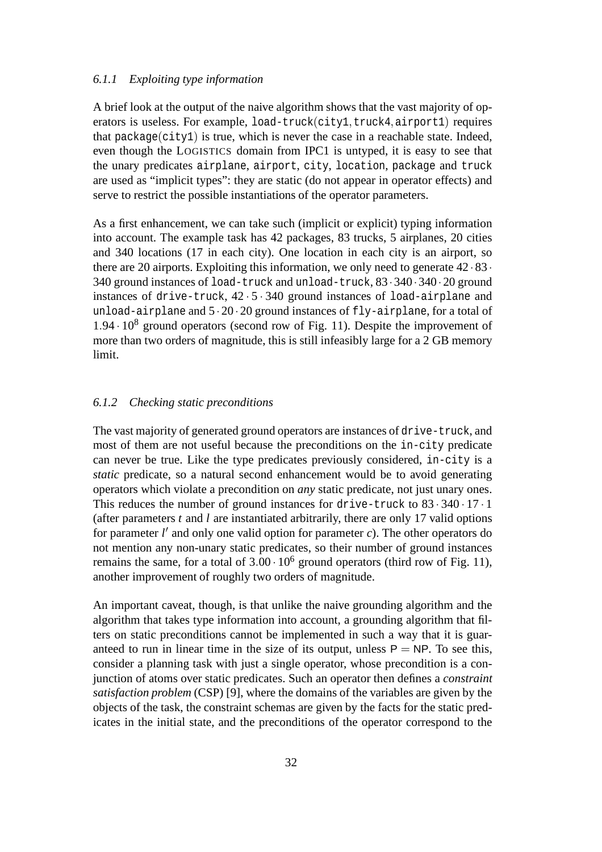#### *6.1.1 Exploiting type information*

A brief look at the output of the naive algorithm shows that the vast majority of operators is useless. For example, load-truck(city1,truck4,airport1) requires that package(city1) is true, which is never the case in a reachable state. Indeed, even though the LOGISTICS domain from IPC1 is untyped, it is easy to see that the unary predicates airplane, airport, city, location, package and truck are used as "implicit types": they are static (do not appear in operator effects) and serve to restrict the possible instantiations of the operator parameters.

As a first enhancement, we can take such (implicit or explicit) typing information into account. The example task has 42 packages, 83 trucks, 5 airplanes, 20 cities and 340 locations (17 in each city). One location in each city is an airport, so there are 20 airports. Exploiting this information, we only need to generate  $42 \cdot 83 \cdot$ 340 ground instances of load-truck and unload-truck, 83·340·340·20 ground instances of drive-truck,  $42 \cdot 5 \cdot 340$  ground instances of load-airplane and unload-airplane and  $5 \cdot 20 \cdot 20$  ground instances of  $fly$ -airplane, for a total of  $1.94 \cdot 10^8$  ground operators (second row of Fig. 11). Despite the improvement of more than two orders of magnitude, this is still infeasibly large for a 2 GB memory limit.

#### *6.1.2 Checking static preconditions*

The vast majority of generated ground operators are instances of drive-truck, and most of them are not useful because the preconditions on the in-city predicate can never be true. Like the type predicates previously considered, in-city is a *static* predicate, so a natural second enhancement would be to avoid generating operators which violate a precondition on *any* static predicate, not just unary ones. This reduces the number of ground instances for drive-truck to  $83 \cdot 340 \cdot 17 \cdot 1$ (after parameters *t* and *l* are instantiated arbitrarily, there are only 17 valid options for parameter *l'* and only one valid option for parameter *c*). The other operators do not mention any non-unary static predicates, so their number of ground instances remains the same, for a total of  $3.00 \cdot 10^6$  ground operators (third row of Fig. 11), another improvement of roughly two orders of magnitude.

An important caveat, though, is that unlike the naive grounding algorithm and the algorithm that takes type information into account, a grounding algorithm that filters on static preconditions cannot be implemented in such a way that it is guaranteed to run in linear time in the size of its output, unless  $P = NP$ . To see this, consider a planning task with just a single operator, whose precondition is a conjunction of atoms over static predicates. Such an operator then defines a *constraint satisfaction problem* (CSP) [9], where the domains of the variables are given by the objects of the task, the constraint schemas are given by the facts for the static predicates in the initial state, and the preconditions of the operator correspond to the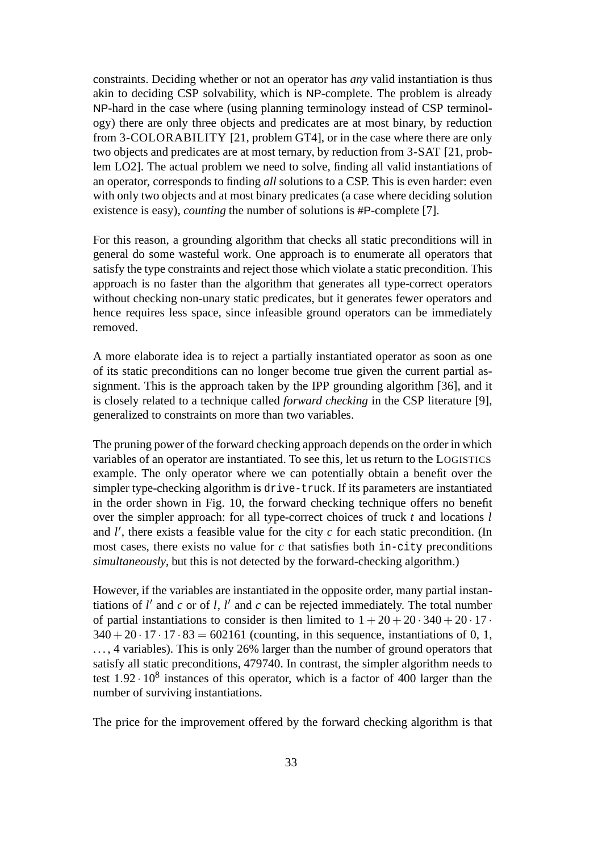constraints. Deciding whether or not an operator has *any* valid instantiation is thus akin to deciding CSP solvability, which is NP-complete. The problem is already NP-hard in the case where (using planning terminology instead of CSP terminology) there are only three objects and predicates are at most binary, by reduction from 3-COLORABILITY [21, problem GT4], or in the case where there are only two objects and predicates are at most ternary, by reduction from 3-SAT [21, problem LO2]. The actual problem we need to solve, finding all valid instantiations of an operator, corresponds to finding *all* solutions to a CSP. This is even harder: even with only two objects and at most binary predicates (a case where deciding solution existence is easy), *counting* the number of solutions is #P-complete [7].

For this reason, a grounding algorithm that checks all static preconditions will in general do some wasteful work. One approach is to enumerate all operators that satisfy the type constraints and reject those which violate a static precondition. This approach is no faster than the algorithm that generates all type-correct operators without checking non-unary static predicates, but it generates fewer operators and hence requires less space, since infeasible ground operators can be immediately removed.

A more elaborate idea is to reject a partially instantiated operator as soon as one of its static preconditions can no longer become true given the current partial assignment. This is the approach taken by the IPP grounding algorithm [36], and it is closely related to a technique called *forward checking* in the CSP literature [9], generalized to constraints on more than two variables.

The pruning power of the forward checking approach depends on the order in which variables of an operator are instantiated. To see this, let us return to the LOGISTICS example. The only operator where we can potentially obtain a benefit over the simpler type-checking algorithm is drive-truck. If its parameters are instantiated in the order shown in Fig. 10, the forward checking technique offers no benefit over the simpler approach: for all type-correct choices of truck *t* and locations *l* and  $l'$ , there exists a feasible value for the city  $c$  for each static precondition. (In most cases, there exists no value for *c* that satisfies both in-city preconditions *simultaneously*, but this is not detected by the forward-checking algorithm.)

However, if the variables are instantiated in the opposite order, many partial instantiations of  $l'$  and  $c$  or of  $l, l'$  and  $c$  can be rejected immediately. The total number of partial instantiations to consider is then limited to  $1 + 20 + 20 \cdot 340 + 20 \cdot 17$ .  $340 + 20 \cdot 17 \cdot 17 \cdot 83 = 602161$  (counting, in this sequence, instantiations of 0, 1, ..., 4 variables). This is only 26% larger than the number of ground operators that satisfy all static preconditions, 479740. In contrast, the simpler algorithm needs to test  $1.92 \cdot 10^8$  instances of this operator, which is a factor of 400 larger than the number of surviving instantiations.

The price for the improvement offered by the forward checking algorithm is that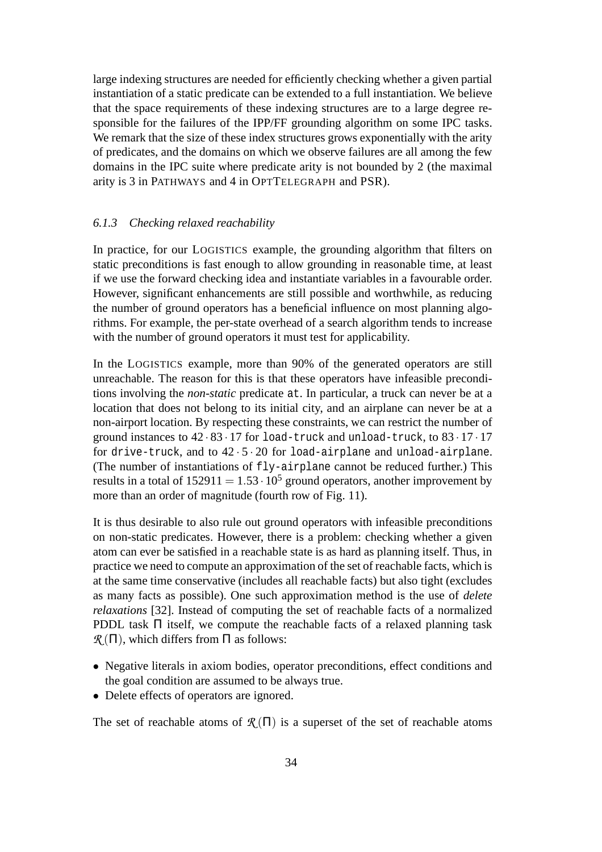large indexing structures are needed for efficiently checking whether a given partial instantiation of a static predicate can be extended to a full instantiation. We believe that the space requirements of these indexing structures are to a large degree responsible for the failures of the IPP/FF grounding algorithm on some IPC tasks. We remark that the size of these index structures grows exponentially with the arity of predicates, and the domains on which we observe failures are all among the few domains in the IPC suite where predicate arity is not bounded by 2 (the maximal arity is 3 in PATHWAYS and 4 in OPTTELEGRAPH and PSR).

#### *6.1.3 Checking relaxed reachability*

In practice, for our LOGISTICS example, the grounding algorithm that filters on static preconditions is fast enough to allow grounding in reasonable time, at least if we use the forward checking idea and instantiate variables in a favourable order. However, significant enhancements are still possible and worthwhile, as reducing the number of ground operators has a beneficial influence on most planning algorithms. For example, the per-state overhead of a search algorithm tends to increase with the number of ground operators it must test for applicability.

In the LOGISTICS example, more than 90% of the generated operators are still unreachable. The reason for this is that these operators have infeasible preconditions involving the *non-static* predicate at. In particular, a truck can never be at a location that does not belong to its initial city, and an airplane can never be at a non-airport location. By respecting these constraints, we can restrict the number of ground instances to  $42.83.17$  for load-truck and unload-truck, to  $83.17.17$ for drive-truck, and to  $42 \cdot 5 \cdot 20$  for load-airplane and unload-airplane. (The number of instantiations of fly-airplane cannot be reduced further.) This results in a total of  $152911 = 1.53 \cdot 10^5$  ground operators, another improvement by more than an order of magnitude (fourth row of Fig. 11).

It is thus desirable to also rule out ground operators with infeasible preconditions on non-static predicates. However, there is a problem: checking whether a given atom can ever be satisfied in a reachable state is as hard as planning itself. Thus, in practice we need to compute an approximation of the set of reachable facts, which is at the same time conservative (includes all reachable facts) but also tight (excludes as many facts as possible). One such approximation method is the use of *delete relaxations* [32]. Instead of computing the set of reachable facts of a normalized PDDL task Π itself, we compute the reachable facts of a relaxed planning task  $\mathcal{R}(\Pi)$ , which differs from  $\Pi$  as follows:

- Negative literals in axiom bodies, operator preconditions, effect conditions and the goal condition are assumed to be always true.
- Delete effects of operators are ignored.

The set of reachable atoms of  $\mathcal{R}(\Pi)$  is a superset of the set of reachable atoms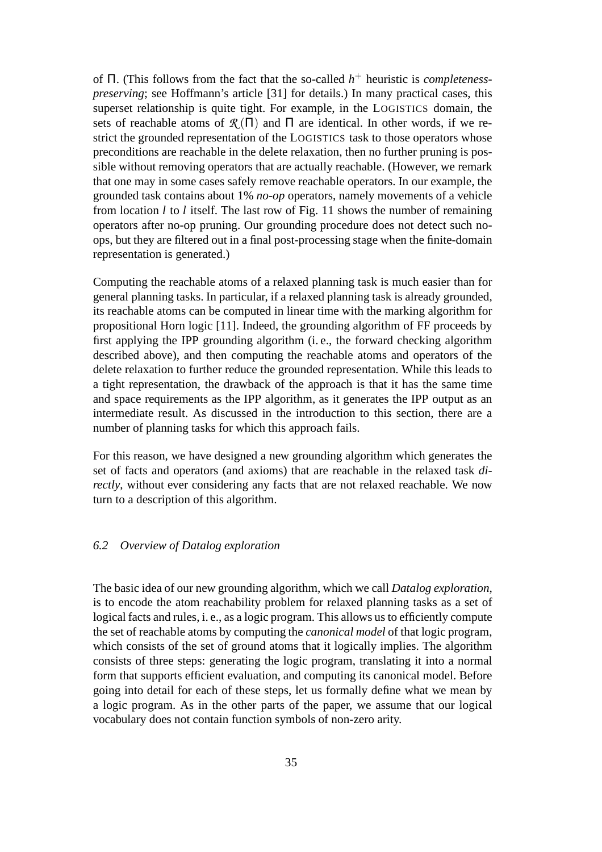of Π. (This follows from the fact that the so-called *h* <sup>+</sup> heuristic is *completenesspreserving*; see Hoffmann's article [31] for details.) In many practical cases, this superset relationship is quite tight. For example, in the LOGISTICS domain, the sets of reachable atoms of  $\mathcal{R}(\Pi)$  and  $\Pi$  are identical. In other words, if we restrict the grounded representation of the LOGISTICS task to those operators whose preconditions are reachable in the delete relaxation, then no further pruning is possible without removing operators that are actually reachable. (However, we remark that one may in some cases safely remove reachable operators. In our example, the grounded task contains about 1% *no-op* operators, namely movements of a vehicle from location *l* to *l* itself. The last row of Fig. 11 shows the number of remaining operators after no-op pruning. Our grounding procedure does not detect such noops, but they are filtered out in a final post-processing stage when the finite-domain representation is generated.)

Computing the reachable atoms of a relaxed planning task is much easier than for general planning tasks. In particular, if a relaxed planning task is already grounded, its reachable atoms can be computed in linear time with the marking algorithm for propositional Horn logic [11]. Indeed, the grounding algorithm of FF proceeds by first applying the IPP grounding algorithm (i. e., the forward checking algorithm described above), and then computing the reachable atoms and operators of the delete relaxation to further reduce the grounded representation. While this leads to a tight representation, the drawback of the approach is that it has the same time and space requirements as the IPP algorithm, as it generates the IPP output as an intermediate result. As discussed in the introduction to this section, there are a number of planning tasks for which this approach fails.

For this reason, we have designed a new grounding algorithm which generates the set of facts and operators (and axioms) that are reachable in the relaxed task *directly*, without ever considering any facts that are not relaxed reachable. We now turn to a description of this algorithm.

## *6.2 Overview of Datalog exploration*

The basic idea of our new grounding algorithm, which we call *Datalog exploration*, is to encode the atom reachability problem for relaxed planning tasks as a set of logical facts and rules, i. e., as a logic program. This allows us to efficiently compute the set of reachable atoms by computing the *canonical model* of that logic program, which consists of the set of ground atoms that it logically implies. The algorithm consists of three steps: generating the logic program, translating it into a normal form that supports efficient evaluation, and computing its canonical model. Before going into detail for each of these steps, let us formally define what we mean by a logic program. As in the other parts of the paper, we assume that our logical vocabulary does not contain function symbols of non-zero arity.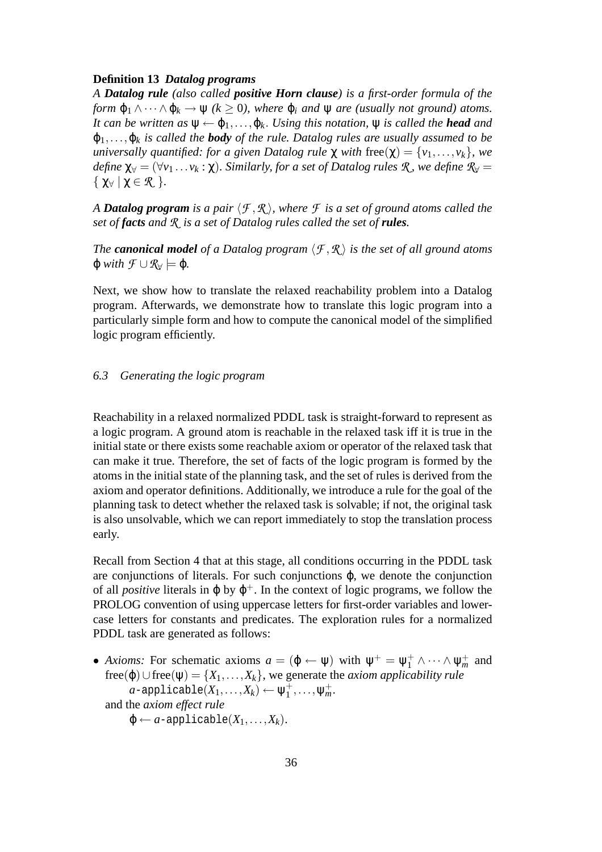#### **Definition 13** *Datalog programs*

*A Datalog rule (also called positive Horn clause) is a first-order formula of the form*  $\varphi_1 \wedge \cdots \wedge \varphi_k \rightarrow \psi$  *(k > 0), where*  $\varphi_i$  *and*  $\psi$  *are (usually not ground) atoms. It can be written as* ψ ← ϕ1,...,ϕ*<sup>k</sup>* . *Using this notation,* ψ *is called the head and* ϕ1,...,ϕ*<sup>k</sup> is called the body of the rule. Datalog rules are usually assumed to be universally quantified: for a given Datalog rule*  $\chi$  *with* free $(\chi) = \{v_1, \ldots, v_k\}$ *, we*  $\partial f$  *define*  $\chi_{\forall} = (\forall v_1 \dots v_k : \chi)$ *. Similarly, for a set of Datalog rules*  $\mathcal{R}$ *, we define*  $\mathcal{R}_{\forall} =$  $\{ \chi_{\forall} \mid \chi \in \mathcal{R} \}.$ 

*A Datalog program* is a pair  $\langle f, \mathcal{R} \rangle$ , where  $f$  is a set of ground atoms called the *set of facts and R is a set of Datalog rules called the set of rules.*

*The canonical model of a Datalog program*  $\langle f, \mathcal{R} \rangle$  *is the set of all ground atoms*  $\varphi$  *with*  $\mathcal{F} \cup \mathcal{R}_{\forall} \models \varphi$ *.* 

Next, we show how to translate the relaxed reachability problem into a Datalog program. Afterwards, we demonstrate how to translate this logic program into a particularly simple form and how to compute the canonical model of the simplified logic program efficiently.

## *6.3 Generating the logic program*

Reachability in a relaxed normalized PDDL task is straight-forward to represent as a logic program. A ground atom is reachable in the relaxed task iff it is true in the initial state or there exists some reachable axiom or operator of the relaxed task that can make it true. Therefore, the set of facts of the logic program is formed by the atoms in the initial state of the planning task, and the set of rules is derived from the axiom and operator definitions. Additionally, we introduce a rule for the goal of the planning task to detect whether the relaxed task is solvable; if not, the original task is also unsolvable, which we can report immediately to stop the translation process early.

Recall from Section 4 that at this stage, all conditions occurring in the PDDL task are conjunctions of literals. For such conjunctions  $\varphi$ , we denote the conjunction of all *positive* literals in  $\varphi$  by  $\varphi^+$ . In the context of logic programs, we follow the PROLOG convention of using uppercase letters for first-order variables and lowercase letters for constants and predicates. The exploration rules for a normalized PDDL task are generated as follows:

• *Axioms:* For schematic axioms  $a = (\varphi \leftarrow \psi)$  with  $\psi^+ = \psi_1^+ \wedge \cdots \wedge \psi_m^+$  and free( $\varphi$ )∪free( $\psi$ ) = {*X*<sub>1</sub>, ...,*X*<sub>*k*</sub>}, we generate the *axiom applicability rule* 

 $\overline{a}$ -applicable $(X_1,\ldots,X_k) \leftarrow \mathsf{\Psi}^+_1$  $i_1^+, \ldots, \psi_m^+$ .

and the *axiom effect rule*

 $\varphi \leftarrow a$ -applicable $(X_1, \ldots, X_k)$ .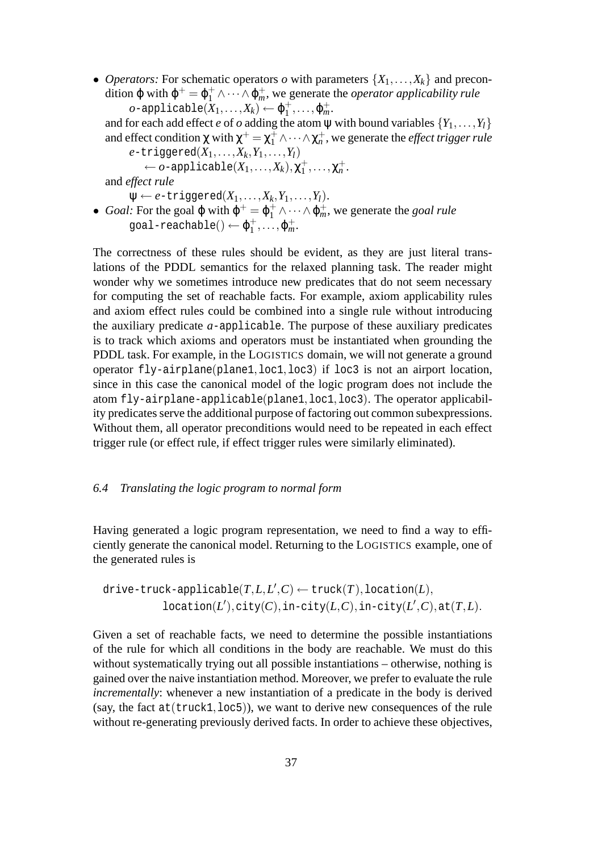• *Operators:* For schematic operators  $o$  with parameters  $\{X_1, \ldots, X_k\}$  and precondition φ with  $\varphi^+ = \varphi_1^+ \wedge \cdots \wedge \varphi_m^+$ , we generate the *operator applicability rule*  $o$ -applicable $(X_1,\ldots,X_k) \leftarrow \mathsf{\phi}^+_1$  $i_1^+, \ldots, \varphi_m^+$ .

and for each add effect *e* of *o* adding the atom  $\psi$  with bound variables  $\{Y_1, \ldots, Y_l\}$ and effect condition  $\chi$  with  $\chi^+ = \chi^+_1 \wedge \cdots \wedge \chi^+_n$ , we generate the *effect trigger rule*  $e$ -triggered $(X_1, \ldots, X_k, Y_1, \ldots, Y_l)$ 

$$
\leftarrow o\text{-applicable}(X_1,\ldots,X_k), \chi_1^+,\ldots,\chi_n^+.
$$

and *effect rule*

 $\Psi \leftarrow e\text{-triangle}(X_1,\ldots,X_k,Y_1,\ldots,Y_l).$ 

• *Goal:* For the goal  $\varphi$  with  $\varphi^+ = \varphi_1^+ \wedge \cdots \wedge \varphi_m^+$ , we generate the *goal rule* goal-reachable $() \leftarrow \pmb{\phi}^+_1$  $^{+}_{1}, \ldots, \varphi_{m}^{+}.$ 

The correctness of these rules should be evident, as they are just literal translations of the PDDL semantics for the relaxed planning task. The reader might wonder why we sometimes introduce new predicates that do not seem necessary for computing the set of reachable facts. For example, axiom applicability rules and axiom effect rules could be combined into a single rule without introducing the auxiliary predicate *a*-applicable. The purpose of these auxiliary predicates is to track which axioms and operators must be instantiated when grounding the PDDL task. For example, in the LOGISTICS domain, we will not generate a ground operator fly-airplane(plane1,loc1,loc3) if loc3 is not an airport location, since in this case the canonical model of the logic program does not include the atom fly-airplane-applicable(plane1,loc1,loc3). The operator applicability predicates serve the additional purpose of factoring out common subexpressions. Without them, all operator preconditions would need to be repeated in each effect trigger rule (or effect rule, if effect trigger rules were similarly eliminated).

## *6.4 Translating the logic program to normal form*

Having generated a logic program representation, we need to find a way to efficiently generate the canonical model. Returning to the LOGISTICS example, one of the generated rules is

$$
\begin{aligned} \texttt{drive-truck-appliedble}(T, L, L', C) \leftarrow \texttt{truck}(T), \texttt{location}(L), \\ \texttt{location}(L'), \texttt{city}(C), \texttt{in-city}(L, C), \texttt{in-city}(L', C), \texttt{at}(T, L). \end{aligned}
$$

Given a set of reachable facts, we need to determine the possible instantiations of the rule for which all conditions in the body are reachable. We must do this without systematically trying out all possible instantiations – otherwise, nothing is gained over the naive instantiation method. Moreover, we prefer to evaluate the rule *incrementally*: whenever a new instantiation of a predicate in the body is derived (say, the fact  $at(truck1,loc5)$ ), we want to derive new consequences of the rule without re-generating previously derived facts. In order to achieve these objectives,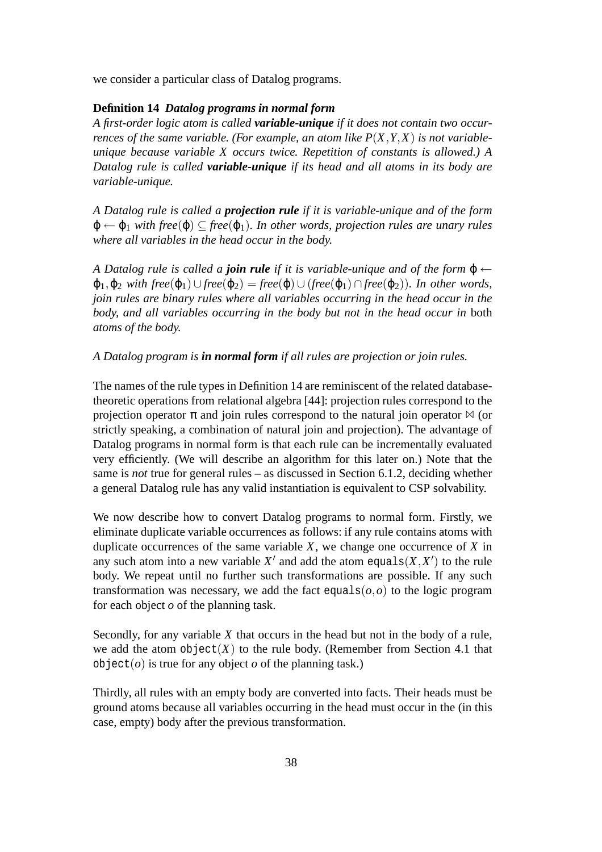we consider a particular class of Datalog programs.

### **Definition 14** *Datalog programs in normal form*

*A first-order logic atom is called variable-unique if it does not contain two occurrences of the same variable. (For example, an atom like P*(*X*,*Y*,*X*) *is not variableunique because variable X occurs twice. Repetition of constants is allowed.) A Datalog rule is called variable-unique if its head and all atoms in its body are variable-unique.*

*A Datalog rule is called a projection rule if it is variable-unique and of the form* ϕ ← ϕ<sup>1</sup> *with free*(ϕ) ⊆ *free*(ϕ1)*. In other words, projection rules are unary rules where all variables in the head occur in the body.*

*A Datalog rule is called a <i>join rule* if it is variable-unique and of the form  $\varphi \leftarrow$  $φ_1, φ_2$  *with free*( $φ_1) ∪$ *free*( $φ_2)$ ) = *free*( $φ_1) ∪$ *(free*( $φ_1) ∩$ *free*( $φ_2)$ )*. In other words, join rules are binary rules where all variables occurring in the head occur in the body, and all variables occurring in the body but not in the head occur in* both *atoms of the body.*

## *A Datalog program is in normal form if all rules are projection or join rules.*

The names of the rule types in Definition 14 are reminiscent of the related databasetheoretic operations from relational algebra [44]: projection rules correspond to the projection operator  $\pi$  and join rules correspond to the natural join operator  $\bowtie$  (or strictly speaking, a combination of natural join and projection). The advantage of Datalog programs in normal form is that each rule can be incrementally evaluated very efficiently. (We will describe an algorithm for this later on.) Note that the same is *not* true for general rules – as discussed in Section 6.1.2, deciding whether a general Datalog rule has any valid instantiation is equivalent to CSP solvability.

We now describe how to convert Datalog programs to normal form. Firstly, we eliminate duplicate variable occurrences as follows: if any rule contains atoms with duplicate occurrences of the same variable  $X$ , we change one occurrence of  $X$  in any such atom into a new variable  $X'$  and add the atom equals  $(X, X')$  to the rule body. We repeat until no further such transformations are possible. If any such transformation was necessary, we add the fact equals( $o$ , $o$ ) to the logic program for each object *o* of the planning task.

Secondly, for any variable *X* that occurs in the head but not in the body of a rule, we add the atom  $object(X)$  to the rule body. (Remember from Section 4.1 that  $object(o)$  is true for any object  $o$  of the planning task.)

Thirdly, all rules with an empty body are converted into facts. Their heads must be ground atoms because all variables occurring in the head must occur in the (in this case, empty) body after the previous transformation.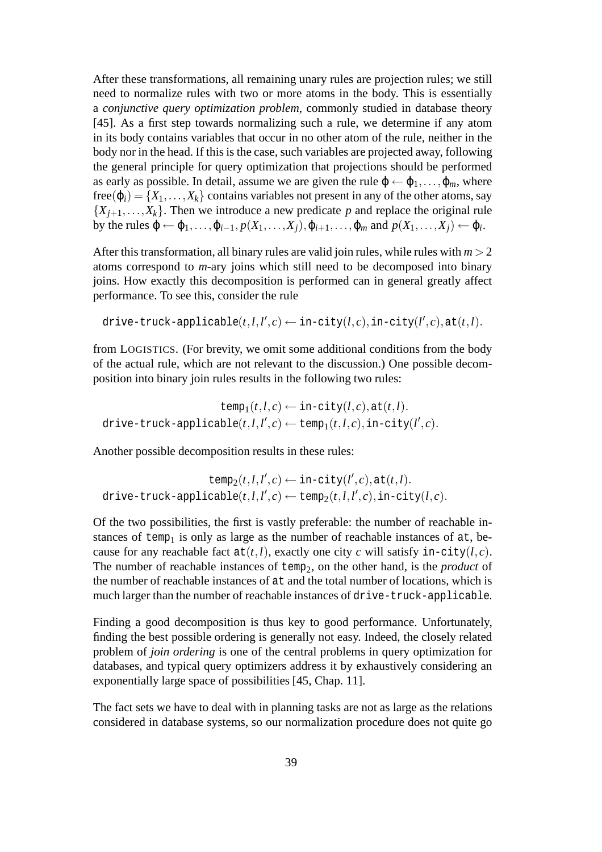After these transformations, all remaining unary rules are projection rules; we still need to normalize rules with two or more atoms in the body. This is essentially a *conjunctive query optimization problem*, commonly studied in database theory [45]. As a first step towards normalizing such a rule, we determine if any atom in its body contains variables that occur in no other atom of the rule, neither in the body nor in the head. If this is the case, such variables are projected away, following the general principle for query optimization that projections should be performed as early as possible. In detail, assume we are given the rule  $\varphi \leftarrow \varphi_1, \ldots, \varphi_m$ , where  $free(\varphi_i) = \{X_1, \ldots, X_k\}$  contains variables not present in any of the other atoms, say  ${X_{i+1},...,X_k}$ . Then we introduce a new predicate p and replace the original rule by the rules  $\varphi \leftarrow \varphi_1, \ldots, \varphi_{i-1}, p(X_1, \ldots, X_j), \varphi_{i+1}, \ldots, \varphi_m$  and  $p(X_1, \ldots, X_j) \leftarrow \varphi_i$ .

After this transformation, all binary rules are valid join rules, while rules with  $m > 2$ atoms correspond to *m*-ary joins which still need to be decomposed into binary joins. How exactly this decomposition is performed can in general greatly affect performance. To see this, consider the rule

 $\text{drive-truck-applicable}(t, l, l', c) \leftarrow \text{in-city}(l, c), \text{in-city}(l', c), \text{at}(t, l).$ 

from LOGISTICS. (For brevity, we omit some additional conditions from the body of the actual rule, which are not relevant to the discussion.) One possible decomposition into binary join rules results in the following two rules:

 $\tt temp<sub>1</sub>(t,l,c) \leftarrow incity(l,c),at(t,l).$  $\texttt{drive-truck-applicable}(t,l,l',c) \leftarrow \texttt{temp}_1(t,l,c), \texttt{in-city}(l',c).$ 

Another possible decomposition results in these rules:

$$
\mathsf{temp}_2(t, l, l', c) \leftarrow \mathsf{in-city}(l', c), \mathsf{at}(t, l).
$$
\n
$$
\mathsf{drive-truck-applicable}(t, l, l', c) \leftarrow \mathsf{temp}_2(t, l, l', c), \mathsf{in-city}(l, c).
$$

Of the two possibilities, the first is vastly preferable: the number of reachable instances of  $temp_1$  is only as large as the number of reachable instances of at, because for any reachable fact  $at(t, l)$ , exactly one city *c* will satisfy in-city(*l*,*c*). The number of reachable instances of  $temp_2$ , on the other hand, is the *product* of the number of reachable instances of at and the total number of locations, which is much larger than the number of reachable instances of drive-truck-applicable.

Finding a good decomposition is thus key to good performance. Unfortunately, finding the best possible ordering is generally not easy. Indeed, the closely related problem of *join ordering* is one of the central problems in query optimization for databases, and typical query optimizers address it by exhaustively considering an exponentially large space of possibilities [45, Chap. 11].

The fact sets we have to deal with in planning tasks are not as large as the relations considered in database systems, so our normalization procedure does not quite go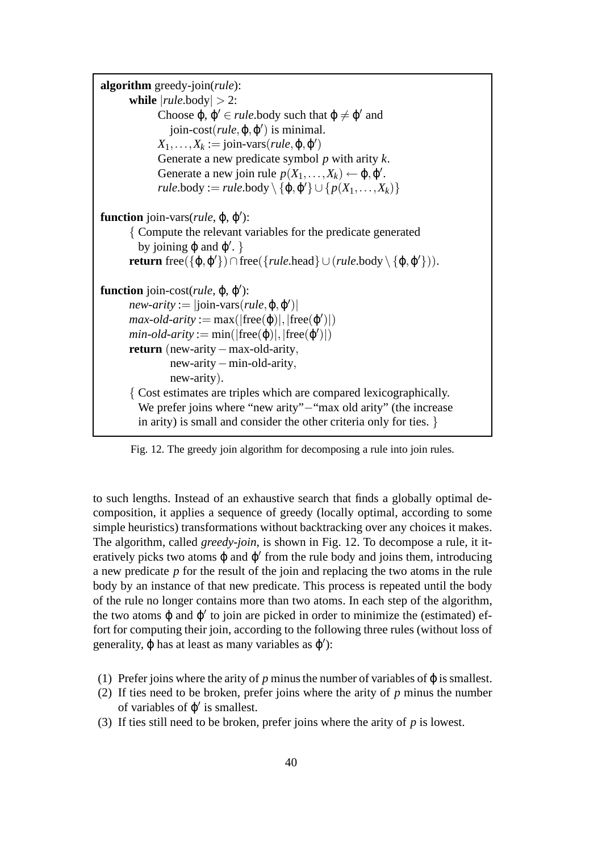**algorithm** greedy-join(*rule*): **while**  $|ruleboldsymbol{\}| > 2$ : Choose  $\varphi$ ,  $\varphi' \in rule$  body such that  $\varphi \neq \varphi'$  and join-cost(*rule*, φ, φ') is minimal.  $X_1, \ldots, X_k := \text{join-vars}(rule, \phi, \phi')$ Generate a new predicate symbol *p* with arity *k*. Generate a new join rule  $p(X_1,...,X_k) \leftarrow \varphi, \varphi'.$  $rule.\text{body} := rule.\text{body} \setminus \{\varphi, \varphi'\} \cup \{p(X_1, \ldots, X_k)\}\$ function join-vars(*rule*, φ, φ'): { Compute the relevant variables for the predicate generated by joining  $\varphi$  and  $\varphi'$ . } **return** free({ $\phi$ ,  $\phi'$ })∩free({*rule*.head} ∪ (*rule*.body \ { $\phi$ ,  $\phi'$ })). function join-cost(*rule*, φ, φ'):  $new-arity := |join-vars(rule, \varphi, \varphi')|$  $max\text{-}old\text{-}arity := \max(|\text{free}(\varphi)|, |\text{free}(\varphi')|)$  $min\text{-}old\text{-}arity := min(|free(\varphi)|, |free(\varphi')|)$ **return** (new-arity−max-old-arity, new-arity−min-old-arity, new-arity). { Cost estimates are triples which are compared lexicographically. We prefer joins where "new arity"−"max old arity" (the increase in arity) is small and consider the other criteria only for ties. }

Fig. 12. The greedy join algorithm for decomposing a rule into join rules.

to such lengths. Instead of an exhaustive search that finds a globally optimal decomposition, it applies a sequence of greedy (locally optimal, according to some simple heuristics) transformations without backtracking over any choices it makes. The algorithm, called *greedy-join*, is shown in Fig. 12. To decompose a rule, it iteratively picks two atoms  $\varphi$  and  $\varphi'$  from the rule body and joins them, introducing a new predicate *p* for the result of the join and replacing the two atoms in the rule body by an instance of that new predicate. This process is repeated until the body of the rule no longer contains more than two atoms. In each step of the algorithm, the two atoms  $\varphi$  and  $\varphi'$  to join are picked in order to minimize the (estimated) effort for computing their join, according to the following three rules (without loss of generality,  $\varphi$  has at least as many variables as  $\varphi'$ ):

- (1) Prefer joins where the arity of  $p$  minus the number of variables of  $\varphi$  is smallest.
- (2) If ties need to be broken, prefer joins where the arity of *p* minus the number of variables of  $\varphi'$  is smallest.
- (3) If ties still need to be broken, prefer joins where the arity of *p* is lowest.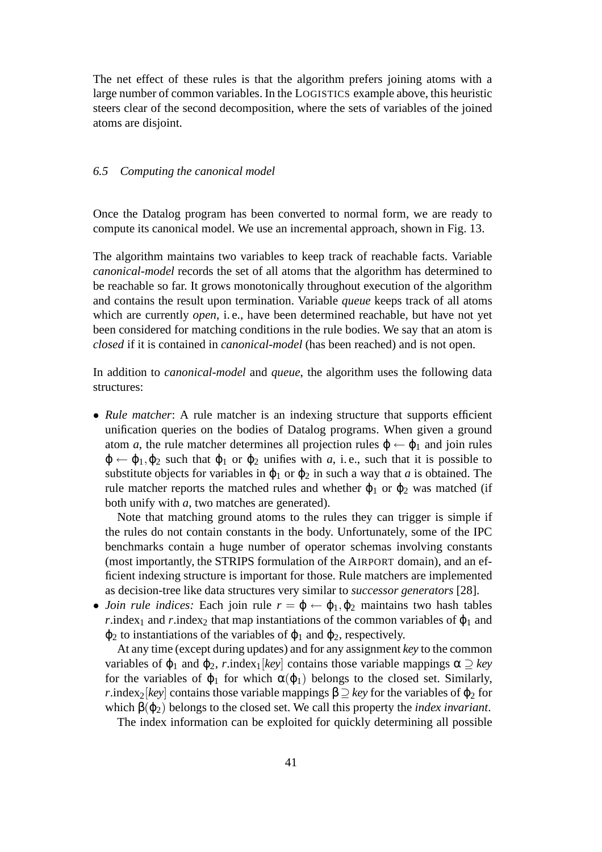The net effect of these rules is that the algorithm prefers joining atoms with a large number of common variables. In the LOGISTICS example above, this heuristic steers clear of the second decomposition, where the sets of variables of the joined atoms are disjoint.

#### *6.5 Computing the canonical model*

Once the Datalog program has been converted to normal form, we are ready to compute its canonical model. We use an incremental approach, shown in Fig. 13.

The algorithm maintains two variables to keep track of reachable facts. Variable *canonical-model* records the set of all atoms that the algorithm has determined to be reachable so far. It grows monotonically throughout execution of the algorithm and contains the result upon termination. Variable *queue* keeps track of all atoms which are currently *open*, i. e., have been determined reachable, but have not yet been considered for matching conditions in the rule bodies. We say that an atom is *closed* if it is contained in *canonical-model* (has been reached) and is not open.

In addition to *canonical-model* and *queue*, the algorithm uses the following data structures:

• *Rule matcher*: A rule matcher is an indexing structure that supports efficient unification queries on the bodies of Datalog programs. When given a ground atom *a*, the rule matcher determines all projection rules  $\varphi \leftarrow \varphi_1$  and join rules  $\varphi \leftarrow \varphi_1, \varphi_2$  such that  $\varphi_1$  or  $\varphi_2$  unifies with *a*, i.e., such that it is possible to substitute objects for variables in  $\varphi_1$  or  $\varphi_2$  in such a way that *a* is obtained. The rule matcher reports the matched rules and whether  $\varphi_1$  or  $\varphi_2$  was matched (if both unify with *a*, two matches are generated).

Note that matching ground atoms to the rules they can trigger is simple if the rules do not contain constants in the body. Unfortunately, some of the IPC benchmarks contain a huge number of operator schemas involving constants (most importantly, the STRIPS formulation of the AIRPORT domain), and an efficient indexing structure is important for those. Rule matchers are implemented as decision-tree like data structures very similar to *successor generators* [28].

• *Join rule indices:* Each join rule  $r = \varphi \leftarrow \varphi_1, \varphi_2$  maintains two hash tables *r*.index<sub>1</sub> and *r*.index<sub>2</sub> that map instantiations of the common variables of  $\varphi_1$  and  $\varphi_2$  to instantiations of the variables of  $\varphi_1$  and  $\varphi_2$ , respectively.

At any time (except during updates) and for any assignment *key* to the common variables of  $\varphi_1$  and  $\varphi_2$ , *r*.index<sub>1</sub>[*key*] contains those variable mappings  $\alpha \supseteq \text{key}$ for the variables of  $\varphi_1$  for which  $\alpha(\varphi_1)$  belongs to the closed set. Similarly, *r*.index<sub>2</sub>[*key*] contains those variable mappings  $\beta \supseteq \text{key}$  for the variables of  $\varphi_2$  for which  $\beta(\varphi_2)$  belongs to the closed set. We call this property the *index invariant*.

The index information can be exploited for quickly determining all possible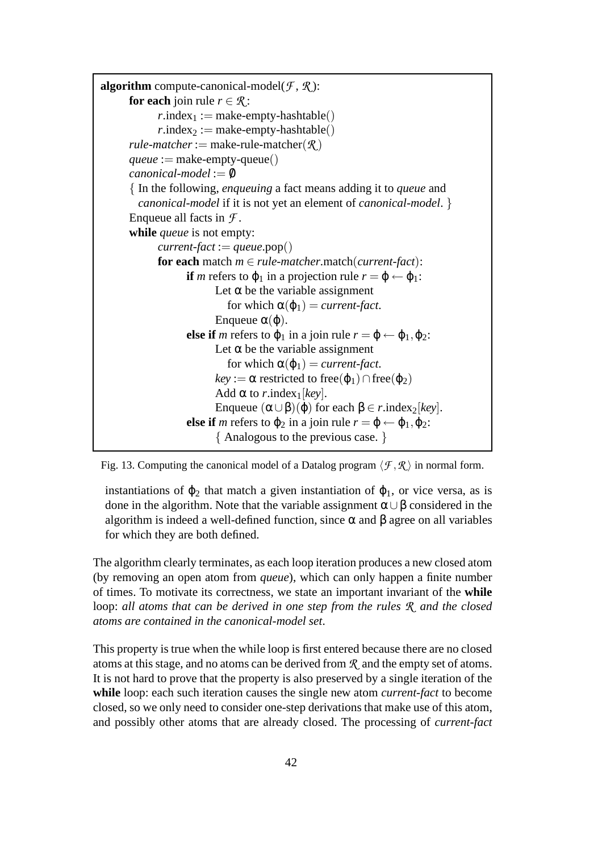```
algorithm compute-canonical-model(\mathcal{F}, \mathcal{R}):
       for each join rule r \in \mathcal{R}:
               r.index<sub>1</sub> := make-empty-hashtable()
               r.index<sub>2</sub> := make-empty-hashtable()
       rule-matcher := make-rule-matcher(<math>R</math>)queue := make-empty-queue()
       canonical-model := 0
       { In the following, enqueuing a fact means adding it to queue and
         canonical-model if it is not yet an element of canonical-model. }
       Enqueue all facts in F .
       while queue is not empty:
               current-fact := queue.pop()
               for each match m \in rule-matcher.match(current-fact):
                      if m refers to \varphi_1 in a projection rule r = \varphi \leftarrow \varphi_1:
                              Let \alpha be the variable assignment
                                 for which \alpha(\varphi_1) = current\text{-}fact.Enqueue \alpha(\varphi).
                      else if m refers to \varphi_1 in a join rule r = \varphi \leftarrow \varphi_1, \varphi_2:
                              Let \alpha be the variable assignment
                                 for which \alpha(\varphi_1) = current\text{-}fact.key := \alpha restricted to free(\varphi_1)∩free(\varphi_2)
                              Add \alpha to r.index<sub>1</sub>[key].
                              Enqueue (\alpha \cup \beta)(\varphi) for each \beta \in r.index<sub>2</sub>[key].
                      else if m refers to \varphi_2 in a join rule r = \varphi \leftarrow \varphi_1, \varphi_2:
                              { Analogous to the previous case. }
```
Fig. 13. Computing the canonical model of a Datalog program  $\langle f, \mathcal{R} \rangle$  in normal form.

instantiations of  $\varphi_2$  that match a given instantiation of  $\varphi_1$ , or vice versa, as is done in the algorithm. Note that the variable assignment  $\alpha \cup \beta$  considered in the algorithm is indeed a well-defined function, since  $\alpha$  and  $\beta$  agree on all variables for which they are both defined.

The algorithm clearly terminates, as each loop iteration produces a new closed atom (by removing an open atom from *queue*), which can only happen a finite number of times. To motivate its correctness, we state an important invariant of the **while** loop: *all atoms that can be derived in one step from the rules R and the closed atoms are contained in the canonical-model set*.

This property is true when the while loop is first entered because there are no closed atoms at this stage, and no atoms can be derived from *R* and the empty set of atoms. It is not hard to prove that the property is also preserved by a single iteration of the **while** loop: each such iteration causes the single new atom *current-fact* to become closed, so we only need to consider one-step derivations that make use of this atom, and possibly other atoms that are already closed. The processing of *current-fact*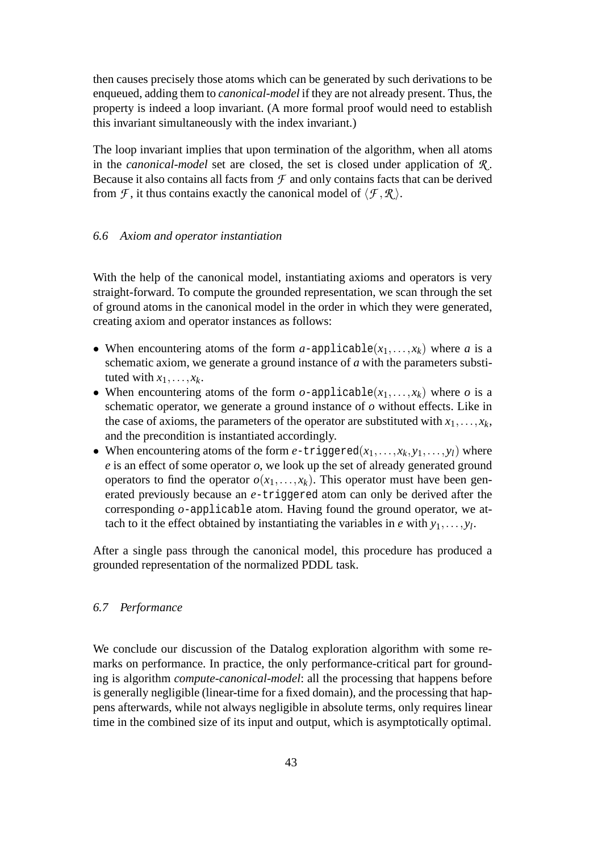then causes precisely those atoms which can be generated by such derivations to be enqueued, adding them to *canonical-model* if they are not already present. Thus, the property is indeed a loop invariant. (A more formal proof would need to establish this invariant simultaneously with the index invariant.)

The loop invariant implies that upon termination of the algorithm, when all atoms in the *canonical-model* set are closed, the set is closed under application of *R* . Because it also contains all facts from  $\mathcal F$  and only contains facts that can be derived from *F*, it thus contains exactly the canonical model of  $\langle f, \mathcal{R} \rangle$ .

#### *6.6 Axiom and operator instantiation*

With the help of the canonical model, instantiating axioms and operators is very straight-forward. To compute the grounded representation, we scan through the set of ground atoms in the canonical model in the order in which they were generated, creating axiom and operator instances as follows:

- When encountering atoms of the form  $a$ -applicable( $x_1, \ldots, x_k$ ) where  $a$  is a schematic axiom, we generate a ground instance of *a* with the parameters substituted with  $x_1, \ldots, x_k$ .
- When encountering atoms of the form  $o$ -applicable( $x_1, \ldots, x_k$ ) where  $o$  is a schematic operator, we generate a ground instance of *o* without effects. Like in the case of axioms, the parameters of the operator are substituted with  $x_1, \ldots, x_k$ , and the precondition is instantiated accordingly.
- When encountering atoms of the form  $e$ -triggered( $x_1, \ldots, x_k, y_1, \ldots, y_l$ ) where *e* is an effect of some operator *o*, we look up the set of already generated ground operators to find the operator  $o(x_1,...,x_k)$ . This operator must have been generated previously because an *e*-triggered atom can only be derived after the corresponding *o*-applicable atom. Having found the ground operator, we attach to it the effect obtained by instantiating the variables in  $e$  with  $y_1, \ldots, y_l$ .

After a single pass through the canonical model, this procedure has produced a grounded representation of the normalized PDDL task.

## *6.7 Performance*

We conclude our discussion of the Datalog exploration algorithm with some remarks on performance. In practice, the only performance-critical part for grounding is algorithm *compute-canonical-model*: all the processing that happens before is generally negligible (linear-time for a fixed domain), and the processing that happens afterwards, while not always negligible in absolute terms, only requires linear time in the combined size of its input and output, which is asymptotically optimal.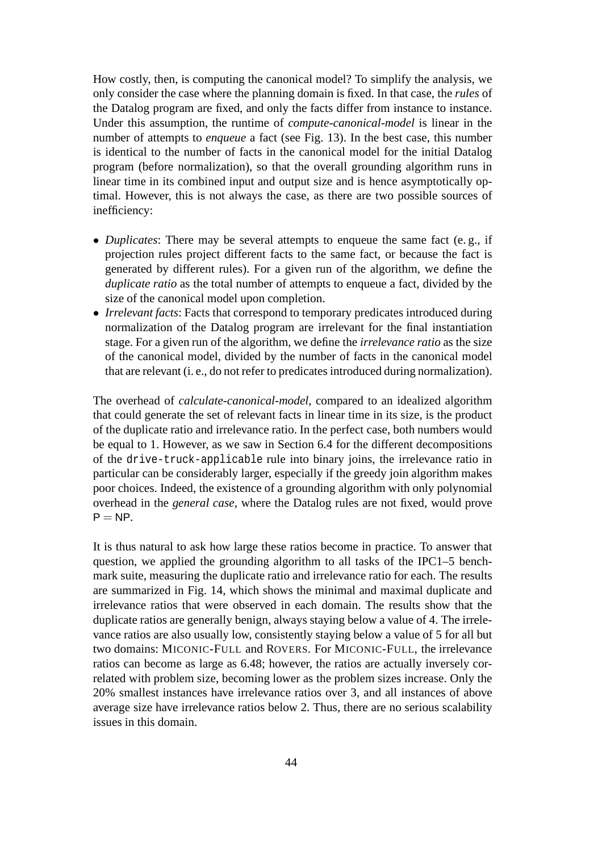How costly, then, is computing the canonical model? To simplify the analysis, we only consider the case where the planning domain is fixed. In that case, the *rules* of the Datalog program are fixed, and only the facts differ from instance to instance. Under this assumption, the runtime of *compute-canonical-model* is linear in the number of attempts to *enqueue* a fact (see Fig. 13). In the best case, this number is identical to the number of facts in the canonical model for the initial Datalog program (before normalization), so that the overall grounding algorithm runs in linear time in its combined input and output size and is hence asymptotically optimal. However, this is not always the case, as there are two possible sources of inefficiency:

- *Duplicates*: There may be several attempts to enqueue the same fact (e.g., if projection rules project different facts to the same fact, or because the fact is generated by different rules). For a given run of the algorithm, we define the *duplicate ratio* as the total number of attempts to enqueue a fact, divided by the size of the canonical model upon completion.
- *Irrelevant facts*: Facts that correspond to temporary predicates introduced during normalization of the Datalog program are irrelevant for the final instantiation stage. For a given run of the algorithm, we define the *irrelevance ratio* as the size of the canonical model, divided by the number of facts in the canonical model that are relevant (i. e., do not refer to predicates introduced during normalization).

The overhead of *calculate-canonical-model*, compared to an idealized algorithm that could generate the set of relevant facts in linear time in its size, is the product of the duplicate ratio and irrelevance ratio. In the perfect case, both numbers would be equal to 1. However, as we saw in Section 6.4 for the different decompositions of the drive-truck-applicable rule into binary joins, the irrelevance ratio in particular can be considerably larger, especially if the greedy join algorithm makes poor choices. Indeed, the existence of a grounding algorithm with only polynomial overhead in the *general case*, where the Datalog rules are not fixed, would prove  $P = NP$ .

It is thus natural to ask how large these ratios become in practice. To answer that question, we applied the grounding algorithm to all tasks of the IPC1–5 benchmark suite, measuring the duplicate ratio and irrelevance ratio for each. The results are summarized in Fig. 14, which shows the minimal and maximal duplicate and irrelevance ratios that were observed in each domain. The results show that the duplicate ratios are generally benign, always staying below a value of 4. The irrelevance ratios are also usually low, consistently staying below a value of 5 for all but two domains: MICONIC-FULL and ROVERS. For MICONIC-FULL, the irrelevance ratios can become as large as 6.48; however, the ratios are actually inversely correlated with problem size, becoming lower as the problem sizes increase. Only the 20% smallest instances have irrelevance ratios over 3, and all instances of above average size have irrelevance ratios below 2. Thus, there are no serious scalability issues in this domain.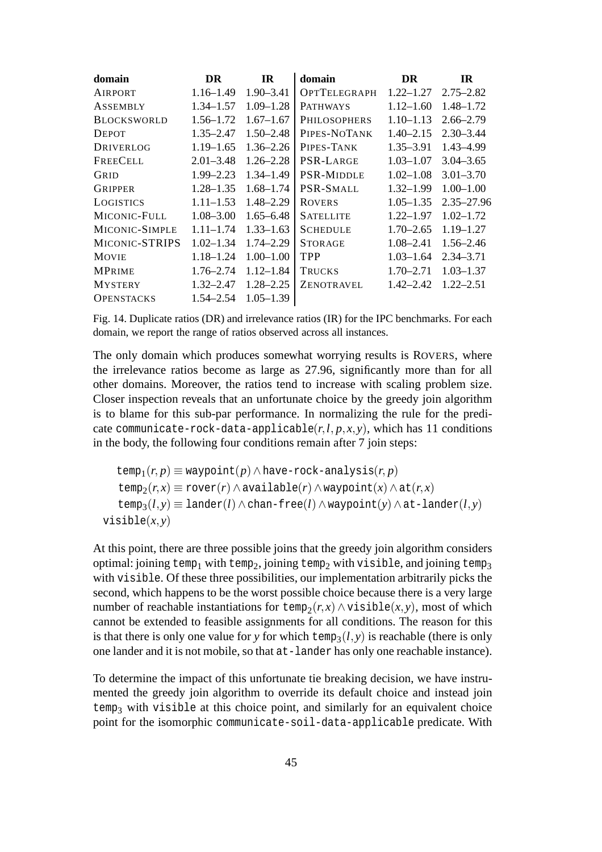| domain             | <b>DR</b>     | <b>IR</b>     | domain              | DR            | <b>IR</b>      |
|--------------------|---------------|---------------|---------------------|---------------|----------------|
| <b>AIRPORT</b>     | $1.16 - 1.49$ | $1.90 - 3.41$ | <b>OPTTELEGRAPH</b> | $1.22 - 1.27$ | $2.75 - 2.82$  |
| <b>ASSEMBLY</b>    | 1.34–1.57     | $1.09 - 1.28$ | <b>PATHWAYS</b>     | $1.12 - 1.60$ | $1.48 - 1.72$  |
| <b>BLOCKSWORLD</b> | $1.56 - 1.72$ | $1.67 - 1.67$ | <b>PHILOSOPHERS</b> | $1.10 - 1.13$ | $2.66 - 2.79$  |
| <b>DEPOT</b>       | $1.35 - 2.47$ | $1.50 - 2.48$ | PIPES-NOTANK        | $1.40 - 2.15$ | $2.30 - 3.44$  |
| DRIVERLOG          | $1.19 - 1.65$ | $1.36 - 2.26$ | PIPES-TANK          | $1.35 - 3.91$ | 1.43-4.99      |
| FREECELL           | $2.01 - 3.48$ | $1.26 - 2.28$ | PSR-LARGE           | $1.03 - 1.07$ | $3.04 - 3.65$  |
| GRID               | 1.99–2.23     | $1,34-1,49$   | <b>PSR-MIDDLE</b>   | $1.02 - 1.08$ | $3.01 - 3.70$  |
| <b>GRIPPER</b>     | $1.28 - 1.35$ | $1.68 - 1.74$ | PSR-SMALL           | $1.32 - 1.99$ | $1.00 - 1.00$  |
| LOGISTICS          | $1.11 - 1.53$ | $1.48 - 2.29$ | <b>ROVERS</b>       | $1.05 - 1.35$ | $2.35 - 27.96$ |
| MICONIC-FULL       | $1.08 - 3.00$ | $1.65 - 6.48$ | <b>SATELLITE</b>    | $1.22 - 1.97$ | $1.02 - 1.72$  |
| MICONIC-SIMPLE     | $1.11 - 1.74$ | $1,33-1,63$   | <b>SCHEDULE</b>     | $1.70 - 2.65$ | $1.19 - 1.27$  |
| MICONIC-STRIPS     | $1.02 - 1.34$ | $1.74 - 2.29$ | <b>STORAGE</b>      | $1.08 - 2.41$ | $1.56 - 2.46$  |
| <b>MOVIE</b>       | $1.18 - 1.24$ | $1.00 - 1.00$ | TPP                 | $1.03 - 1.64$ | $2.34 - 3.71$  |
| <b>MPRIME</b>      | $1.76 - 2.74$ | $1.12 - 1.84$ | <b>TRUCKS</b>       | $1.70 - 2.71$ | $1.03 - 1.37$  |
| <b>MYSTERY</b>     | $1.32 - 2.47$ | $1.28 - 2.25$ | <b>ZENOTRAVEL</b>   | $1.42 - 2.42$ | $1.22 - 2.51$  |
| <b>OPENSTACKS</b>  | $1.54 - 2.54$ | $1.05 - 1.39$ |                     |               |                |

Fig. 14. Duplicate ratios (DR) and irrelevance ratios (IR) for the IPC benchmarks. For each domain, we report the range of ratios observed across all instances.

The only domain which produces somewhat worrying results is ROVERS, where the irrelevance ratios become as large as 27.96, significantly more than for all other domains. Moreover, the ratios tend to increase with scaling problem size. Closer inspection reveals that an unfortunate choice by the greedy join algorithm is to blame for this sub-par performance. In normalizing the rule for the predicate communicate-rock-data-applicable $(r, l, p, x, y)$ , which has 11 conditions in the body, the following four conditions remain after 7 join steps:

 $temp_1(r, p) \equiv$  waypoint(*p*)  $\land$  have-rock-analysis(*r*, *p*) temp<sub>2</sub>(*r*, *x*) ≡ rover(*r*) ∧ available(*r*) ∧ waypoint(*x*) ∧ at(*r*, *x*) temp<sub>3</sub>( $l$ ,  $y$ ) ≡ lander( $l$ )  $\land$  chan-free( $l$ )  $\land$  waypoint( $y$ )  $\land$  at-lander( $l$ ,  $y$ ) visible $(x, y)$ 

At this point, there are three possible joins that the greedy join algorithm considers optimal: joining  $\texttt{temp}_1$  with  $\texttt{temp}_2$ , joining  $\texttt{temp}_2$  with  $\texttt{visible},$  and joining  $\texttt{temp}_3$ with visible. Of these three possibilities, our implementation arbitrarily picks the second, which happens to be the worst possible choice because there is a very large number of reachable instantiations for  $temp_2(r, x) \wedge visible(x, y)$ , most of which cannot be extended to feasible assignments for all conditions. The reason for this is that there is only one value for *y* for which  $temp_3(l, y)$  is reachable (there is only one lander and it is not mobile, so that at-lander has only one reachable instance).

To determine the impact of this unfortunate tie breaking decision, we have instrumented the greedy join algorithm to override its default choice and instead join  $temp<sub>3</sub>$  with visible at this choice point, and similarly for an equivalent choice point for the isomorphic communicate-soil-data-applicable predicate. With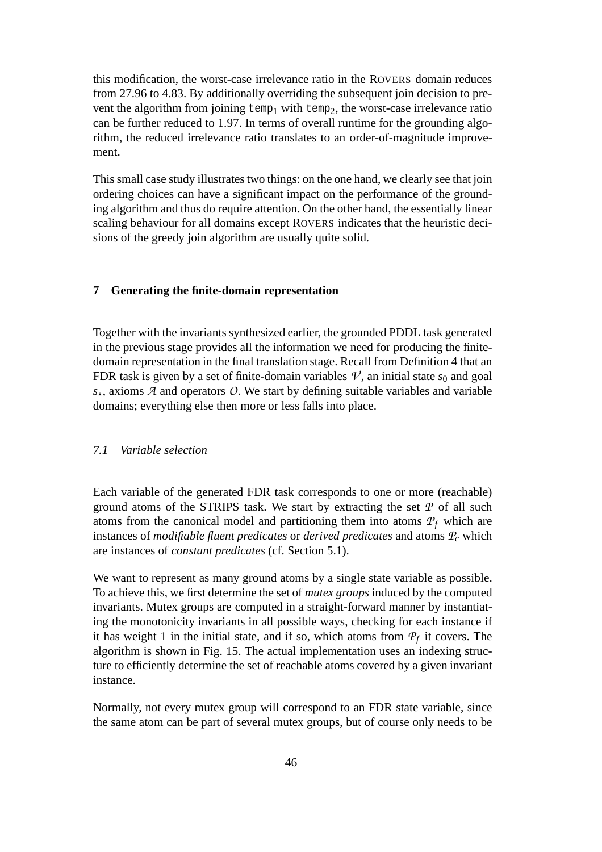this modification, the worst-case irrelevance ratio in the ROVERS domain reduces from 27.96 to 4.83. By additionally overriding the subsequent join decision to prevent the algorithm from joining  $temp_1$  with  $temp_2$ , the worst-case irrelevance ratio can be further reduced to 1.97. In terms of overall runtime for the grounding algorithm, the reduced irrelevance ratio translates to an order-of-magnitude improvement.

This small case study illustrates two things: on the one hand, we clearly see that join ordering choices can have a significant impact on the performance of the grounding algorithm and thus do require attention. On the other hand, the essentially linear scaling behaviour for all domains except ROVERS indicates that the heuristic decisions of the greedy join algorithm are usually quite solid.

#### **7 Generating the finite-domain representation**

Together with the invariants synthesized earlier, the grounded PDDL task generated in the previous stage provides all the information we need for producing the finitedomain representation in the final translation stage. Recall from Definition 4 that an FDR task is given by a set of finite-domain variables  $\mathcal{V}$ , an initial state  $s_0$  and goal  $s_{\star}$ , axioms  $\mathcal{A}$  and operators  $\mathcal{O}$ . We start by defining suitable variables and variable domains; everything else then more or less falls into place.

## *7.1 Variable selection*

Each variable of the generated FDR task corresponds to one or more (reachable) ground atoms of the STRIPS task. We start by extracting the set *P* of all such atoms from the canonical model and partitioning them into atoms  $P_f$  which are instances of *modifiable fluent predicates* or *derived predicates* and atoms *P<sup>c</sup>* which are instances of *constant predicates* (cf. Section 5.1).

We want to represent as many ground atoms by a single state variable as possible. To achieve this, we first determine the set of *mutex groups*induced by the computed invariants. Mutex groups are computed in a straight-forward manner by instantiating the monotonicity invariants in all possible ways, checking for each instance if it has weight 1 in the initial state, and if so, which atoms from  $P_f$  it covers. The algorithm is shown in Fig. 15. The actual implementation uses an indexing structure to efficiently determine the set of reachable atoms covered by a given invariant instance.

Normally, not every mutex group will correspond to an FDR state variable, since the same atom can be part of several mutex groups, but of course only needs to be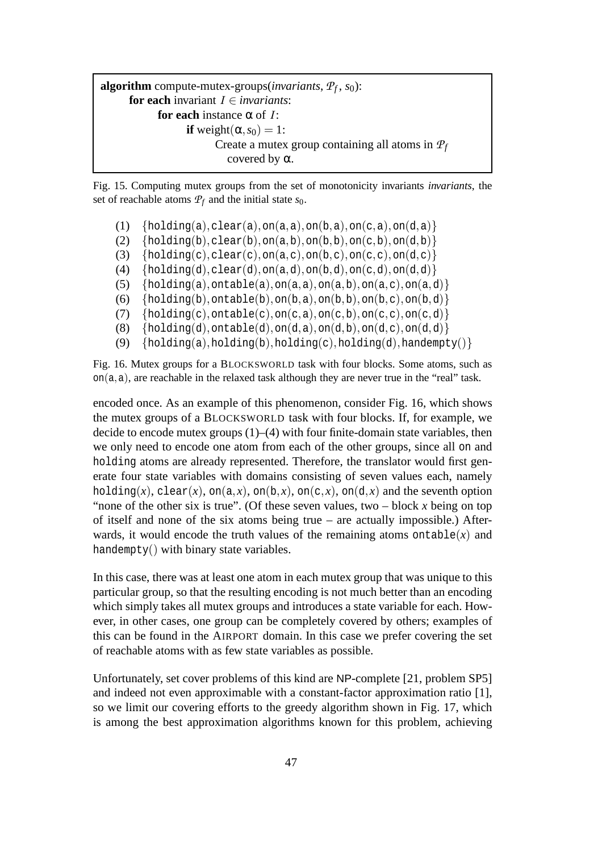**algorithm** compute-mutex-groups(*invariants*, *P<sup>f</sup>* , *s*0): **for each** invariant  $I \in$  *invariants*: **for each** instance α of *I*: **if** weight( $\alpha$ ,  $s_0$ ) = 1: Create a mutex group containing all atoms in *P<sup>f</sup>* covered by α.

Fig. 15. Computing mutex groups from the set of monotonicity invariants *invariants*, the set of reachable atoms  $P_f$  and the initial state  $s_0$ .

- (1)  $\{holding(a), clear(a), on(a,a), on(b,a), on(c,a), on(d,a)\}$
- (2)  $\{holding(b), clear(b), on(a,b), on(b,b), on(c,b), on(d,b)\}$
- (3)  $\{holding(c), clear(c), on(a, c), on(b, c), on(c, c), on(d, c)\}$
- (4)  $\{holding(d),clear(d),on(a,d),on(b,d),on(c,d),on(d,d)\}$
- (5)  $\{holding(a),ontable(a),on(a,a),on(a,b),on(a,c),on(a,d)\}$
- (6)  ${holding(b),ontable(b),on(b,a),on(b,b),on(b,c),on(b,d)}$
- (7)  $\{holding(c),ontable(c),on(c,a),on(c,b),on(c,c),on(c,d)\}$
- (8)  $\{holding(d),ontable(d),on(d,a),on(d,b),on(d,c),on(d,d)\}$
- (9)  $\{holding(a), holding(b), holding(c), holding(d), handempty() \}$

Fig. 16. Mutex groups for a BLOCKSWORLD task with four blocks. Some atoms, such as  $on(a, a)$ , are reachable in the relaxed task although they are never true in the "real" task.

encoded once. As an example of this phenomenon, consider Fig. 16, which shows the mutex groups of a BLOCKSWORLD task with four blocks. If, for example, we decide to encode mutex groups  $(1)$ – $(4)$  with four finite-domain state variables, then we only need to encode one atom from each of the other groups, since all on and holding atoms are already represented. Therefore, the translator would first generate four state variables with domains consisting of seven values each, namely holding(x), clear(x), on(a,x), on(b,x), on(c,x), on(d,x) and the seventh option "none of the other six is true". (Of these seven values, two – block *x* being on top of itself and none of the six atoms being true – are actually impossible.) Afterwards, it would encode the truth values of the remaining atoms ontable $(x)$  and handempty() with binary state variables.

In this case, there was at least one atom in each mutex group that was unique to this particular group, so that the resulting encoding is not much better than an encoding which simply takes all mutex groups and introduces a state variable for each. However, in other cases, one group can be completely covered by others; examples of this can be found in the AIRPORT domain. In this case we prefer covering the set of reachable atoms with as few state variables as possible.

Unfortunately, set cover problems of this kind are NP-complete [21, problem SP5] and indeed not even approximable with a constant-factor approximation ratio [1], so we limit our covering efforts to the greedy algorithm shown in Fig. 17, which is among the best approximation algorithms known for this problem, achieving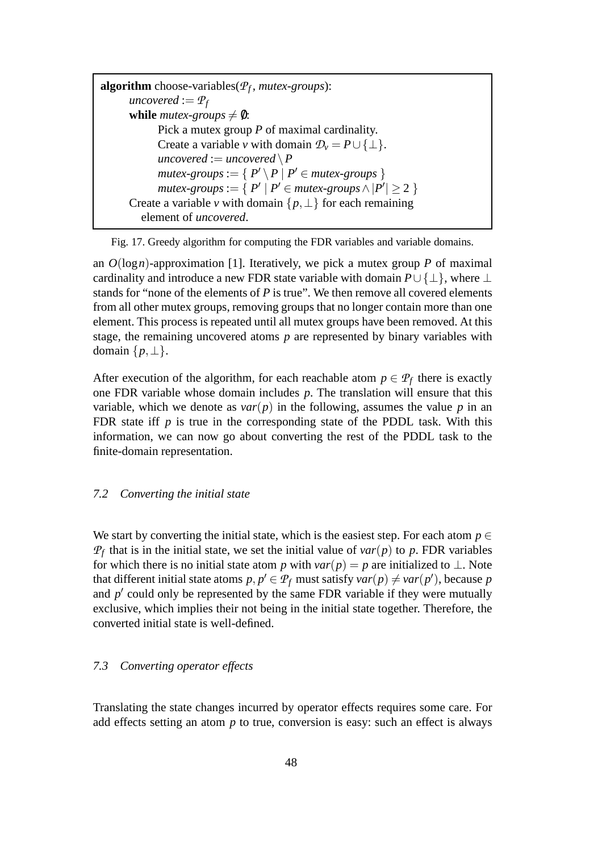**algorithm** choose-variables(*P<sup>f</sup>* , *mutex-groups*): *uncovered* :=  $P_f$ **while** *mutex-groups*  $\neq$  0: Pick a mutex group *P* of maximal cardinality. Create a variable *v* with domain  $\mathcal{D}_v = P \cup \{\perp\}.$  $uncovered := uncovered \setminus P$  $m$ utex-groups := { $P' \setminus P \mid P' \in m$ utex-groups }  $m$ utex-groups := {  $P' | P' \in m$ utex-groups  $\wedge |P'| \geq 2$  } Create a variable *v* with domain  $\{p, \perp\}$  for each remaining element of *uncovered*.

Fig. 17. Greedy algorithm for computing the FDR variables and variable domains.

an  $O(\log n)$ -approximation [1]. Iteratively, we pick a mutex group *P* of maximal cardinality and introduce a new FDR state variable with domain *P*∪ {⊥}, where ⊥ stands for "none of the elements of *P* is true". We then remove all covered elements from all other mutex groups, removing groups that no longer contain more than one element. This process is repeated until all mutex groups have been removed. At this stage, the remaining uncovered atoms *p* are represented by binary variables with domain  $\{p, \perp\}.$ 

After execution of the algorithm, for each reachable atom  $p \in \mathcal{P}_f$  there is exactly one FDR variable whose domain includes *p*. The translation will ensure that this variable, which we denote as  $var(p)$  in the following, assumes the value p in an FDR state iff  $p$  is true in the corresponding state of the PDDL task. With this information, we can now go about converting the rest of the PDDL task to the finite-domain representation.

# *7.2 Converting the initial state*

We start by converting the initial state, which is the easiest step. For each atom  $p \in$  $P_f$  that is in the initial state, we set the initial value of *var*(*p*) to *p*. FDR variables for which there is no initial state atom *p* with  $var(p) = p$  are initialized to  $\perp$ . Note that different initial state atoms  $p, p' \in \mathcal{P}_f$  must satisfy  $var(p) \neq var(p')$ , because  $p$ and  $p'$  could only be represented by the same FDR variable if they were mutually exclusive, which implies their not being in the initial state together. Therefore, the converted initial state is well-defined.

## *7.3 Converting operator effects*

Translating the state changes incurred by operator effects requires some care. For add effects setting an atom  $p$  to true, conversion is easy: such an effect is always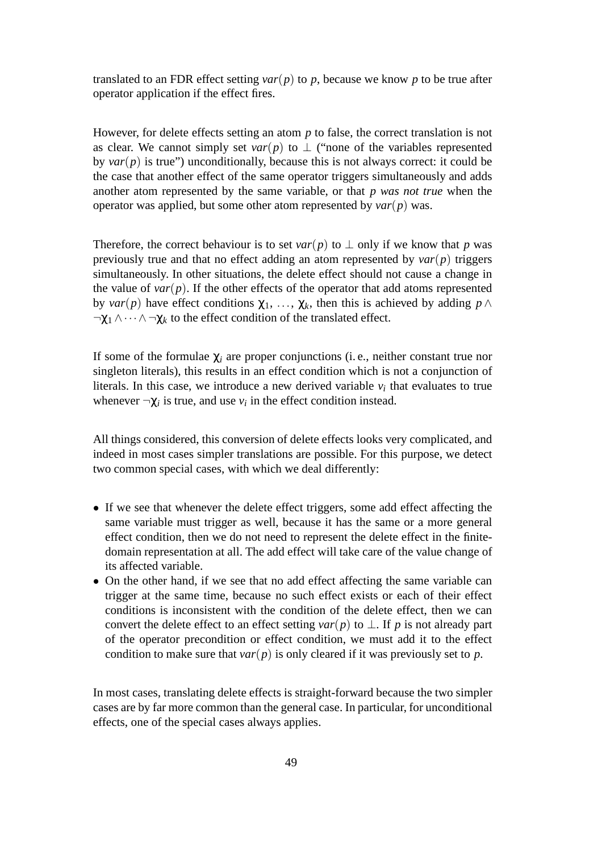translated to an FDR effect setting  $var(p)$  to p, because we know p to be true after operator application if the effect fires.

However, for delete effects setting an atom *p* to false, the correct translation is not as clear. We cannot simply set  $var(p)$  to  $\perp$  ("none of the variables represented by  $var(p)$  is true") unconditionally, because this is not always correct: it could be the case that another effect of the same operator triggers simultaneously and adds another atom represented by the same variable, or that *p was not true* when the operator was applied, but some other atom represented by *var*(*p*) was.

Therefore, the correct behaviour is to set *var*(*p*) to  $\perp$  only if we know that *p* was previously true and that no effect adding an atom represented by  $var(p)$  triggers simultaneously. In other situations, the delete effect should not cause a change in the value of  $var(p)$ . If the other effects of the operator that add atoms represented by *var*(*p*) have effect conditions  $\chi_1, \ldots, \chi_k$ , then this is achieved by adding *p* ∧  $\neg \chi_1 \wedge \cdots \wedge \neg \chi_k$  to the effect condition of the translated effect.

If some of the formulae  $\chi_i$  are proper conjunctions (i.e., neither constant true nor singleton literals), this results in an effect condition which is not a conjunction of literals. In this case, we introduce a new derived variable  $v_i$  that evaluates to true whenever  $\neg \chi_i$  is true, and use  $v_i$  in the effect condition instead.

All things considered, this conversion of delete effects looks very complicated, and indeed in most cases simpler translations are possible. For this purpose, we detect two common special cases, with which we deal differently:

- If we see that whenever the delete effect triggers, some add effect affecting the same variable must trigger as well, because it has the same or a more general effect condition, then we do not need to represent the delete effect in the finitedomain representation at all. The add effect will take care of the value change of its affected variable.
- On the other hand, if we see that no add effect affecting the same variable can trigger at the same time, because no such effect exists or each of their effect conditions is inconsistent with the condition of the delete effect, then we can convert the delete effect to an effect setting  $var(p)$  to  $\perp$ . If *p* is not already part of the operator precondition or effect condition, we must add it to the effect condition to make sure that  $var(p)$  is only cleared if it was previously set to *p*.

In most cases, translating delete effects is straight-forward because the two simpler cases are by far more common than the general case. In particular, for unconditional effects, one of the special cases always applies.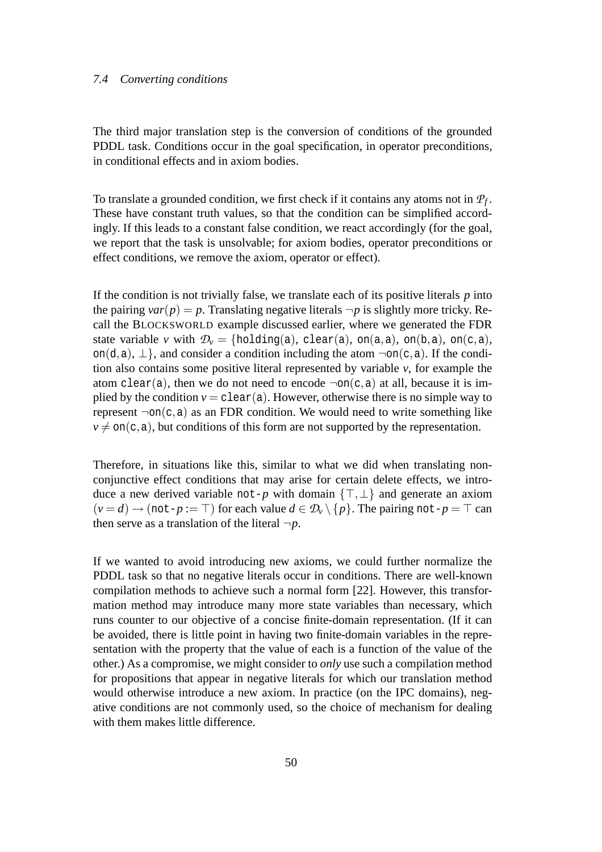#### *7.4 Converting conditions*

The third major translation step is the conversion of conditions of the grounded PDDL task. Conditions occur in the goal specification, in operator preconditions, in conditional effects and in axiom bodies.

To translate a grounded condition, we first check if it contains any atoms not in *P<sup>f</sup>* . These have constant truth values, so that the condition can be simplified accordingly. If this leads to a constant false condition, we react accordingly (for the goal, we report that the task is unsolvable; for axiom bodies, operator preconditions or effect conditions, we remove the axiom, operator or effect).

If the condition is not trivially false, we translate each of its positive literals *p* into the pairing  $var(p) = p$ . Translating negative literals  $\neg p$  is slightly more tricky. Recall the BLOCKSWORLD example discussed earlier, where we generated the FDR state variable *v* with  $\mathcal{D}_v = \{\text{holding}(a), \text{ clear}(a), \text{ on}(a,a), \text{ on}(b,a), \text{ on}(c,a)\}\$ on(d,a),  $\perp$ }, and consider a condition including the atom  $\neg$ on(c,a). If the condition also contains some positive literal represented by variable *v*, for example the atom clear(a), then we do not need to encode  $\neg$ on(c,a) at all, because it is implied by the condition  $v =$  clear(a). However, otherwise there is no simple way to represent  $\neg$ on(c, a) as an FDR condition. We would need to write something like  $v \neq$  on(c, a), but conditions of this form are not supported by the representation.

Therefore, in situations like this, similar to what we did when translating nonconjunctive effect conditions that may arise for certain delete effects, we introduce a new derived variable not-*p* with domain  $\{\top, \bot\}$  and generate an axiom  $(v = d) \rightarrow (not - p := \top)$  for each value  $d \in \mathcal{D}_v \setminus \{p\}$ . The pairing not- $p = \top$  can then serve as a translation of the literal  $\neg p$ .

If we wanted to avoid introducing new axioms, we could further normalize the PDDL task so that no negative literals occur in conditions. There are well-known compilation methods to achieve such a normal form [22]. However, this transformation method may introduce many more state variables than necessary, which runs counter to our objective of a concise finite-domain representation. (If it can be avoided, there is little point in having two finite-domain variables in the representation with the property that the value of each is a function of the value of the other.) As a compromise, we might consider to *only* use such a compilation method for propositions that appear in negative literals for which our translation method would otherwise introduce a new axiom. In practice (on the IPC domains), negative conditions are not commonly used, so the choice of mechanism for dealing with them makes little difference.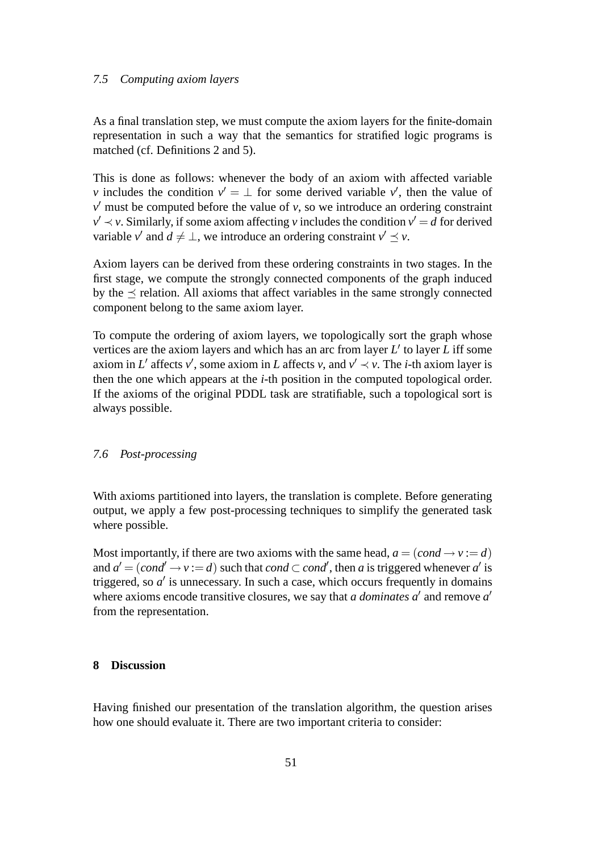#### *7.5 Computing axiom layers*

As a final translation step, we must compute the axiom layers for the finite-domain representation in such a way that the semantics for stratified logic programs is matched (cf. Definitions 2 and 5).

This is done as follows: whenever the body of an axiom with affected variable *v* includes the condition  $v' = \perp$  for some derived variable  $v'$ , then the value of  $v'$  must be computed before the value of  $v$ , so we introduce an ordering constraint  $v' \prec v$ . Similarly, if some axiom affecting *v* includes the condition  $v' = d$  for derived variable *v'* and  $d \neq \perp$ , we introduce an ordering constraint  $v' \preceq v$ .

Axiom layers can be derived from these ordering constraints in two stages. In the first stage, we compute the strongly connected components of the graph induced by the  $\prec$  relation. All axioms that affect variables in the same strongly connected component belong to the same axiom layer.

To compute the ordering of axiom layers, we topologically sort the graph whose vertices are the axiom layers and which has an arc from layer  $L'$  to layer  $L$  iff some axiom in *L'* affects  $v'$ , some axiom in *L* affects *v*, and  $v' \prec v$ . The *i*-th axiom layer is then the one which appears at the *i*-th position in the computed topological order. If the axioms of the original PDDL task are stratifiable, such a topological sort is always possible.

#### *7.6 Post-processing*

With axioms partitioned into layers, the translation is complete. Before generating output, we apply a few post-processing techniques to simplify the generated task where possible.

Most importantly, if there are two axioms with the same head,  $a = (cond \rightarrow v := d)$ and  $a' = (cond' \rightarrow v := d)$  such that *cond* ⊂ *cond'*, then *a* is triggered whenever *a'* is triggered, so *a'* is unnecessary. In such a case, which occurs frequently in domains where axioms encode transitive closures, we say that *a dominates a'* and remove *a'* from the representation.

#### **8 Discussion**

Having finished our presentation of the translation algorithm, the question arises how one should evaluate it. There are two important criteria to consider: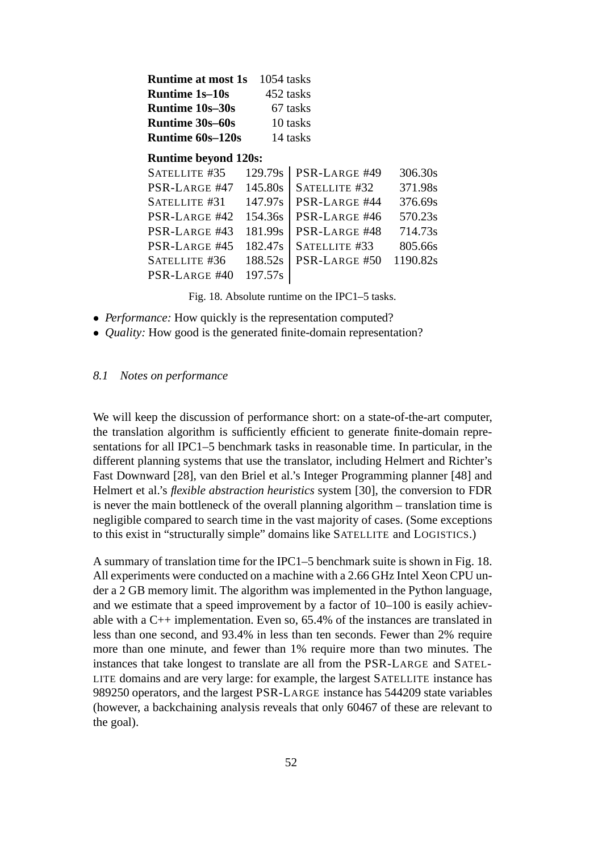| <b>Runtime at most 1s</b> | 1054 tasks |
|---------------------------|------------|
| <b>Runtime 1s-10s</b>     | 452 tasks  |
| <b>Runtime 10s-30s</b>    | 67 tasks   |
| <b>Runtime 30s-60s</b>    | 10 tasks   |
| <b>Runtime 60s-120s</b>   | 14 tasks   |

#### **Runtime beyond 120s:**

| 129.79s | PSR-LARGE #49 | 306.30s  |
|---------|---------------|----------|
| 145.80s | SATELLITE #32 | 371.98s  |
| 147.97s | PSR-LARGE #44 | 376.69s  |
| 154.36s | PSR-LARGE #46 | 570.23s  |
| 181.99s | PSR-LARGE #48 | 714.73s  |
| 182.47s | SATELLITE #33 | 805.66s  |
| 188.52s | PSR-LARGE #50 | 1190.82s |
| 197.57s |               |          |
|         |               |          |

Fig. 18. Absolute runtime on the IPC1–5 tasks.

- *Performance:* How quickly is the representation computed?
- *Quality:* How good is the generated finite-domain representation?

# *8.1 Notes on performance*

We will keep the discussion of performance short: on a state-of-the-art computer. the translation algorithm is sufficiently efficient to generate finite-domain representations for all IPC1–5 benchmark tasks in reasonable time. In particular, in the different planning systems that use the translator, including Helmert and Richter's Fast Downward [28], van den Briel et al.'s Integer Programming planner [48] and Helmert et al.'s *flexible abstraction heuristics* system [30], the conversion to FDR is never the main bottleneck of the overall planning algorithm – translation time is negligible compared to search time in the vast majority of cases. (Some exceptions to this exist in "structurally simple" domains like SATELLITE and LOGISTICS.)

A summary of translation time for the IPC1–5 benchmark suite is shown in Fig. 18. All experiments were conducted on a machine with a 2.66 GHz Intel Xeon CPU under a 2 GB memory limit. The algorithm was implemented in the Python language, and we estimate that a speed improvement by a factor of 10–100 is easily achievable with a C++ implementation. Even so, 65.4% of the instances are translated in less than one second, and 93.4% in less than ten seconds. Fewer than 2% require more than one minute, and fewer than 1% require more than two minutes. The instances that take longest to translate are all from the PSR-LARGE and SATEL-LITE domains and are very large: for example, the largest SATELLITE instance has 989250 operators, and the largest PSR-LARGE instance has 544209 state variables (however, a backchaining analysis reveals that only 60467 of these are relevant to the goal).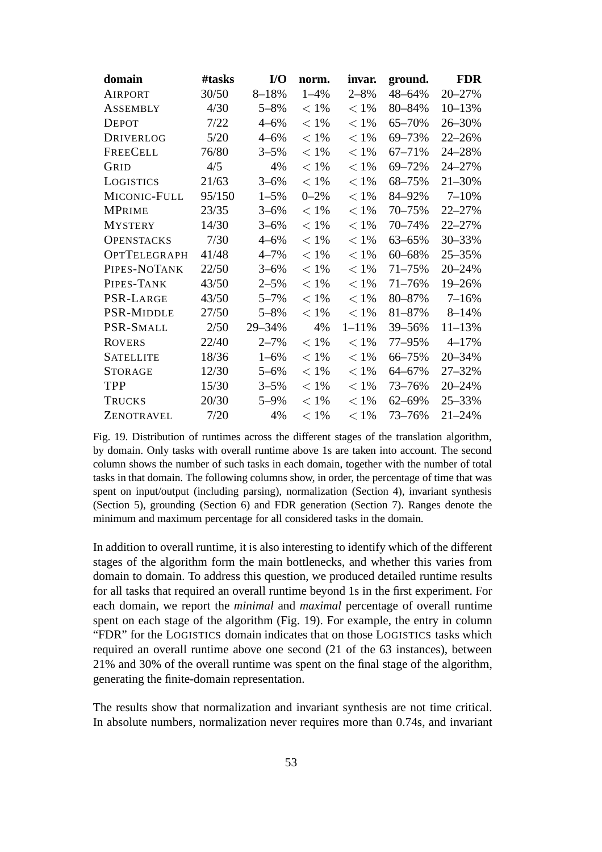| domain              | #tasks | $U$       | norm.     | invar.     | ground.    | <b>FDR</b> |
|---------------------|--------|-----------|-----------|------------|------------|------------|
| <b>AIRPORT</b>      | 30/50  | $8 - 18%$ | $1 - 4\%$ | $2 - 8\%$  | 48-64%     | 20-27%     |
| <b>ASSEMBLY</b>     | 4/30   | $5 - 8\%$ | $< 1\%$   | $< 1\%$    | 80-84%     | $10 - 13%$ |
| <b>DEPOT</b>        | 7/22   | $4 - 6\%$ | $< 1\%$   | $< 1\%$    | 65-70%     | 26-30%     |
| DRIVERLOG           | 5/20   | $4 - 6\%$ | $< 1\%$   | $< 1\%$    | 69-73%     | $22 - 26%$ |
| <b>FREECELL</b>     | 76/80  | $3 - 5\%$ | $< 1\%$   | $< 1\%$    | 67-71%     | 24-28%     |
| GRID                | 4/5    | 4%        | $< 1\%$   | $< 1\%$    | 69-72%     | 24-27%     |
| LOGISTICS           | 21/63  | $3 - 6\%$ | $< 1\%$   | $< 1\%$    | 68-75%     | $21 - 30%$ |
| MICONIC-FULL        | 95/150 | $1 - 5\%$ | $0 - 2\%$ | $< 1\%$    | 84-92%     | $7 - 10%$  |
| <b>MPRIME</b>       | 23/35  | $3 - 6\%$ | $< 1\%$   | $< 1\%$    | 70-75%     | $22 - 27%$ |
| <b>MYSTERY</b>      | 14/30  | $3 - 6\%$ | $< 1\%$   | $< 1\%$    | 70-74%     | 22-27%     |
| <b>OPENSTACKS</b>   | 7/30   | $4 - 6\%$ | $< 1\%$   | $< 1\%$    | 63-65%     | 30-33%     |
| <b>OPTTELEGRAPH</b> | 41/48  | $4 - 7%$  | $< 1\%$   | $< 1\%$    | 60-68%     | 25-35%     |
| PIPES-NOTANK        | 22/50  | $3 - 6\%$ | $< 1\%$   | $< 1\%$    | $71 - 75%$ | 20-24%     |
| PIPES-TANK          | 43/50  | $2 - 5%$  | $< 1\%$   | $< 1\%$    | 71-76%     | 19-26%     |
| PSR-LARGE           | 43/50  | $5 - 7%$  | $< 1\%$   | $< 1\%$    | 80-87%     | $7 - 16%$  |
| PSR-MIDDLE          | 27/50  | $5 - 8\%$ | $< 1\%$   | $< 1\%$    | 81-87%     | $8 - 14%$  |
| PSR-SMALL           | 2/50   | 29-34%    | 4%        | $1 - 11\%$ | 39-56%     | $11 - 13%$ |
| <b>ROVERS</b>       | 22/40  | $2 - 7%$  | $< 1\%$   | $< 1\%$    | 77-95%     | $4 - 17%$  |
| <b>SATELLITE</b>    | 18/36  | $1 - 6\%$ | $< 1\%$   | $< 1\%$    | 66-75%     | 20-34%     |
| <b>STORAGE</b>      | 12/30  | $5 - 6\%$ | $< 1\%$   | $< 1\%$    | 64-67%     | 27-32%     |
| TPP                 | 15/30  | $3 - 5\%$ | $< 1\%$   | $< 1\%$    | 73–76%     | 20-24%     |
| TRUCKS              | 20/30  | $5 - 9\%$ | $< 1\%$   | $< 1\%$    | 62-69%     | 25-33%     |
| ZENOTRAVEL          | 7/20   | 4%        | $< 1\%$   | $< 1\%$    | 73-76%     | $21 - 24%$ |

Fig. 19. Distribution of runtimes across the different stages of the translation algorithm, by domain. Only tasks with overall runtime above 1s are taken into account. The second column shows the number of such tasks in each domain, together with the number of total tasks in that domain. The following columns show, in order, the percentage of time that was spent on input/output (including parsing), normalization (Section 4), invariant synthesis (Section 5), grounding (Section 6) and FDR generation (Section 7). Ranges denote the minimum and maximum percentage for all considered tasks in the domain.

In addition to overall runtime, it is also interesting to identify which of the different stages of the algorithm form the main bottlenecks, and whether this varies from domain to domain. To address this question, we produced detailed runtime results for all tasks that required an overall runtime beyond 1s in the first experiment. For each domain, we report the *minimal* and *maximal* percentage of overall runtime spent on each stage of the algorithm (Fig. 19). For example, the entry in column "FDR" for the LOGISTICS domain indicates that on those LOGISTICS tasks which required an overall runtime above one second (21 of the 63 instances), between 21% and 30% of the overall runtime was spent on the final stage of the algorithm, generating the finite-domain representation.

The results show that normalization and invariant synthesis are not time critical. In absolute numbers, normalization never requires more than 0.74s, and invariant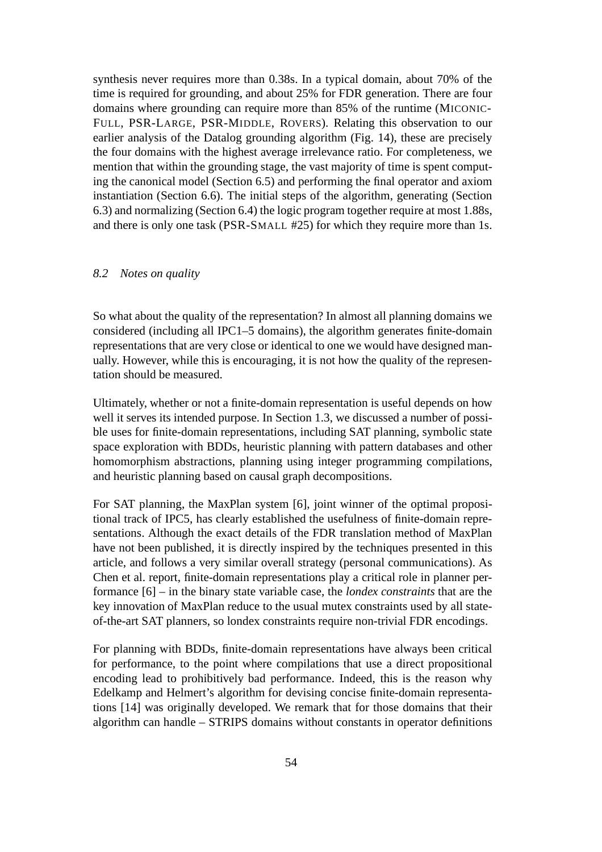synthesis never requires more than 0.38s. In a typical domain, about 70% of the time is required for grounding, and about 25% for FDR generation. There are four domains where grounding can require more than 85% of the runtime (MICONIC-FULL, PSR-LARGE, PSR-MIDDLE, ROVERS). Relating this observation to our earlier analysis of the Datalog grounding algorithm (Fig. 14), these are precisely the four domains with the highest average irrelevance ratio. For completeness, we mention that within the grounding stage, the vast majority of time is spent computing the canonical model (Section 6.5) and performing the final operator and axiom instantiation (Section 6.6). The initial steps of the algorithm, generating (Section 6.3) and normalizing (Section 6.4) the logic program together require at most 1.88s, and there is only one task (PSR-SMALL #25) for which they require more than 1s.

#### *8.2 Notes on quality*

So what about the quality of the representation? In almost all planning domains we considered (including all IPC1–5 domains), the algorithm generates finite-domain representations that are very close or identical to one we would have designed manually. However, while this is encouraging, it is not how the quality of the representation should be measured.

Ultimately, whether or not a finite-domain representation is useful depends on how well it serves its intended purpose. In Section 1.3, we discussed a number of possible uses for finite-domain representations, including SAT planning, symbolic state space exploration with BDDs, heuristic planning with pattern databases and other homomorphism abstractions, planning using integer programming compilations, and heuristic planning based on causal graph decompositions.

For SAT planning, the MaxPlan system [6], joint winner of the optimal propositional track of IPC5, has clearly established the usefulness of finite-domain representations. Although the exact details of the FDR translation method of MaxPlan have not been published, it is directly inspired by the techniques presented in this article, and follows a very similar overall strategy (personal communications). As Chen et al. report, finite-domain representations play a critical role in planner performance [6] – in the binary state variable case, the *londex constraints* that are the key innovation of MaxPlan reduce to the usual mutex constraints used by all stateof-the-art SAT planners, so londex constraints require non-trivial FDR encodings.

For planning with BDDs, finite-domain representations have always been critical for performance, to the point where compilations that use a direct propositional encoding lead to prohibitively bad performance. Indeed, this is the reason why Edelkamp and Helmert's algorithm for devising concise finite-domain representations [14] was originally developed. We remark that for those domains that their algorithm can handle – STRIPS domains without constants in operator definitions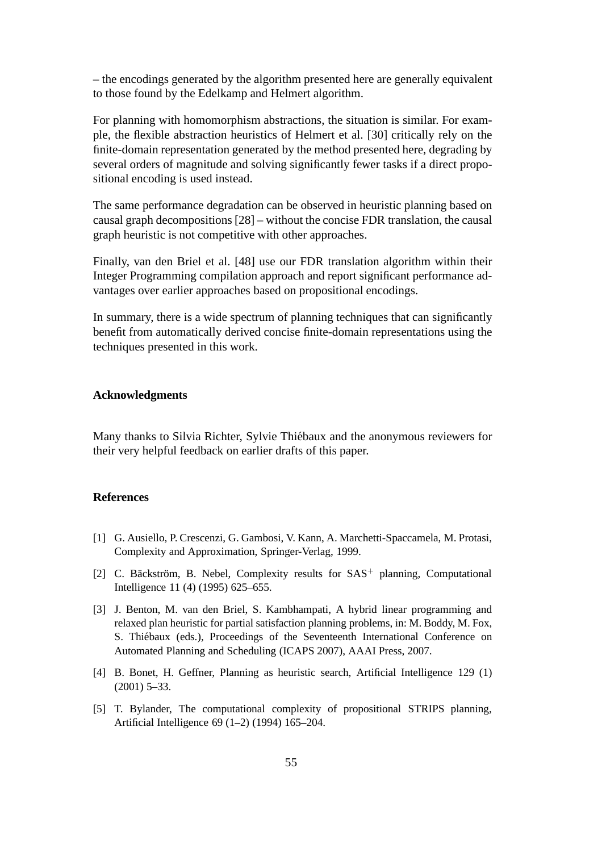– the encodings generated by the algorithm presented here are generally equivalent to those found by the Edelkamp and Helmert algorithm.

For planning with homomorphism abstractions, the situation is similar. For example, the flexible abstraction heuristics of Helmert et al. [30] critically rely on the finite-domain representation generated by the method presented here, degrading by several orders of magnitude and solving significantly fewer tasks if a direct propositional encoding is used instead.

The same performance degradation can be observed in heuristic planning based on causal graph decompositions [28] – without the concise FDR translation, the causal graph heuristic is not competitive with other approaches.

Finally, van den Briel et al. [48] use our FDR translation algorithm within their Integer Programming compilation approach and report significant performance advantages over earlier approaches based on propositional encodings.

In summary, there is a wide spectrum of planning techniques that can significantly benefit from automatically derived concise finite-domain representations using the techniques presented in this work.

## **Acknowledgments**

Many thanks to Silvia Richter, Sylvie Thiébaux and the anonymous reviewers for their very helpful feedback on earlier drafts of this paper.

# **References**

- [1] G. Ausiello, P. Crescenzi, G. Gambosi, V. Kann, A. Marchetti-Spaccamela, M. Protasi, Complexity and Approximation, Springer-Verlag, 1999.
- [2] C. Bäckström, B. Nebel, Complexity results for  $SAS<sup>+</sup>$  planning, Computational Intelligence 11 (4) (1995) 625–655.
- [3] J. Benton, M. van den Briel, S. Kambhampati, A hybrid linear programming and relaxed plan heuristic for partial satisfaction planning problems, in: M. Boddy, M. Fox, S. Thiébaux (eds.), Proceedings of the Seventeenth International Conference on Automated Planning and Scheduling (ICAPS 2007), AAAI Press, 2007.
- [4] B. Bonet, H. Geffner, Planning as heuristic search, Artificial Intelligence 129 (1) (2001) 5–33.
- [5] T. Bylander, The computational complexity of propositional STRIPS planning, Artificial Intelligence 69 (1–2) (1994) 165–204.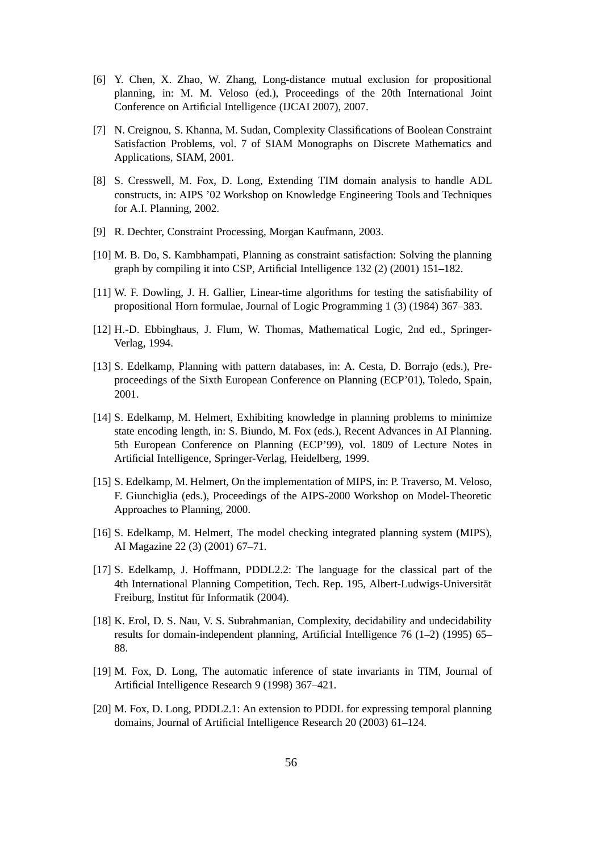- [6] Y. Chen, X. Zhao, W. Zhang, Long-distance mutual exclusion for propositional planning, in: M. M. Veloso (ed.), Proceedings of the 20th International Joint Conference on Artificial Intelligence (IJCAI 2007), 2007.
- [7] N. Creignou, S. Khanna, M. Sudan, Complexity Classifications of Boolean Constraint Satisfaction Problems, vol. 7 of SIAM Monographs on Discrete Mathematics and Applications, SIAM, 2001.
- [8] S. Cresswell, M. Fox, D. Long, Extending TIM domain analysis to handle ADL constructs, in: AIPS '02 Workshop on Knowledge Engineering Tools and Techniques for A.I. Planning, 2002.
- [9] R. Dechter, Constraint Processing, Morgan Kaufmann, 2003.
- [10] M. B. Do, S. Kambhampati, Planning as constraint satisfaction: Solving the planning graph by compiling it into CSP, Artificial Intelligence 132 (2) (2001) 151–182.
- [11] W. F. Dowling, J. H. Gallier, Linear-time algorithms for testing the satisfiability of propositional Horn formulae, Journal of Logic Programming 1 (3) (1984) 367–383.
- [12] H.-D. Ebbinghaus, J. Flum, W. Thomas, Mathematical Logic, 2nd ed., Springer-Verlag, 1994.
- [13] S. Edelkamp, Planning with pattern databases, in: A. Cesta, D. Borrajo (eds.), Preproceedings of the Sixth European Conference on Planning (ECP'01), Toledo, Spain, 2001.
- [14] S. Edelkamp, M. Helmert, Exhibiting knowledge in planning problems to minimize state encoding length, in: S. Biundo, M. Fox (eds.), Recent Advances in AI Planning. 5th European Conference on Planning (ECP'99), vol. 1809 of Lecture Notes in Artificial Intelligence, Springer-Verlag, Heidelberg, 1999.
- [15] S. Edelkamp, M. Helmert, On the implementation of MIPS, in: P. Traverso, M. Veloso, F. Giunchiglia (eds.), Proceedings of the AIPS-2000 Workshop on Model-Theoretic Approaches to Planning, 2000.
- [16] S. Edelkamp, M. Helmert, The model checking integrated planning system (MIPS), AI Magazine 22 (3) (2001) 67–71.
- [17] S. Edelkamp, J. Hoffmann, PDDL2.2: The language for the classical part of the 4th International Planning Competition, Tech. Rep. 195, Albert-Ludwigs-Universität Freiburg, Institut für Informatik (2004).
- [18] K. Erol, D. S. Nau, V. S. Subrahmanian, Complexity, decidability and undecidability results for domain-independent planning, Artificial Intelligence 76 (1–2) (1995) 65– 88.
- [19] M. Fox, D. Long, The automatic inference of state invariants in TIM, Journal of Artificial Intelligence Research 9 (1998) 367–421.
- [20] M. Fox, D. Long, PDDL2.1: An extension to PDDL for expressing temporal planning domains, Journal of Artificial Intelligence Research 20 (2003) 61–124.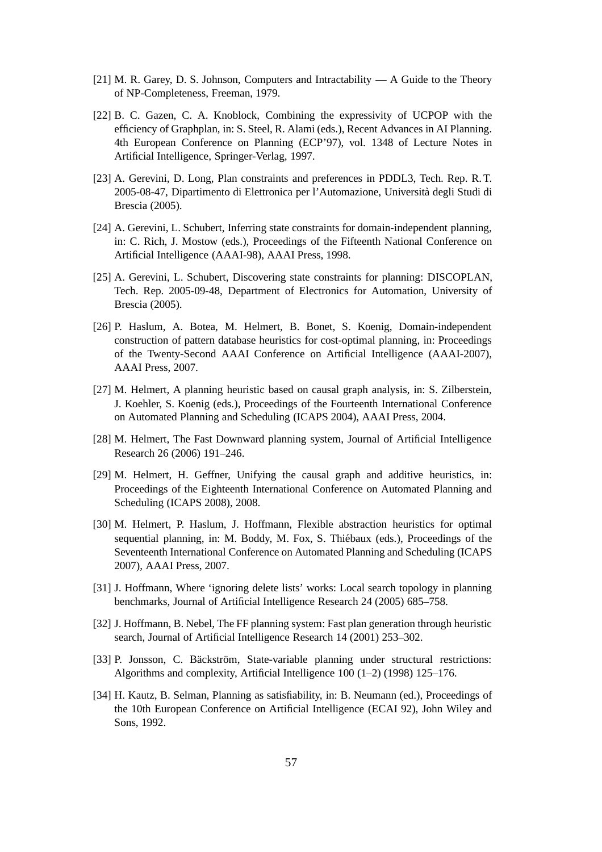- [21] M. R. Garey, D. S. Johnson, Computers and Intractability A Guide to the Theory of NP-Completeness, Freeman, 1979.
- [22] B. C. Gazen, C. A. Knoblock, Combining the expressivity of UCPOP with the efficiency of Graphplan, in: S. Steel, R. Alami (eds.), Recent Advances in AI Planning. 4th European Conference on Planning (ECP'97), vol. 1348 of Lecture Notes in Artificial Intelligence, Springer-Verlag, 1997.
- [23] A. Gerevini, D. Long, Plan constraints and preferences in PDDL3, Tech. Rep. R. T. 2005-08-47, Dipartimento di Elettronica per l'Automazione, Università degli Studi di Brescia (2005).
- [24] A. Gerevini, L. Schubert, Inferring state constraints for domain-independent planning, in: C. Rich, J. Mostow (eds.), Proceedings of the Fifteenth National Conference on Artificial Intelligence (AAAI-98), AAAI Press, 1998.
- [25] A. Gerevini, L. Schubert, Discovering state constraints for planning: DISCOPLAN, Tech. Rep. 2005-09-48, Department of Electronics for Automation, University of Brescia (2005).
- [26] P. Haslum, A. Botea, M. Helmert, B. Bonet, S. Koenig, Domain-independent construction of pattern database heuristics for cost-optimal planning, in: Proceedings of the Twenty-Second AAAI Conference on Artificial Intelligence (AAAI-2007), AAAI Press, 2007.
- [27] M. Helmert, A planning heuristic based on causal graph analysis, in: S. Zilberstein, J. Koehler, S. Koenig (eds.), Proceedings of the Fourteenth International Conference on Automated Planning and Scheduling (ICAPS 2004), AAAI Press, 2004.
- [28] M. Helmert, The Fast Downward planning system, Journal of Artificial Intelligence Research 26 (2006) 191–246.
- [29] M. Helmert, H. Geffner, Unifying the causal graph and additive heuristics, in: Proceedings of the Eighteenth International Conference on Automated Planning and Scheduling (ICAPS 2008), 2008.
- [30] M. Helmert, P. Haslum, J. Hoffmann, Flexible abstraction heuristics for optimal sequential planning, in: M. Boddy, M. Fox, S. Thiébaux (eds.), Proceedings of the Seventeenth International Conference on Automated Planning and Scheduling (ICAPS 2007), AAAI Press, 2007.
- [31] J. Hoffmann, Where 'ignoring delete lists' works: Local search topology in planning benchmarks, Journal of Artificial Intelligence Research 24 (2005) 685–758.
- [32] J. Hoffmann, B. Nebel, The FF planning system: Fast plan generation through heuristic search, Journal of Artificial Intelligence Research 14 (2001) 253–302.
- [33] P. Jonsson, C. Bäckström, State-variable planning under structural restrictions: Algorithms and complexity, Artificial Intelligence 100 (1–2) (1998) 125–176.
- [34] H. Kautz, B. Selman, Planning as satisfiability, in: B. Neumann (ed.), Proceedings of the 10th European Conference on Artificial Intelligence (ECAI 92), John Wiley and Sons, 1992.